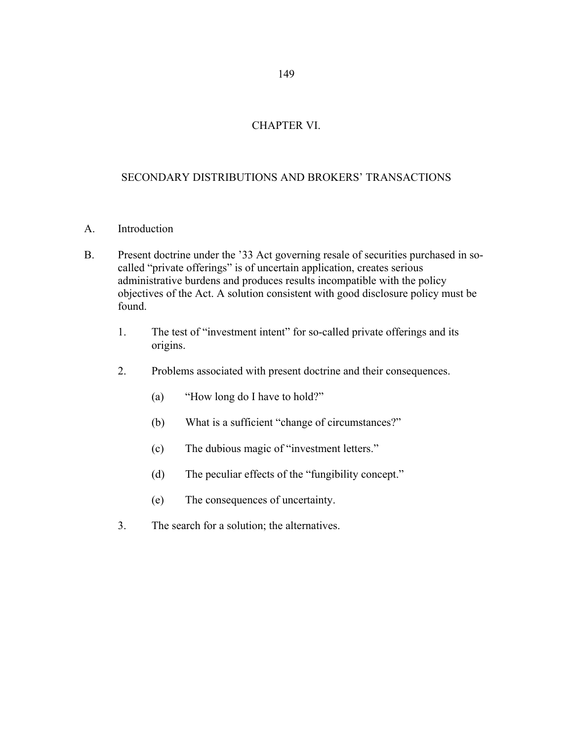### 149

# CHAPTER VI.

# SECONDARY DISTRIBUTIONS AND BROKERS' TRANSACTIONS

- A. Introduction
- B. Present doctrine under the '33 Act governing resale of securities purchased in so called "private offerings" is of uncertain application, creates serious administrative burdens and produces results incompatible with the policy objectives of the Act. A solution consistent with good disclosure policy must be found.
	- 1. The test of "investment intent" for so-called private offerings and its origins.
	- 2. Problems associated with present doctrine and their consequences.
		- (a) "How long do I have to hold?"
		- (b) What is a sufficient "change of circumstances?"
		- (c) The dubious magic of "investment letters."
		- (d) The peculiar effects of the "fungibility concept."
		- (e) The consequences of uncertainty.
	- 3. The search for a solution; the alternatives.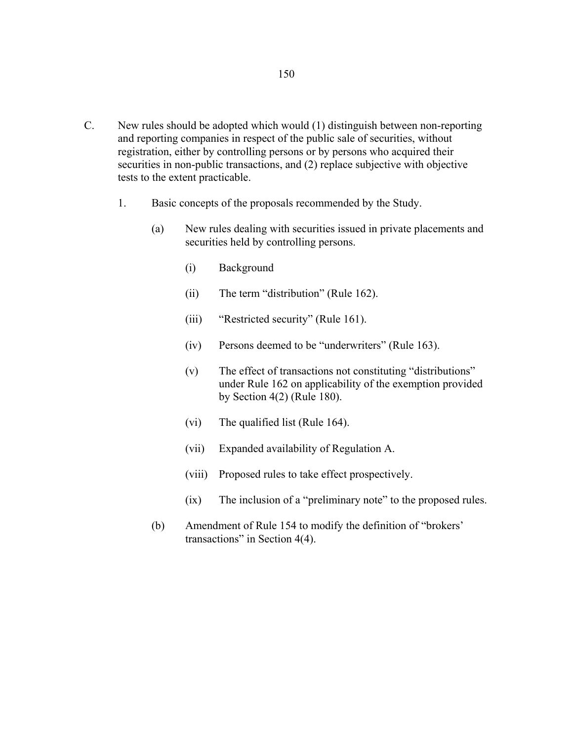- C. New rules should be adopted which would (1) distinguish between non-reporting and reporting companies in respect of the public sale of securities, without registration, either by controlling persons or by persons who acquired their securities in non-public transactions, and (2) replace subjective with objective tests to the extent practicable.
	- 1. Basic concepts of the proposals recommended by the Study.
		- (a) New rules dealing with securities issued in private placements and securities held by controlling persons.
			- (i) Background
			- (ii) The term "distribution" (Rule 162).
			- (iii) "Restricted security" (Rule 161).
			- (iv) Persons deemed to be "underwriters" (Rule 163).
			- (v) The effect of transactions not constituting "distributions" under Rule 162 on applicability of the exemption provided by Section 4(2) (Rule 180).
			- (vi) The qualified list (Rule 164).
			- (vii) Expanded availability of Regulation A.
			- (viii) Proposed rules to take effect prospectively.
			- (ix) The inclusion of a "preliminary note" to the proposed rules.
		- (b) Amendment of Rule 154 to modify the definition of "brokers' transactions" in Section 4(4).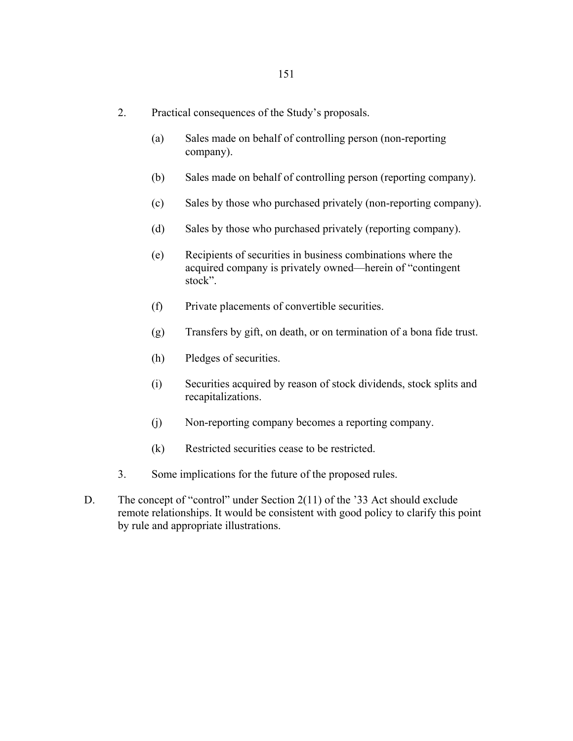- 2. Practical consequences of the Study's proposals.
	- (a) Sales made on behalf of controlling person (non-reporting company).
	- (b) Sales made on behalf of controlling person (reporting company).
	- (c) Sales by those who purchased privately (non-reporting company).
	- (d) Sales by those who purchased privately (reporting company).
	- (e) Recipients of securities in business combinations where the acquired company is privately owned—herein of "contingent stock".
	- (f) Private placements of convertible securities.
	- (g) Transfers by gift, on death, or on termination of a bona fide trust.
	- (h) Pledges of securities.
	- (i) Securities acquired by reason of stock dividends, stock splits and recapitalizations.
	- (j) Non-reporting company becomes a reporting company.
	- (k) Restricted securities cease to be restricted.
- 3. Some implications for the future of the proposed rules.
- D. The concept of "control" under Section 2(11) of the '33 Act should exclude remote relationships. It would be consistent with good policy to clarify this point by rule and appropriate illustrations.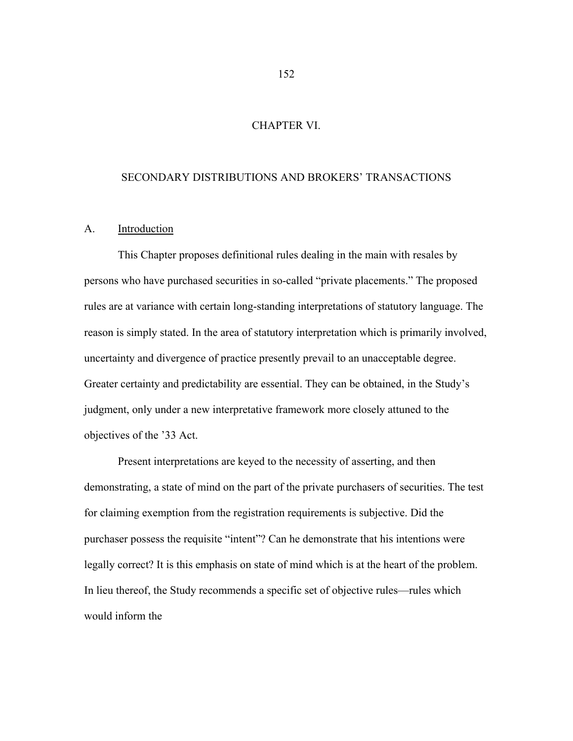### CHAPTER VI.

### SECONDARY DISTRIBUTIONS AND BROKERS' TRANSACTIONS

### A. Introduction

 This Chapter proposes definitional rules dealing in the main with resales by persons who have purchased securities in so-called "private placements." The proposed rules are at variance with certain long-standing interpretations of statutory language. The reason is simply stated. In the area of statutory interpretation which is primarily involved, uncertainty and divergence of practice presently prevail to an unacceptable degree. Greater certainty and predictability are essential. They can be obtained, in the Study's judgment, only under a new interpretative framework more closely attuned to the objectives of the '33 Act.

 Present interpretations are keyed to the necessity of asserting, and then demonstrating, a state of mind on the part of the private purchasers of securities. The test for claiming exemption from the registration requirements is subjective. Did the purchaser possess the requisite "intent"? Can he demonstrate that his intentions were legally correct? It is this emphasis on state of mind which is at the heart of the problem. In lieu thereof, the Study recommends a specific set of objective rules—rules which would inform the

152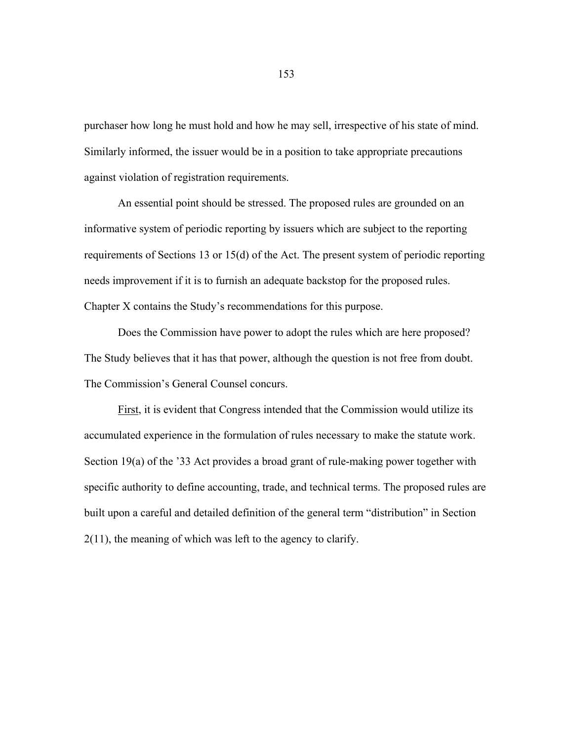purchaser how long he must hold and how he may sell, irrespective of his state of mind. Similarly informed, the issuer would be in a position to take appropriate precautions against violation of registration requirements.

 An essential point should be stressed. The proposed rules are grounded on an informative system of periodic reporting by issuers which are subject to the reporting requirements of Sections 13 or 15(d) of the Act. The present system of periodic reporting needs improvement if it is to furnish an adequate backstop for the proposed rules. Chapter X contains the Study's recommendations for this purpose.

 Does the Commission have power to adopt the rules which are here proposed? The Study believes that it has that power, although the question is not free from doubt. The Commission's General Counsel concurs.

First, it is evident that Congress intended that the Commission would utilize its accumulated experience in the formulation of rules necessary to make the statute work. Section 19(a) of the '33 Act provides a broad grant of rule-making power together with specific authority to define accounting, trade, and technical terms. The proposed rules are built upon a careful and detailed definition of the general term "distribution" in Section 2(11), the meaning of which was left to the agency to clarify.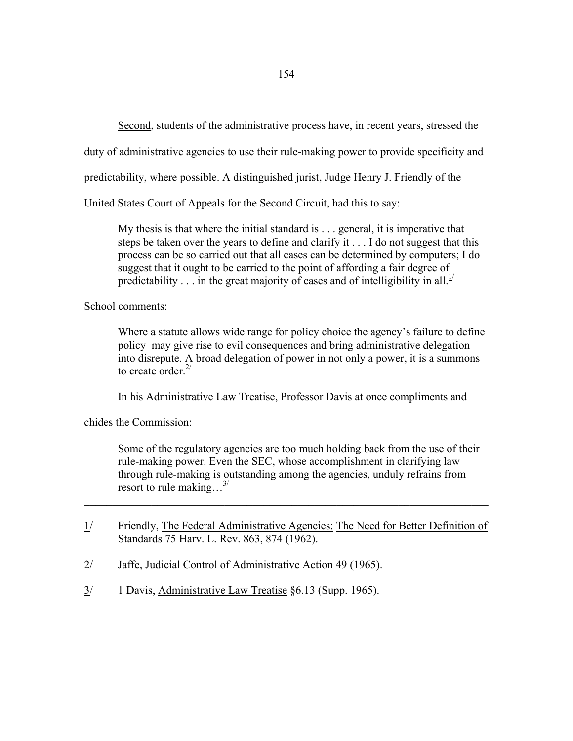Second, students of the administrative process have, in recent years, stressed the

duty of administrative agencies to use their rule-making power to provide specificity and

predictability, where possible. A distinguished jurist, Judge Henry J. Friendly of the

United States Court of Appeals for the Second Circuit, had this to say:

 My thesis is that where the initial standard is . . . general, it is imperative that steps be taken over the years to define and clarify it . . . I do not suggest that this process can be so carried out that all cases can be determined by computers; I do suggest that it ought to be carried to the point of affording a fair degree of predictability . . . in the great majority of cases and of intelligibility in all.<sup>1/</sup>

School comments:

 Where a statute allows wide range for policy choice the agency's failure to define policy may give rise to evil consequences and bring administrative delegation into disrepute. A broad delegation of power in not only a power, it is a summons to create order.<sup>2/</sup>

In his Administrative Law Treatise, Professor Davis at once compliments and

chides the Commission:

 Some of the regulatory agencies are too much holding back from the use of their rule-making power. Even the SEC, whose accomplishment in clarifying law through rule-making is outstanding among the agencies, unduly refrains from resort to rule making... $^{3/2}$ 

1/ Friendly, The Federal Administrative Agencies: The Need for Better Definition of Standards 75 Harv. L. Rev. 863, 874 (1962).

 $\mathcal{L}_\text{max} = \mathcal{L}_\text{max} = \mathcal{L}_\text{max} = \mathcal{L}_\text{max} = \mathcal{L}_\text{max} = \mathcal{L}_\text{max} = \mathcal{L}_\text{max} = \mathcal{L}_\text{max} = \mathcal{L}_\text{max} = \mathcal{L}_\text{max} = \mathcal{L}_\text{max} = \mathcal{L}_\text{max} = \mathcal{L}_\text{max} = \mathcal{L}_\text{max} = \mathcal{L}_\text{max} = \mathcal{L}_\text{max} = \mathcal{L}_\text{max} = \mathcal{L}_\text{max} = \mathcal{$ 

- 2/ Jaffe, Judicial Control of Administrative Action 49 (1965).
- 3/ 1 Davis, Administrative Law Treatise §6.13 (Supp. 1965).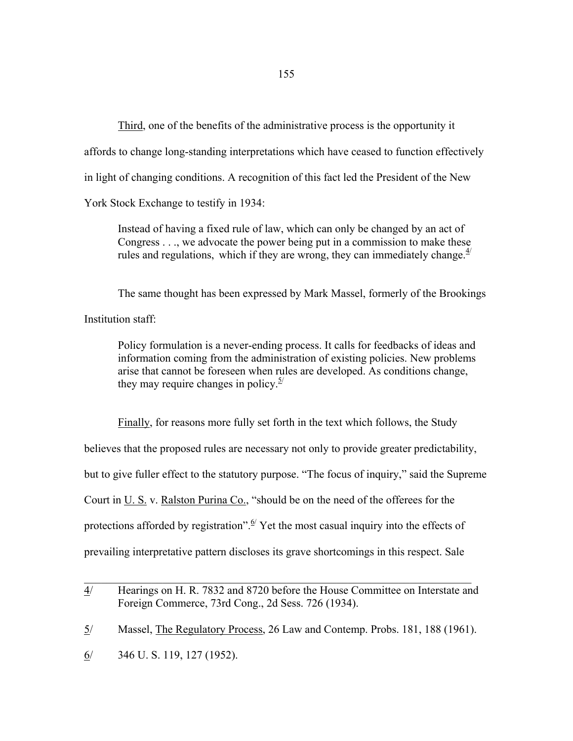Third, one of the benefits of the administrative process is the opportunity it affords to change long-standing interpretations which have ceased to function effectively in light of changing conditions. A recognition of this fact led the President of the New York Stock Exchange to testify in 1934:

 Instead of having a fixed rule of law, which can only be changed by an act of Congress . . ., we advocate the power being put in a commission to make these rules and regulations, which if they are wrong, they can immediately change.  $4/4$ 

The same thought has been expressed by Mark Massel, formerly of the Brookings

Institution staff:

 Policy formulation is a never-ending process. It calls for feedbacks of ideas and information coming from the administration of existing policies. New problems arise that cannot be foreseen when rules are developed. As conditions change, they may require changes in policy. $\frac{5}{2}$ 

Finally, for reasons more fully set forth in the text which follows, the Study

believes that the proposed rules are necessary not only to provide greater predictability,

but to give fuller effect to the statutory purpose. "The focus of inquiry," said the Supreme

Court in U. S. v. Ralston Purina Co., "should be on the need of the offerees for the

protections afforded by registration".  $\frac{6}{5}$  Yet the most casual inquiry into the effects of

prevailing interpretative pattern discloses its grave shortcomings in this respect. Sale

 $\_$  , and the contribution of the contribution of  $\mathcal{L}_\mathcal{A}$  , and the contribution of  $\mathcal{L}_\mathcal{A}$ 

<sup>4/</sup> Hearings on H. R. 7832 and 8720 before the House Committee on Interstate and Foreign Commerce, 73rd Cong., 2d Sess. 726 (1934).

<sup>5/</sup> Massel, The Regulatory Process, 26 Law and Contemp. Probs. 181, 188 (1961).

<sup>6/ 346</sup> U. S. 119, 127 (1952).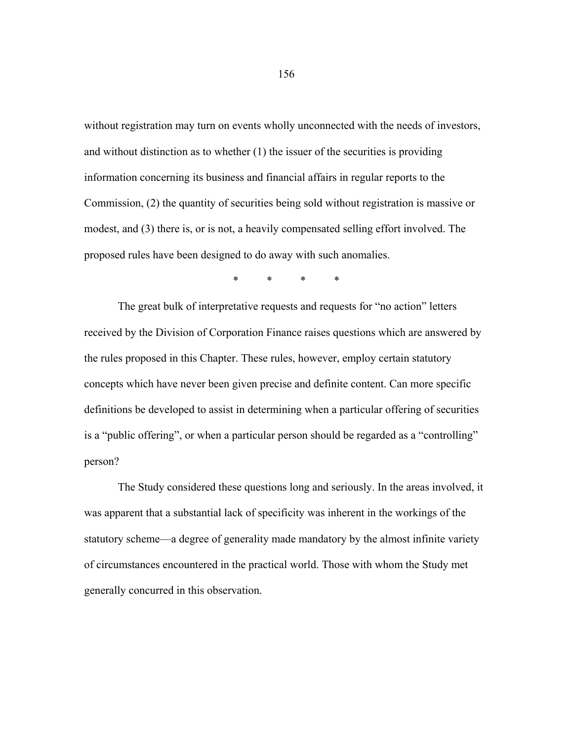without registration may turn on events wholly unconnected with the needs of investors, and without distinction as to whether (1) the issuer of the securities is providing information concerning its business and financial affairs in regular reports to the Commission, (2) the quantity of securities being sold without registration is massive or modest, and (3) there is, or is not, a heavily compensated selling effort involved. The proposed rules have been designed to do away with such anomalies.

\* \* \* \*

 The great bulk of interpretative requests and requests for "no action" letters received by the Division of Corporation Finance raises questions which are answered by the rules proposed in this Chapter. These rules, however, employ certain statutory concepts which have never been given precise and definite content. Can more specific definitions be developed to assist in determining when a particular offering of securities is a "public offering", or when a particular person should be regarded as a "controlling" person?

 The Study considered these questions long and seriously. In the areas involved, it was apparent that a substantial lack of specificity was inherent in the workings of the statutory scheme—a degree of generality made mandatory by the almost infinite variety of circumstances encountered in the practical world. Those with whom the Study met generally concurred in this observation.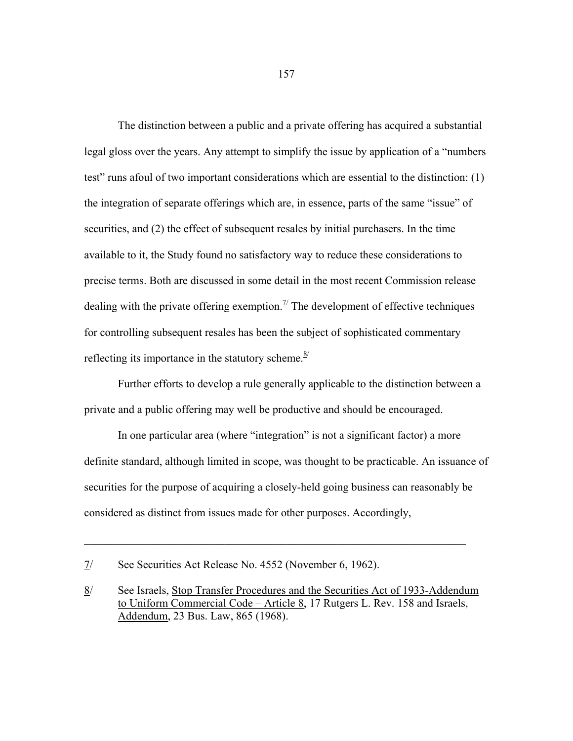The distinction between a public and a private offering has acquired a substantial legal gloss over the years. Any attempt to simplify the issue by application of a "numbers test" runs afoul of two important considerations which are essential to the distinction: (1) the integration of separate offerings which are, in essence, parts of the same "issue" of securities, and (2) the effect of subsequent resales by initial purchasers. In the time available to it, the Study found no satisfactory way to reduce these considerations to precise terms. Both are discussed in some detail in the most recent Commission release dealing with the private offering exemption.<sup> $\mathcal{I}'$ </sup> The development of effective techniques for controlling subsequent resales has been the subject of sophisticated commentary reflecting its importance in the statutory scheme. $\frac{8}{3}$ 

 Further efforts to develop a rule generally applicable to the distinction between a private and a public offering may well be productive and should be encouraged.

 In one particular area (where "integration" is not a significant factor) a more definite standard, although limited in scope, was thought to be practicable. An issuance of securities for the purpose of acquiring a closely-held going business can reasonably be considered as distinct from issues made for other purposes. Accordingly,

 $\mathcal{L}_\mathcal{L} = \mathcal{L}_\mathcal{L} = \mathcal{L}_\mathcal{L} = \mathcal{L}_\mathcal{L} = \mathcal{L}_\mathcal{L} = \mathcal{L}_\mathcal{L} = \mathcal{L}_\mathcal{L} = \mathcal{L}_\mathcal{L} = \mathcal{L}_\mathcal{L} = \mathcal{L}_\mathcal{L} = \mathcal{L}_\mathcal{L} = \mathcal{L}_\mathcal{L} = \mathcal{L}_\mathcal{L} = \mathcal{L}_\mathcal{L} = \mathcal{L}_\mathcal{L} = \mathcal{L}_\mathcal{L} = \mathcal{L}_\mathcal{L}$ 

<sup>7/</sup> See Securities Act Release No. 4552 (November 6, 1962).

<sup>8/</sup> See Israels, Stop Transfer Procedures and the Securities Act of 1933-Addendum to Uniform Commercial Code – Article 8, 17 Rutgers L. Rev. 158 and Israels, Addendum, 23 Bus. Law, 865 (1968).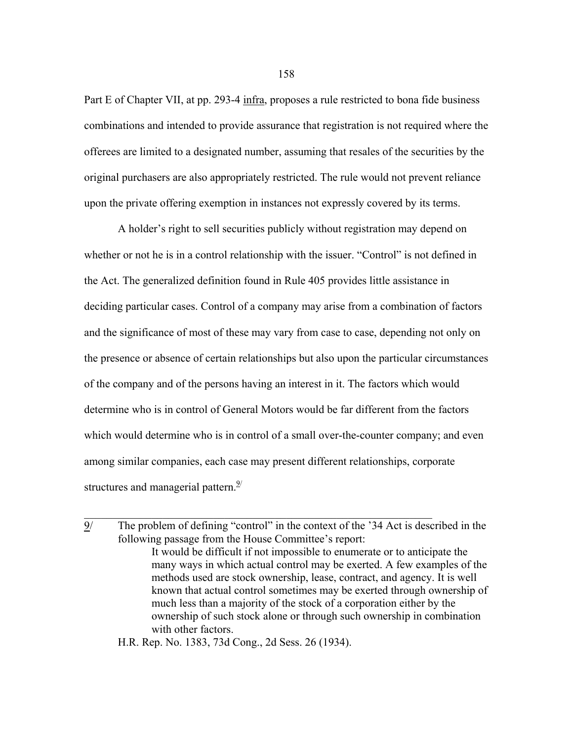Part E of Chapter VII, at pp. 293-4 infra, proposes a rule restricted to bona fide business combinations and intended to provide assurance that registration is not required where the offerees are limited to a designated number, assuming that resales of the securities by the original purchasers are also appropriately restricted. The rule would not prevent reliance upon the private offering exemption in instances not expressly covered by its terms.

 A holder's right to sell securities publicly without registration may depend on whether or not he is in a control relationship with the issuer. "Control" is not defined in the Act. The generalized definition found in Rule 405 provides little assistance in deciding particular cases. Control of a company may arise from a combination of factors and the significance of most of these may vary from case to case, depending not only on the presence or absence of certain relationships but also upon the particular circumstances of the company and of the persons having an interest in it. The factors which would determine who is in control of General Motors would be far different from the factors which would determine who is in control of a small over-the-counter company; and even among similar companies, each case may present different relationships, corporate structures and managerial pattern. $\frac{9}{2}$ 

 $\mathcal{L}_\text{max}$  , and the contribution of the contribution of the contribution of the contribution of the contribution of the contribution of the contribution of the contribution of the contribution of the contribution of t

H.R. Rep. No. 1383, 73d Cong., 2d Sess. 26 (1934).

<sup>9/</sup> The problem of defining "control" in the context of the '34 Act is described in the following passage from the House Committee's report: It would be difficult if not impossible to enumerate or to anticipate the many ways in which actual control may be exerted. A few examples of the methods used are stock ownership, lease, contract, and agency. It is well known that actual control sometimes may be exerted through ownership of much less than a majority of the stock of a corporation either by the ownership of such stock alone or through such ownership in combination with other factors.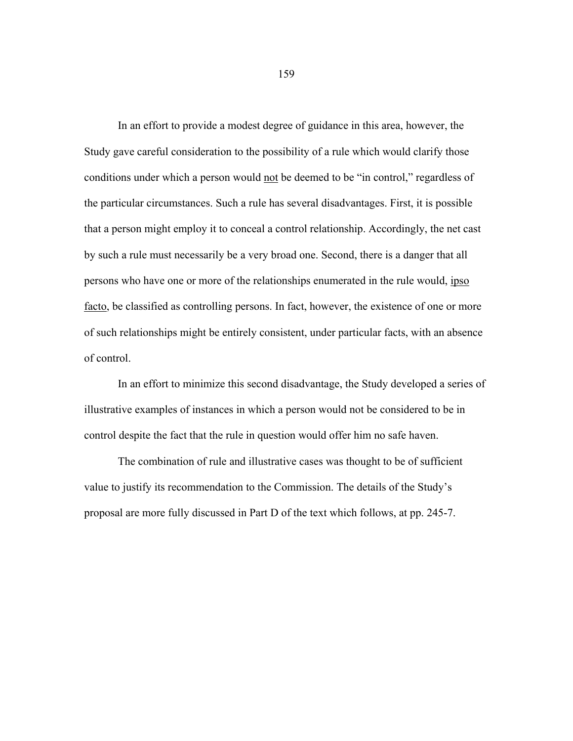In an effort to provide a modest degree of guidance in this area, however, the Study gave careful consideration to the possibility of a rule which would clarify those conditions under which a person would not be deemed to be "in control," regardless of the particular circumstances. Such a rule has several disadvantages. First, it is possible that a person might employ it to conceal a control relationship. Accordingly, the net cast by such a rule must necessarily be a very broad one. Second, there is a danger that all persons who have one or more of the relationships enumerated in the rule would, ipso facto, be classified as controlling persons. In fact, however, the existence of one or more of such relationships might be entirely consistent, under particular facts, with an absence of control.

 In an effort to minimize this second disadvantage, the Study developed a series of illustrative examples of instances in which a person would not be considered to be in control despite the fact that the rule in question would offer him no safe haven.

 The combination of rule and illustrative cases was thought to be of sufficient value to justify its recommendation to the Commission. The details of the Study's proposal are more fully discussed in Part D of the text which follows, at pp. 245-7.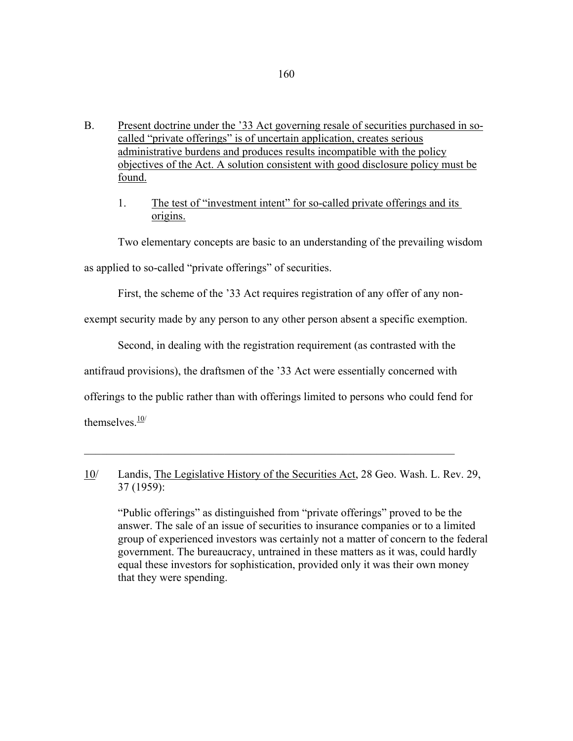- B. Present doctrine under the '33 Act governing resale of securities purchased in socalled "private offerings" is of uncertain application, creates serious administrative burdens and produces results incompatible with the policy objectives of the Act. A solution consistent with good disclosure policy must be found.
	- 1. The test of "investment intent" for so-called private offerings and its origins.

Two elementary concepts are basic to an understanding of the prevailing wisdom

as applied to so-called "private offerings" of securities.

First, the scheme of the '33 Act requires registration of any offer of any non-

exempt security made by any person to any other person absent a specific exemption.

Second, in dealing with the registration requirement (as contrasted with the

antifraud provisions), the draftsmen of the '33 Act were essentially concerned with

 $\mathcal{L}_\mathcal{L} = \mathcal{L}_\mathcal{L} = \mathcal{L}_\mathcal{L} = \mathcal{L}_\mathcal{L} = \mathcal{L}_\mathcal{L} = \mathcal{L}_\mathcal{L} = \mathcal{L}_\mathcal{L} = \mathcal{L}_\mathcal{L} = \mathcal{L}_\mathcal{L} = \mathcal{L}_\mathcal{L} = \mathcal{L}_\mathcal{L} = \mathcal{L}_\mathcal{L} = \mathcal{L}_\mathcal{L} = \mathcal{L}_\mathcal{L} = \mathcal{L}_\mathcal{L} = \mathcal{L}_\mathcal{L} = \mathcal{L}_\mathcal{L}$ 

offerings to the public rather than with offerings limited to persons who could fend for

themselves  $\frac{10}{1}$ 

10/ Landis, The Legislative History of the Securities Act, 28 Geo. Wash. L. Rev. 29, 37 (1959):

 "Public offerings" as distinguished from "private offerings" proved to be the answer. The sale of an issue of securities to insurance companies or to a limited group of experienced investors was certainly not a matter of concern to the federal government. The bureaucracy, untrained in these matters as it was, could hardly equal these investors for sophistication, provided only it was their own money that they were spending.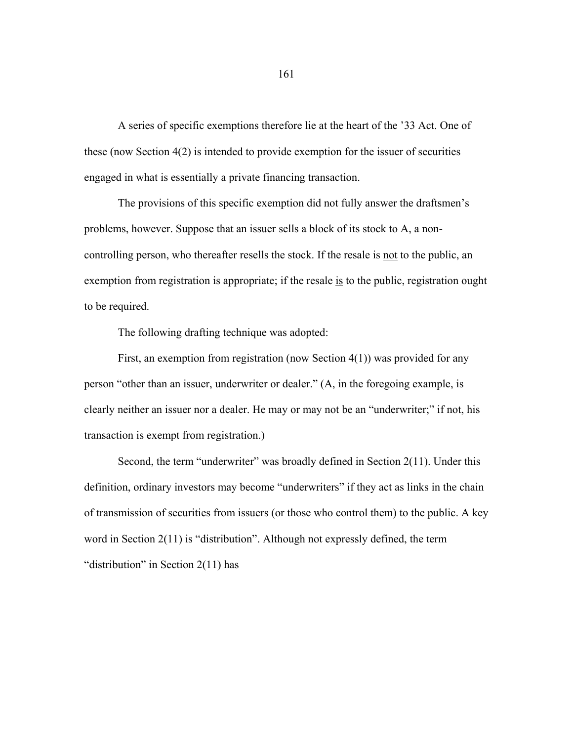A series of specific exemptions therefore lie at the heart of the '33 Act. One of these (now Section 4(2) is intended to provide exemption for the issuer of securities engaged in what is essentially a private financing transaction.

 The provisions of this specific exemption did not fully answer the draftsmen's problems, however. Suppose that an issuer sells a block of its stock to A, a noncontrolling person, who thereafter resells the stock. If the resale is not to the public, an exemption from registration is appropriate; if the resale is to the public, registration ought to be required.

The following drafting technique was adopted:

 First, an exemption from registration (now Section 4(1)) was provided for any person "other than an issuer, underwriter or dealer." (A, in the foregoing example, is clearly neither an issuer nor a dealer. He may or may not be an "underwriter;" if not, his transaction is exempt from registration.)

Second, the term "underwriter" was broadly defined in Section 2(11). Under this definition, ordinary investors may become "underwriters" if they act as links in the chain of transmission of securities from issuers (or those who control them) to the public. A key word in Section 2(11) is "distribution". Although not expressly defined, the term "distribution" in Section 2(11) has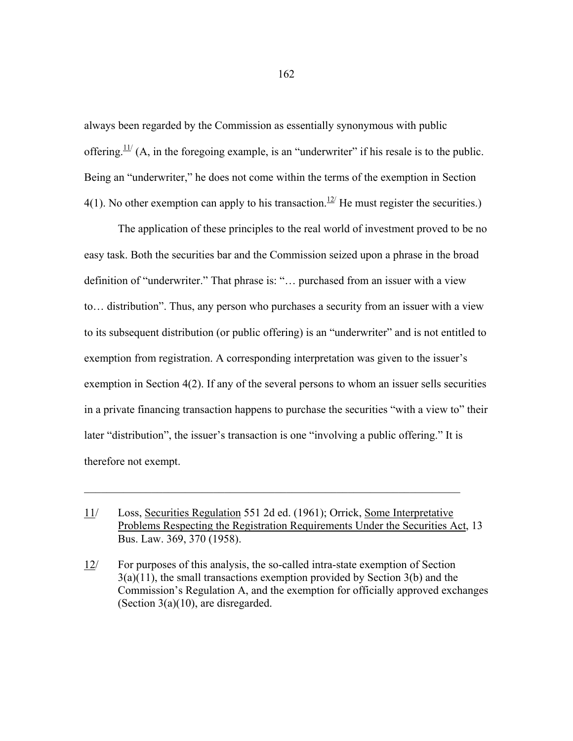always been regarded by the Commission as essentially synonymous with public offering.<sup> $11/$ </sup> (A, in the foregoing example, is an "underwriter" if his resale is to the public. Being an "underwriter," he does not come within the terms of the exemption in Section 4(1). No other exemption can apply to his transaction.<sup>12/</sup> He must register the securities.)

 The application of these principles to the real world of investment proved to be no easy task. Both the securities bar and the Commission seized upon a phrase in the broad definition of "underwriter." That phrase is: "… purchased from an issuer with a view to… distribution". Thus, any person who purchases a security from an issuer with a view to its subsequent distribution (or public offering) is an "underwriter" and is not entitled to exemption from registration. A corresponding interpretation was given to the issuer's exemption in Section 4(2). If any of the several persons to whom an issuer sells securities in a private financing transaction happens to purchase the securities "with a view to" their later "distribution", the issuer's transaction is one "involving a public offering." It is therefore not exempt.

 $\_$  , and the set of the set of the set of the set of the set of the set of the set of the set of the set of the set of the set of the set of the set of the set of the set of the set of the set of the set of the set of th

<sup>11/</sup> Loss, Securities Regulation 551 2d ed. (1961); Orrick, Some Interpretative Problems Respecting the Registration Requirements Under the Securities Act, 13 Bus. Law. 369, 370 (1958).

<sup>12/</sup> For purposes of this analysis, the so-called intra-state exemption of Section  $3(a)(11)$ , the small transactions exemption provided by Section  $3(b)$  and the Commission's Regulation A, and the exemption for officially approved exchanges (Section 3(a)(10), are disregarded.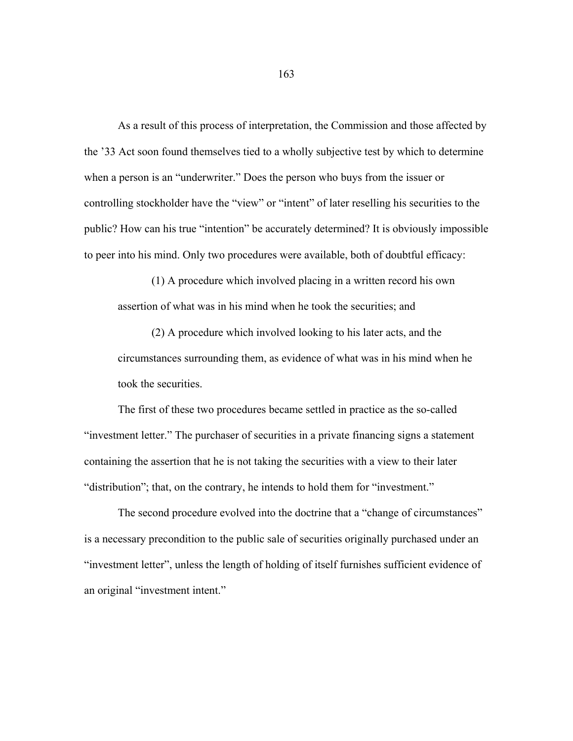As a result of this process of interpretation, the Commission and those affected by the '33 Act soon found themselves tied to a wholly subjective test by which to determine when a person is an "underwriter." Does the person who buys from the issuer or controlling stockholder have the "view" or "intent" of later reselling his securities to the public? How can his true "intention" be accurately determined? It is obviously impossible to peer into his mind. Only two procedures were available, both of doubtful efficacy:

 (1) A procedure which involved placing in a written record his own assertion of what was in his mind when he took the securities; and

 (2) A procedure which involved looking to his later acts, and the circumstances surrounding them, as evidence of what was in his mind when he took the securities.

 The first of these two procedures became settled in practice as the so-called "investment letter." The purchaser of securities in a private financing signs a statement containing the assertion that he is not taking the securities with a view to their later "distribution"; that, on the contrary, he intends to hold them for "investment."

 The second procedure evolved into the doctrine that a "change of circumstances" is a necessary precondition to the public sale of securities originally purchased under an "investment letter", unless the length of holding of itself furnishes sufficient evidence of an original "investment intent."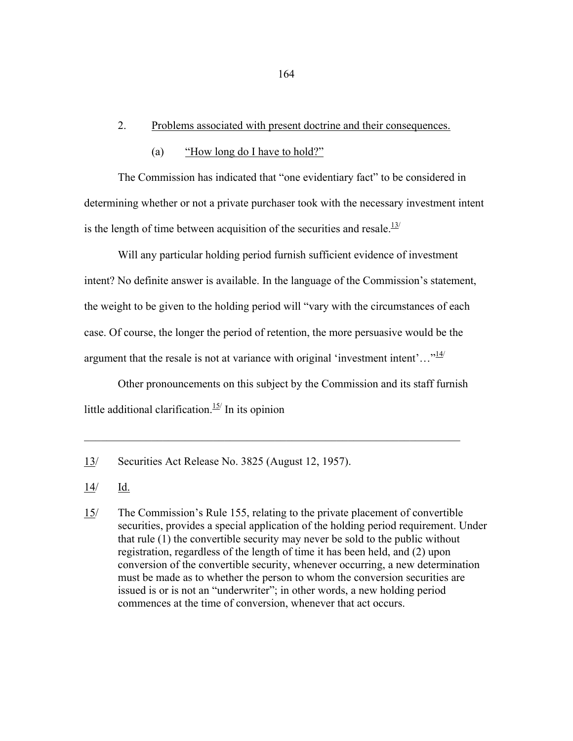### 2. Problems associated with present doctrine and their consequences.

(a) "How long do I have to hold?"

The Commission has indicated that "one evidentiary fact" to be considered in determining whether or not a private purchaser took with the necessary investment intent is the length of time between acquisition of the securities and resale. $13/$ 

 Will any particular holding period furnish sufficient evidence of investment intent? No definite answer is available. In the language of the Commission's statement, the weight to be given to the holding period will "vary with the circumstances of each case. Of course, the longer the period of retention, the more persuasive would be the argument that the resale is not at variance with original 'investment intent'..." $\frac{14}{1}$ 

 Other pronouncements on this subject by the Commission and its staff furnish little additional clarification.<sup>15/</sup> In its opinion

 $\mathcal{L}_\text{max} = \mathcal{L}_\text{max} = \mathcal{L}_\text{max} = \mathcal{L}_\text{max} = \mathcal{L}_\text{max} = \mathcal{L}_\text{max} = \mathcal{L}_\text{max} = \mathcal{L}_\text{max} = \mathcal{L}_\text{max} = \mathcal{L}_\text{max} = \mathcal{L}_\text{max} = \mathcal{L}_\text{max} = \mathcal{L}_\text{max} = \mathcal{L}_\text{max} = \mathcal{L}_\text{max} = \mathcal{L}_\text{max} = \mathcal{L}_\text{max} = \mathcal{L}_\text{max} = \mathcal{$ 

<sup>13/</sup> Securities Act Release No. 3825 (August 12, 1957).

<sup>14/</sup> Id.

<sup>15/</sup> The Commission's Rule 155, relating to the private placement of convertible securities, provides a special application of the holding period requirement. Under that rule (1) the convertible security may never be sold to the public without registration, regardless of the length of time it has been held, and (2) upon conversion of the convertible security, whenever occurring, a new determination must be made as to whether the person to whom the conversion securities are issued is or is not an "underwriter"; in other words, a new holding period commences at the time of conversion, whenever that act occurs.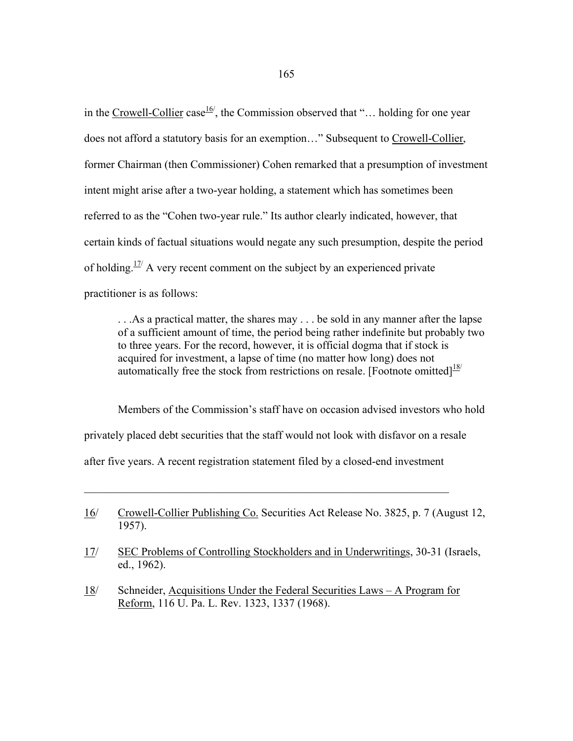in the Crowell-Collier case<sup>16'</sup>, the Commission observed that "... holding for one year does not afford a statutory basis for an exemption..." Subsequent to Crowell-Collier, former Chairman (then Commissioner) Cohen remarked that a presumption of investment intent might arise after a two-year holding, a statement which has sometimes been referred to as the "Cohen two-year rule." Its author clearly indicated, however, that certain kinds of factual situations would negate any such presumption, despite the period of holding.<sup>17/</sup> A very recent comment on the subject by an experienced private practitioner is as follows:

 . . .As a practical matter, the shares may . . . be sold in any manner after the lapse of a sufficient amount of time, the period being rather indefinite but probably two to three years. For the record, however, it is official dogma that if stock is acquired for investment, a lapse of time (no matter how long) does not automatically free the stock from restrictions on resale. [Footnote omitted] $18/$ 

 Members of the Commission's staff have on occasion advised investors who hold privately placed debt securities that the staff would not look with disfavor on a resale after five years. A recent registration statement filed by a closed-end investment

 $\_$  , and the set of the set of the set of the set of the set of the set of the set of the set of the set of the set of the set of the set of the set of the set of the set of the set of the set of the set of the set of th

- 17/ SEC Problems of Controlling Stockholders and in Underwritings, 30-31 (Israels, ed., 1962).
- 18/ Schneider, Acquisitions Under the Federal Securities Laws A Program for Reform, 116 U. Pa. L. Rev. 1323, 1337 (1968).

<sup>16/</sup> Crowell-Collier Publishing Co. Securities Act Release No. 3825, p. 7 (August 12, 1957).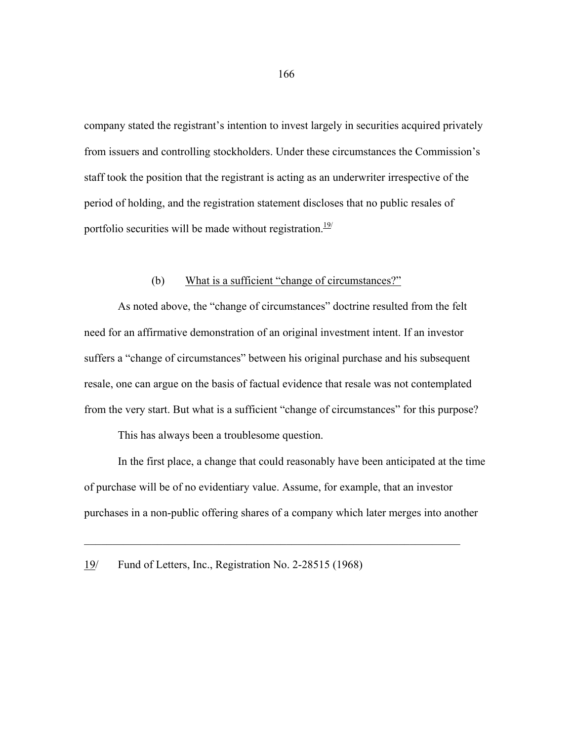company stated the registrant's intention to invest largely in securities acquired privately from issuers and controlling stockholders. Under these circumstances the Commission's staff took the position that the registrant is acting as an underwriter irrespective of the period of holding, and the registration statement discloses that no public resales of portfolio securities will be made without registration. $19/1$ 

### (b) What is a sufficient "change of circumstances?"

 As noted above, the "change of circumstances" doctrine resulted from the felt need for an affirmative demonstration of an original investment intent. If an investor suffers a "change of circumstances" between his original purchase and his subsequent resale, one can argue on the basis of factual evidence that resale was not contemplated from the very start. But what is a sufficient "change of circumstances" for this purpose?

This has always been a troublesome question.

 In the first place, a change that could reasonably have been anticipated at the time of purchase will be of no evidentiary value. Assume, for example, that an investor purchases in a non-public offering shares of a company which later merges into another

 $\_$  , and the set of the set of the set of the set of the set of the set of the set of the set of the set of the set of the set of the set of the set of the set of the set of the set of the set of the set of the set of th

<sup>19/</sup> Fund of Letters, Inc., Registration No. 2-28515 (1968)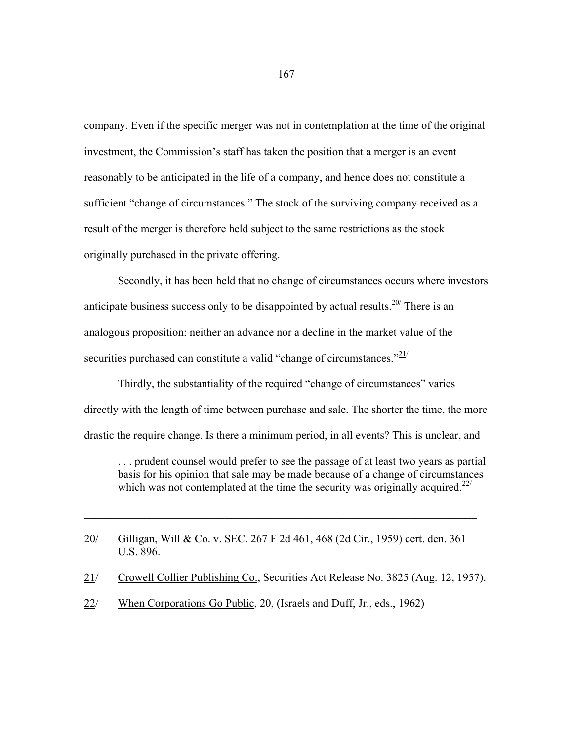company. Even if the specific merger was not in contemplation at the time of the original investment, the Commission's staff has taken the position that a merger is an event reasonably to be anticipated in the life of a company, and hence does not constitute a sufficient "change of circumstances." The stock of the surviving company received as a result of the merger is therefore held subject to the same restrictions as the stock originally purchased in the private offering.

 Secondly, it has been held that no change of circumstances occurs where investors anticipate business success only to be disappointed by actual results.  $20/$  There is an analogous proposition: neither an advance nor a decline in the market value of the securities purchased can constitute a valid "change of circumstances." $21/2$ 

 Thirdly, the substantiality of the required "change of circumstances" varies directly with the length of time between purchase and sale. The shorter the time, the more drastic the require change. Is there a minimum period, in all events? This is unclear, and

 . . . prudent counsel would prefer to see the passage of at least two years as partial basis for his opinion that sale may be made because of a change of circumstances which was not contemplated at the time the security was originally acquired.<sup>22/</sup>

20/ Gilligan, Will & Co. v. SEC. 267 F 2d 461, 468 (2d Cir., 1959) cert. den. 361 U.S. 896.

 $\_$  , and the contribution of the contribution of  $\mathcal{L}_\mathcal{A}$  , and the contribution of  $\mathcal{L}_\mathcal{A}$ 

- 21/ Crowell Collier Publishing Co., Securities Act Release No. 3825 (Aug. 12, 1957).
- 22/ When Corporations Go Public, 20, (Israels and Duff, Jr., eds., 1962)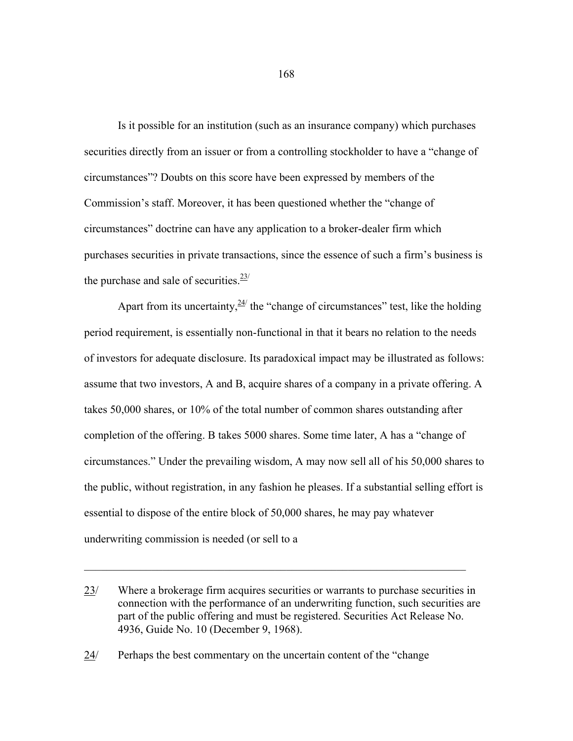Is it possible for an institution (such as an insurance company) which purchases securities directly from an issuer or from a controlling stockholder to have a "change of circumstances"? Doubts on this score have been expressed by members of the Commission's staff. Moreover, it has been questioned whether the "change of circumstances" doctrine can have any application to a broker-dealer firm which purchases securities in private transactions, since the essence of such a firm's business is the purchase and sale of securities. $\frac{23}{1}$ 

Apart from its uncertainty,  $\frac{24}{1}$  the "change of circumstances" test, like the holding period requirement, is essentially non-functional in that it bears no relation to the needs of investors for adequate disclosure. Its paradoxical impact may be illustrated as follows: assume that two investors, A and B, acquire shares of a company in a private offering. A takes 50,000 shares, or 10% of the total number of common shares outstanding after completion of the offering. B takes 5000 shares. Some time later, A has a "change of circumstances." Under the prevailing wisdom, A may now sell all of his 50,000 shares to the public, without registration, in any fashion he pleases. If a substantial selling effort is essential to dispose of the entire block of 50,000 shares, he may pay whatever underwriting commission is needed (or sell to a

 $\mathcal{L}_\text{max} = \mathcal{L}_\text{max} = \mathcal{L}_\text{max} = \mathcal{L}_\text{max} = \mathcal{L}_\text{max} = \mathcal{L}_\text{max} = \mathcal{L}_\text{max} = \mathcal{L}_\text{max} = \mathcal{L}_\text{max} = \mathcal{L}_\text{max} = \mathcal{L}_\text{max} = \mathcal{L}_\text{max} = \mathcal{L}_\text{max} = \mathcal{L}_\text{max} = \mathcal{L}_\text{max} = \mathcal{L}_\text{max} = \mathcal{L}_\text{max} = \mathcal{L}_\text{max} = \mathcal{$ 

24/ Perhaps the best commentary on the uncertain content of the "change

<sup>23/</sup> Where a brokerage firm acquires securities or warrants to purchase securities in connection with the performance of an underwriting function, such securities are part of the public offering and must be registered. Securities Act Release No. 4936, Guide No. 10 (December 9, 1968).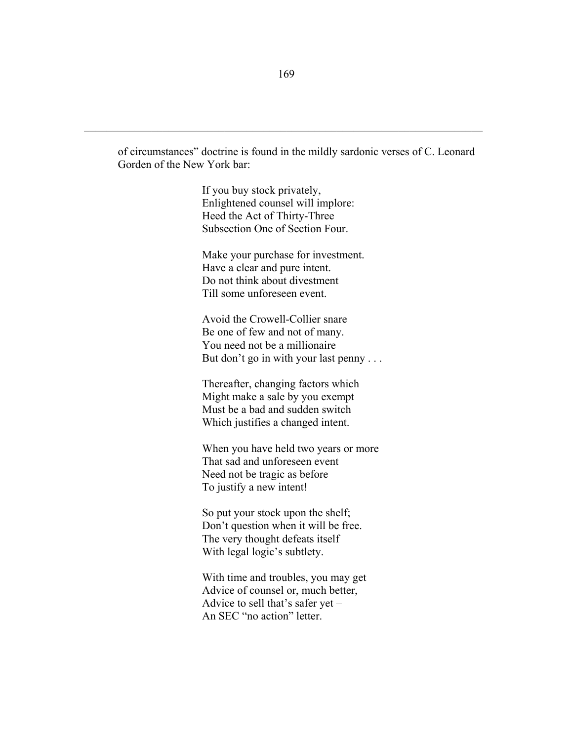of circumstances" doctrine is found in the mildly sardonic verses of C. Leonard Gorden of the New York bar:

> If you buy stock privately, Enlightened counsel will implore: Heed the Act of Thirty-Three Subsection One of Section Four.

Make your purchase for investment. Have a clear and pure intent. Do not think about divestment Till some unforeseen event.

Avoid the Crowell-Collier snare Be one of few and not of many. You need not be a millionaire But don't go in with your last penny . . .

Thereafter, changing factors which Might make a sale by you exempt Must be a bad and sudden switch Which justifies a changed intent.

When you have held two years or more That sad and unforeseen event Need not be tragic as before To justify a new intent!

So put your stock upon the shelf; Don't question when it will be free. The very thought defeats itself With legal logic's subtlety.

With time and troubles, you may get Advice of counsel or, much better, Advice to sell that's safer yet – An SEC "no action" letter.

 $\mathcal{L}_\text{max} = \mathcal{L}_\text{max} = \mathcal{L}_\text{max} = \mathcal{L}_\text{max} = \mathcal{L}_\text{max} = \mathcal{L}_\text{max} = \mathcal{L}_\text{max} = \mathcal{L}_\text{max} = \mathcal{L}_\text{max} = \mathcal{L}_\text{max} = \mathcal{L}_\text{max} = \mathcal{L}_\text{max} = \mathcal{L}_\text{max} = \mathcal{L}_\text{max} = \mathcal{L}_\text{max} = \mathcal{L}_\text{max} = \mathcal{L}_\text{max} = \mathcal{L}_\text{max} = \mathcal{$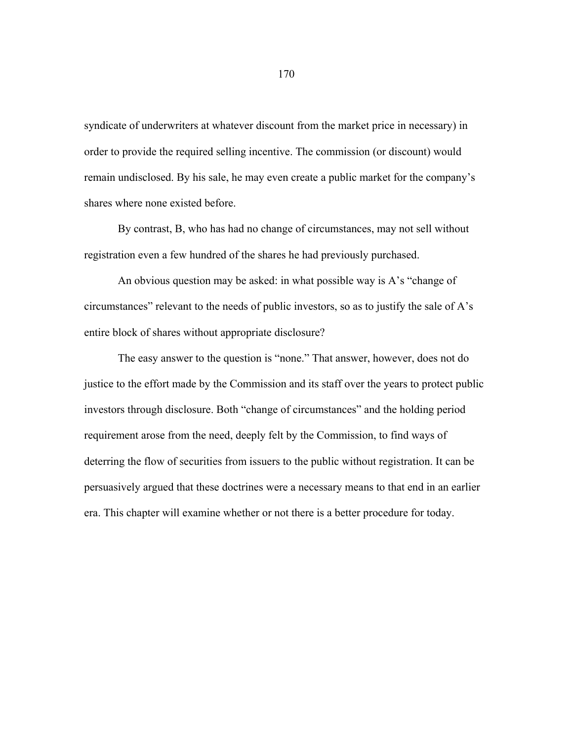syndicate of underwriters at whatever discount from the market price in necessary) in order to provide the required selling incentive. The commission (or discount) would remain undisclosed. By his sale, he may even create a public market for the company's shares where none existed before.

 By contrast, B, who has had no change of circumstances, may not sell without registration even a few hundred of the shares he had previously purchased.

 An obvious question may be asked: in what possible way is A's "change of circumstances" relevant to the needs of public investors, so as to justify the sale of A's entire block of shares without appropriate disclosure?

 The easy answer to the question is "none." That answer, however, does not do justice to the effort made by the Commission and its staff over the years to protect public investors through disclosure. Both "change of circumstances" and the holding period requirement arose from the need, deeply felt by the Commission, to find ways of deterring the flow of securities from issuers to the public without registration. It can be persuasively argued that these doctrines were a necessary means to that end in an earlier era. This chapter will examine whether or not there is a better procedure for today.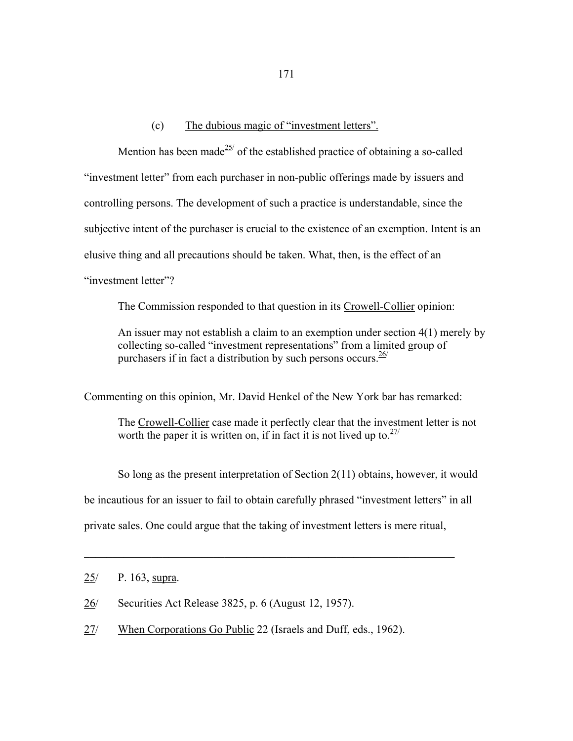## (c) The dubious magic of "investment letters".

Mention has been made<sup>25/</sup> of the established practice of obtaining a so-called "investment letter" from each purchaser in non-public offerings made by issuers and controlling persons. The development of such a practice is understandable, since the subjective intent of the purchaser is crucial to the existence of an exemption. Intent is an elusive thing and all precautions should be taken. What, then, is the effect of an "investment letter"?

The Commission responded to that question in its Crowell-Collier opinion:

 An issuer may not establish a claim to an exemption under section 4(1) merely by collecting so-called "investment representations" from a limited group of purchasers if in fact a distribution by such persons occurs.  $\frac{26}{ }$ 

Commenting on this opinion, Mr. David Henkel of the New York bar has remarked:

 The Crowell-Collier case made it perfectly clear that the investment letter is not worth the paper it is written on, if in fact it is not lived up to.  $27/2$ 

 So long as the present interpretation of Section 2(11) obtains, however, it would be incautious for an issuer to fail to obtain carefully phrased "investment letters" in all private sales. One could argue that the taking of investment letters is mere ritual,

 $\mathcal{L}_\mathcal{L}$  , and the contribution of the contribution of the contribution of the contribution of the contribution of the contribution of the contribution of the contribution of the contribution of the contribution of

- 26/ Securities Act Release 3825, p. 6 (August 12, 1957).
- 27/ When Corporations Go Public 22 (Israels and Duff, eds., 1962).

<sup>25/</sup> P. 163, supra.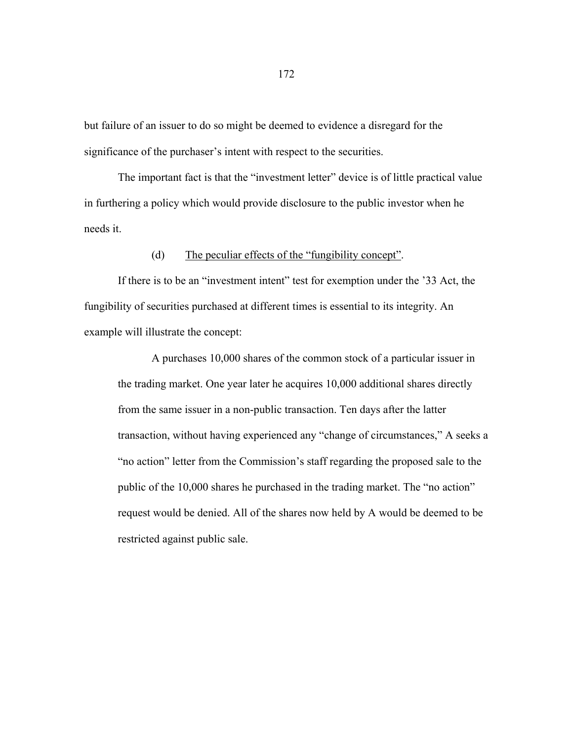but failure of an issuer to do so might be deemed to evidence a disregard for the significance of the purchaser's intent with respect to the securities.

 The important fact is that the "investment letter" device is of little practical value in furthering a policy which would provide disclosure to the public investor when he needs it.

#### (d) The peculiar effects of the "fungibility concept".

 If there is to be an "investment intent" test for exemption under the '33 Act, the fungibility of securities purchased at different times is essential to its integrity. An example will illustrate the concept:

 A purchases 10,000 shares of the common stock of a particular issuer in the trading market. One year later he acquires 10,000 additional shares directly from the same issuer in a non-public transaction. Ten days after the latter transaction, without having experienced any "change of circumstances," A seeks a "no action" letter from the Commission's staff regarding the proposed sale to the public of the 10,000 shares he purchased in the trading market. The "no action" request would be denied. All of the shares now held by A would be deemed to be restricted against public sale.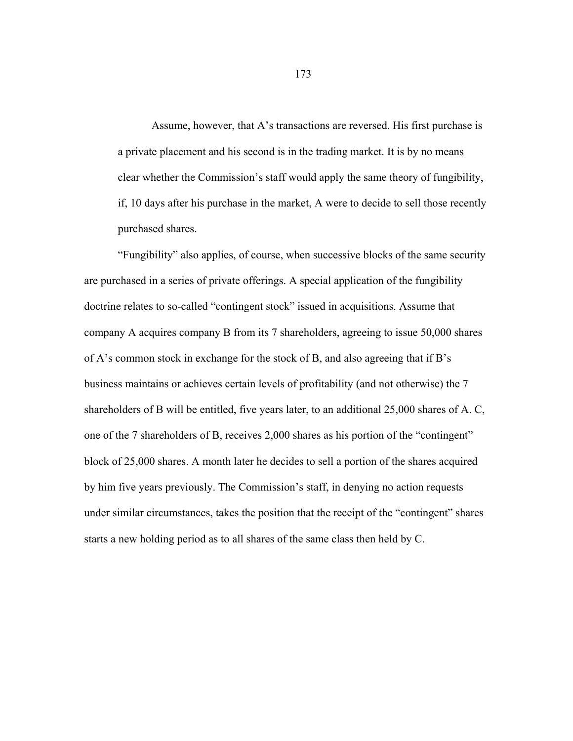Assume, however, that A's transactions are reversed. His first purchase is a private placement and his second is in the trading market. It is by no means clear whether the Commission's staff would apply the same theory of fungibility, if, 10 days after his purchase in the market, A were to decide to sell those recently purchased shares.

 "Fungibility" also applies, of course, when successive blocks of the same security are purchased in a series of private offerings. A special application of the fungibility doctrine relates to so-called "contingent stock" issued in acquisitions. Assume that company A acquires company B from its 7 shareholders, agreeing to issue 50,000 shares of A's common stock in exchange for the stock of B, and also agreeing that if B's business maintains or achieves certain levels of profitability (and not otherwise) the 7 shareholders of B will be entitled, five years later, to an additional 25,000 shares of A. C, one of the 7 shareholders of B, receives 2,000 shares as his portion of the "contingent" block of 25,000 shares. A month later he decides to sell a portion of the shares acquired by him five years previously. The Commission's staff, in denying no action requests under similar circumstances, takes the position that the receipt of the "contingent" shares starts a new holding period as to all shares of the same class then held by C.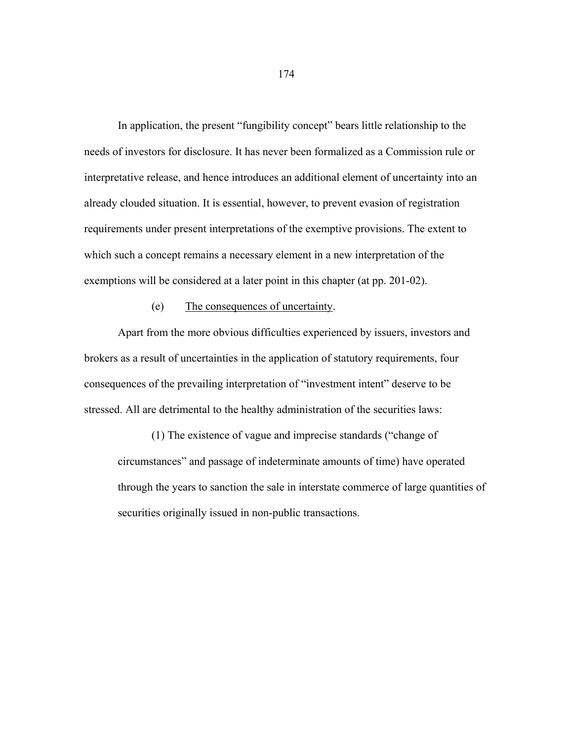In application, the present "fungibility concept" bears little relationship to the needs of investors for disclosure. It has never been formalized as a Commission rule or interpretative release, and hence introduces an additional element of uncertainty into an already clouded situation. It is essential, however, to prevent evasion of registration requirements under present interpretations of the exemptive provisions. The extent to which such a concept remains a necessary element in a new interpretation of the exemptions will be considered at a later point in this chapter (at pp. 201-02).

### (e) The consequences of uncertainty.

 Apart from the more obvious difficulties experienced by issuers, investors and brokers as a result of uncertainties in the application of statutory requirements, four consequences of the prevailing interpretation of "investment intent" deserve to be stressed. All are detrimental to the healthy administration of the securities laws:

 (1) The existence of vague and imprecise standards ("change of circumstances" and passage of indeterminate amounts of time) have operated through the years to sanction the sale in interstate commerce of large quantities of securities originally issued in non-public transactions.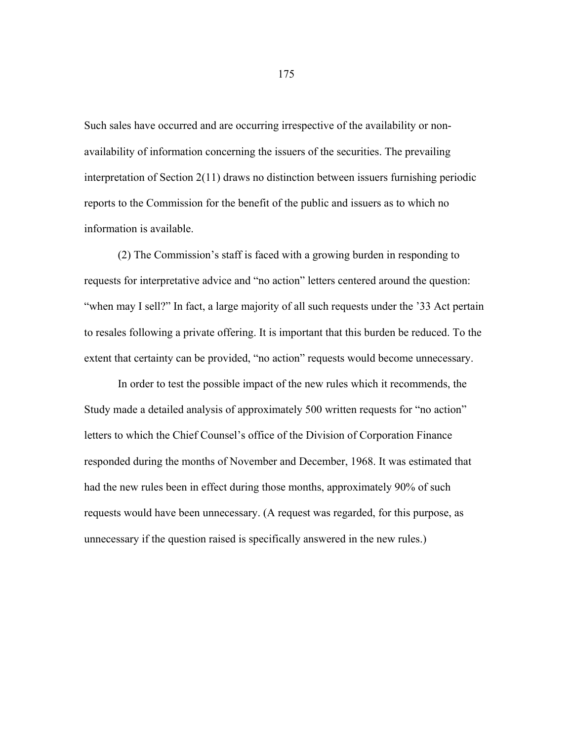Such sales have occurred and are occurring irrespective of the availability or nonavailability of information concerning the issuers of the securities. The prevailing interpretation of Section 2(11) draws no distinction between issuers furnishing periodic reports to the Commission for the benefit of the public and issuers as to which no information is available.

 (2) The Commission's staff is faced with a growing burden in responding to requests for interpretative advice and "no action" letters centered around the question: "when may I sell?" In fact, a large majority of all such requests under the '33 Act pertain to resales following a private offering. It is important that this burden be reduced. To the extent that certainty can be provided, "no action" requests would become unnecessary.

 In order to test the possible impact of the new rules which it recommends, the Study made a detailed analysis of approximately 500 written requests for "no action" letters to which the Chief Counsel's office of the Division of Corporation Finance responded during the months of November and December, 1968. It was estimated that had the new rules been in effect during those months, approximately 90% of such requests would have been unnecessary. (A request was regarded, for this purpose, as unnecessary if the question raised is specifically answered in the new rules.)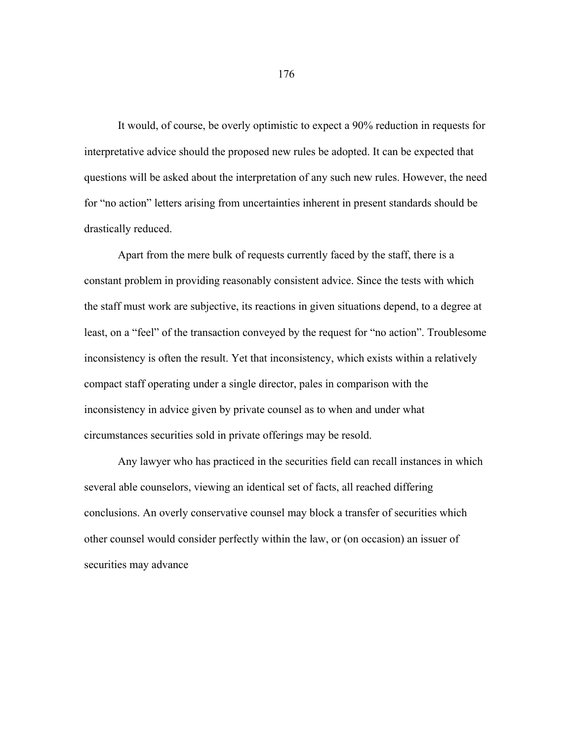It would, of course, be overly optimistic to expect a 90% reduction in requests for interpretative advice should the proposed new rules be adopted. It can be expected that questions will be asked about the interpretation of any such new rules. However, the need for "no action" letters arising from uncertainties inherent in present standards should be drastically reduced.

 Apart from the mere bulk of requests currently faced by the staff, there is a constant problem in providing reasonably consistent advice. Since the tests with which the staff must work are subjective, its reactions in given situations depend, to a degree at least, on a "feel" of the transaction conveyed by the request for "no action". Troublesome inconsistency is often the result. Yet that inconsistency, which exists within a relatively compact staff operating under a single director, pales in comparison with the inconsistency in advice given by private counsel as to when and under what circumstances securities sold in private offerings may be resold.

 Any lawyer who has practiced in the securities field can recall instances in which several able counselors, viewing an identical set of facts, all reached differing conclusions. An overly conservative counsel may block a transfer of securities which other counsel would consider perfectly within the law, or (on occasion) an issuer of securities may advance

176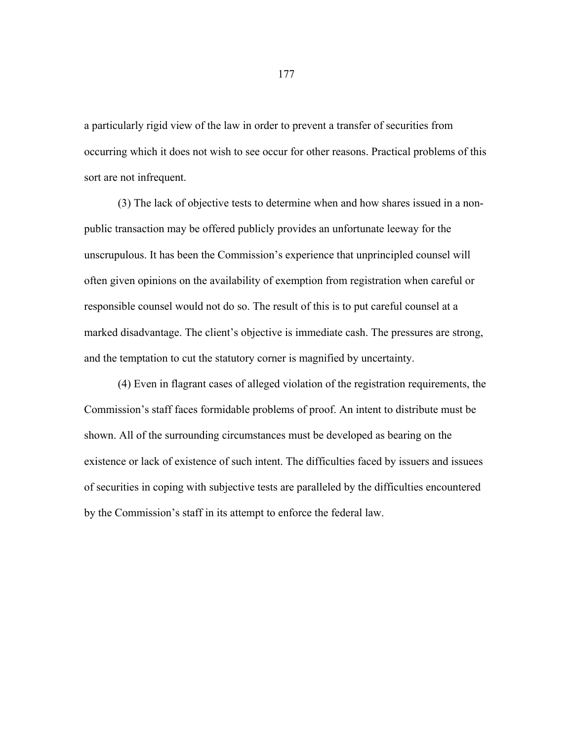a particularly rigid view of the law in order to prevent a transfer of securities from occurring which it does not wish to see occur for other reasons. Practical problems of this sort are not infrequent.

 (3) The lack of objective tests to determine when and how shares issued in a nonpublic transaction may be offered publicly provides an unfortunate leeway for the unscrupulous. It has been the Commission's experience that unprincipled counsel will often given opinions on the availability of exemption from registration when careful or responsible counsel would not do so. The result of this is to put careful counsel at a marked disadvantage. The client's objective is immediate cash. The pressures are strong, and the temptation to cut the statutory corner is magnified by uncertainty.

 (4) Even in flagrant cases of alleged violation of the registration requirements, the Commission's staff faces formidable problems of proof. An intent to distribute must be shown. All of the surrounding circumstances must be developed as bearing on the existence or lack of existence of such intent. The difficulties faced by issuers and issuees of securities in coping with subjective tests are paralleled by the difficulties encountered by the Commission's staff in its attempt to enforce the federal law.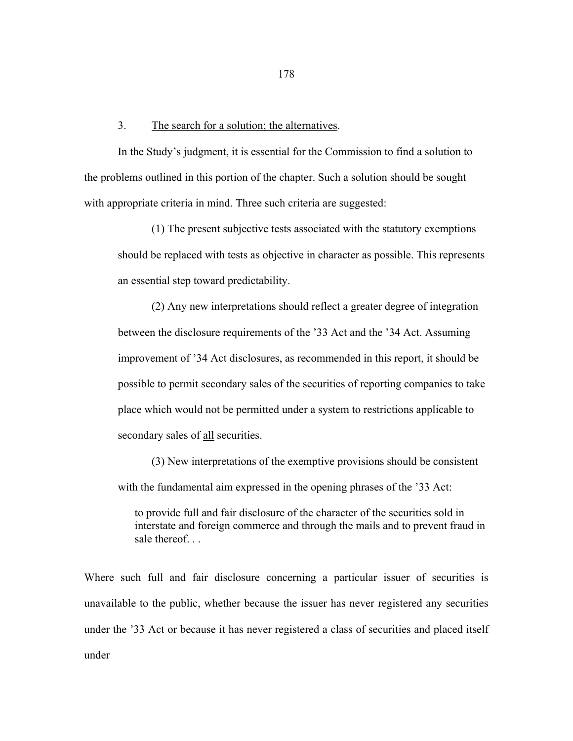#### 3. The search for a solution; the alternatives.

 In the Study's judgment, it is essential for the Commission to find a solution to the problems outlined in this portion of the chapter. Such a solution should be sought with appropriate criteria in mind. Three such criteria are suggested:

 (1) The present subjective tests associated with the statutory exemptions should be replaced with tests as objective in character as possible. This represents an essential step toward predictability.

 (2) Any new interpretations should reflect a greater degree of integration between the disclosure requirements of the '33 Act and the '34 Act. Assuming improvement of '34 Act disclosures, as recommended in this report, it should be possible to permit secondary sales of the securities of reporting companies to take place which would not be permitted under a system to restrictions applicable to secondary sales of all securities.

 (3) New interpretations of the exemptive provisions should be consistent with the fundamental aim expressed in the opening phrases of the '33 Act:

to provide full and fair disclosure of the character of the securities sold in interstate and foreign commerce and through the mails and to prevent fraud in sale thereof

Where such full and fair disclosure concerning a particular issuer of securities is unavailable to the public, whether because the issuer has never registered any securities under the '33 Act or because it has never registered a class of securities and placed itself under

178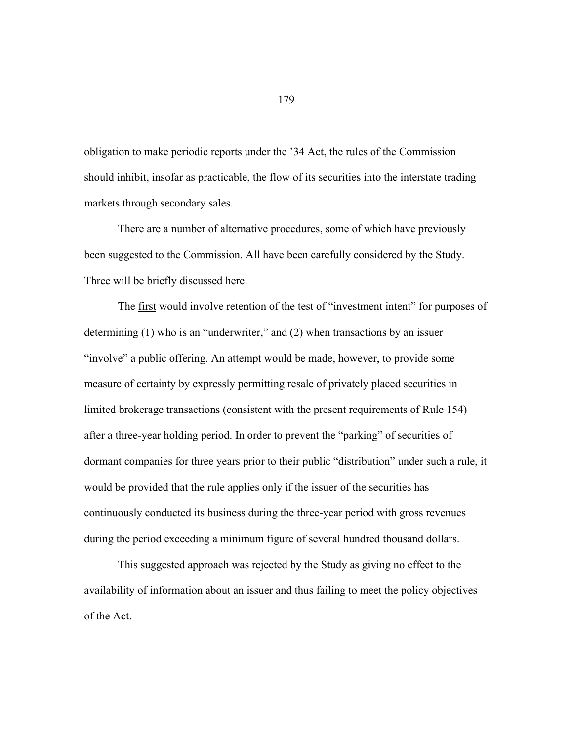obligation to make periodic reports under the '34 Act, the rules of the Commission should inhibit, insofar as practicable, the flow of its securities into the interstate trading markets through secondary sales.

 There are a number of alternative procedures, some of which have previously been suggested to the Commission. All have been carefully considered by the Study. Three will be briefly discussed here.

 The first would involve retention of the test of "investment intent" for purposes of determining (1) who is an "underwriter," and (2) when transactions by an issuer "involve" a public offering. An attempt would be made, however, to provide some measure of certainty by expressly permitting resale of privately placed securities in limited brokerage transactions (consistent with the present requirements of Rule 154) after a three-year holding period. In order to prevent the "parking" of securities of dormant companies for three years prior to their public "distribution" under such a rule, it would be provided that the rule applies only if the issuer of the securities has continuously conducted its business during the three-year period with gross revenues during the period exceeding a minimum figure of several hundred thousand dollars.

 This suggested approach was rejected by the Study as giving no effect to the availability of information about an issuer and thus failing to meet the policy objectives of the Act.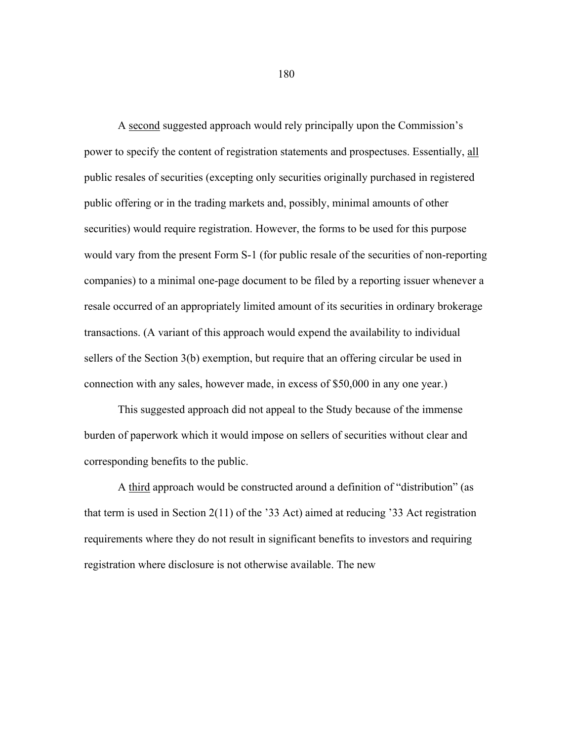A second suggested approach would rely principally upon the Commission's power to specify the content of registration statements and prospectuses. Essentially, all public resales of securities (excepting only securities originally purchased in registered public offering or in the trading markets and, possibly, minimal amounts of other securities) would require registration. However, the forms to be used for this purpose would vary from the present Form S-1 (for public resale of the securities of non-reporting companies) to a minimal one-page document to be filed by a reporting issuer whenever a resale occurred of an appropriately limited amount of its securities in ordinary brokerage transactions. (A variant of this approach would expend the availability to individual sellers of the Section 3(b) exemption, but require that an offering circular be used in connection with any sales, however made, in excess of \$50,000 in any one year.)

 This suggested approach did not appeal to the Study because of the immense burden of paperwork which it would impose on sellers of securities without clear and corresponding benefits to the public.

 A third approach would be constructed around a definition of "distribution" (as that term is used in Section 2(11) of the '33 Act) aimed at reducing '33 Act registration requirements where they do not result in significant benefits to investors and requiring registration where disclosure is not otherwise available. The new

180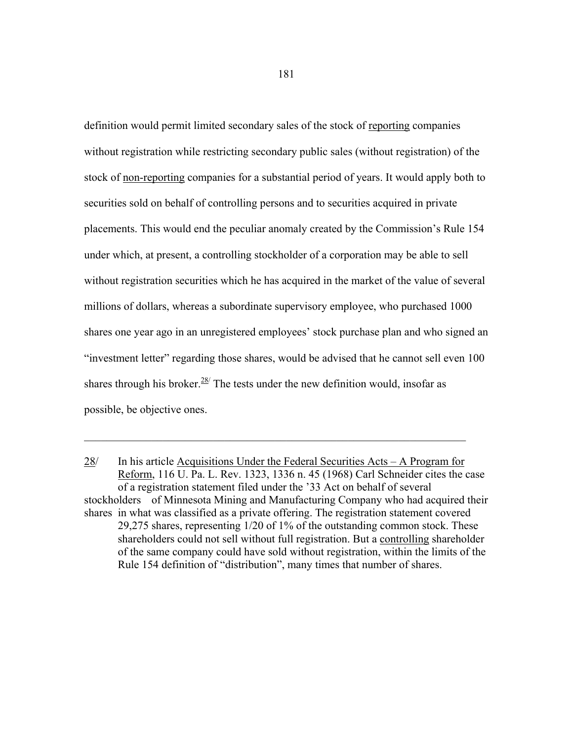definition would permit limited secondary sales of the stock of reporting companies without registration while restricting secondary public sales (without registration) of the stock of non-reporting companies for a substantial period of years. It would apply both to securities sold on behalf of controlling persons and to securities acquired in private placements. This would end the peculiar anomaly created by the Commission's Rule 154 under which, at present, a controlling stockholder of a corporation may be able to sell without registration securities which he has acquired in the market of the value of several millions of dollars, whereas a subordinate supervisory employee, who purchased 1000 shares one year ago in an unregistered employees' stock purchase plan and who signed an "investment letter" regarding those shares, would be advised that he cannot sell even 100 shares through his broker.  $28/$  The tests under the new definition would, insofar as possible, be objective ones.

 $\mathcal{L}_\text{max} = \mathcal{L}_\text{max} = \mathcal{L}_\text{max} = \mathcal{L}_\text{max} = \mathcal{L}_\text{max} = \mathcal{L}_\text{max} = \mathcal{L}_\text{max} = \mathcal{L}_\text{max} = \mathcal{L}_\text{max} = \mathcal{L}_\text{max} = \mathcal{L}_\text{max} = \mathcal{L}_\text{max} = \mathcal{L}_\text{max} = \mathcal{L}_\text{max} = \mathcal{L}_\text{max} = \mathcal{L}_\text{max} = \mathcal{L}_\text{max} = \mathcal{L}_\text{max} = \mathcal{$ 

<sup>28/</sup> In his article Acquisitions Under the Federal Securities Acts – A Program for Reform, 116 U. Pa. L. Rev. 1323, 1336 n. 45 (1968) Carl Schneider cites the case of a registration statement filed under the '33 Act on behalf of several stockholders of Minnesota Mining and Manufacturing Company who had acquired their shares in what was classified as a private offering. The registration statement covered 29,275 shares, representing 1/20 of 1% of the outstanding common stock. These shareholders could not sell without full registration. But a controlling shareholder of the same company could have sold without registration, within the limits of the Rule 154 definition of "distribution", many times that number of shares.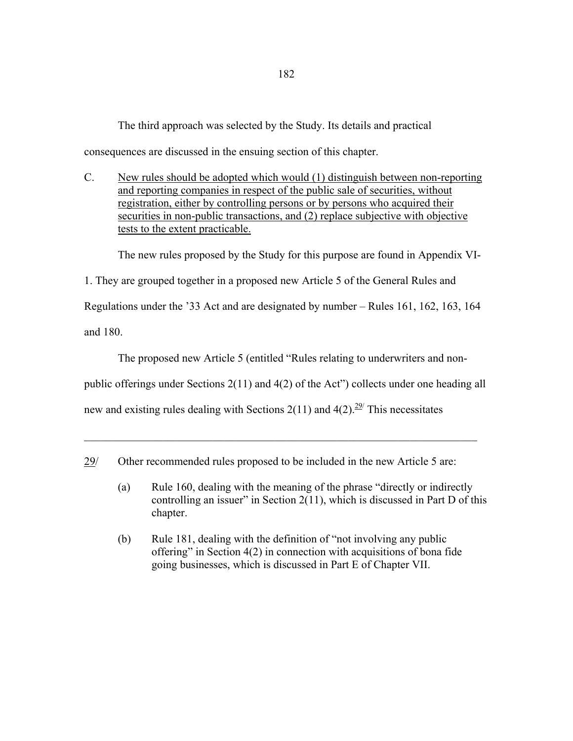The third approach was selected by the Study. Its details and practical consequences are discussed in the ensuing section of this chapter.

C. New rules should be adopted which would (1) distinguish between non-reporting and reporting companies in respect of the public sale of securities, without registration, either by controlling persons or by persons who acquired their securities in non-public transactions, and (2) replace subjective with objective tests to the extent practicable.

The new rules proposed by the Study for this purpose are found in Appendix VI-

1. They are grouped together in a proposed new Article 5 of the General Rules and

Regulations under the '33 Act and are designated by number – Rules 161, 162, 163, 164

and 180.

The proposed new Article 5 (entitled "Rules relating to underwriters and non-

public offerings under Sections 2(11) and 4(2) of the Act") collects under one heading all

 $\mathcal{L}_\text{max} = \mathcal{L}_\text{max} = \mathcal{L}_\text{max} = \mathcal{L}_\text{max} = \mathcal{L}_\text{max} = \mathcal{L}_\text{max} = \mathcal{L}_\text{max} = \mathcal{L}_\text{max} = \mathcal{L}_\text{max} = \mathcal{L}_\text{max} = \mathcal{L}_\text{max} = \mathcal{L}_\text{max} = \mathcal{L}_\text{max} = \mathcal{L}_\text{max} = \mathcal{L}_\text{max} = \mathcal{L}_\text{max} = \mathcal{L}_\text{max} = \mathcal{L}_\text{max} = \mathcal{$ 

new and existing rules dealing with Sections 2(11) and  $4(2)$ .<sup>29/</sup> This necessitates

- (a) Rule 160, dealing with the meaning of the phrase "directly or indirectly controlling an issuer" in Section  $2(11)$ , which is discussed in Part D of this chapter.
- (b) Rule 181, dealing with the definition of "not involving any public offering" in Section 4(2) in connection with acquisitions of bona fide going businesses, which is discussed in Part E of Chapter VII.

<sup>29/</sup> Other recommended rules proposed to be included in the new Article 5 are: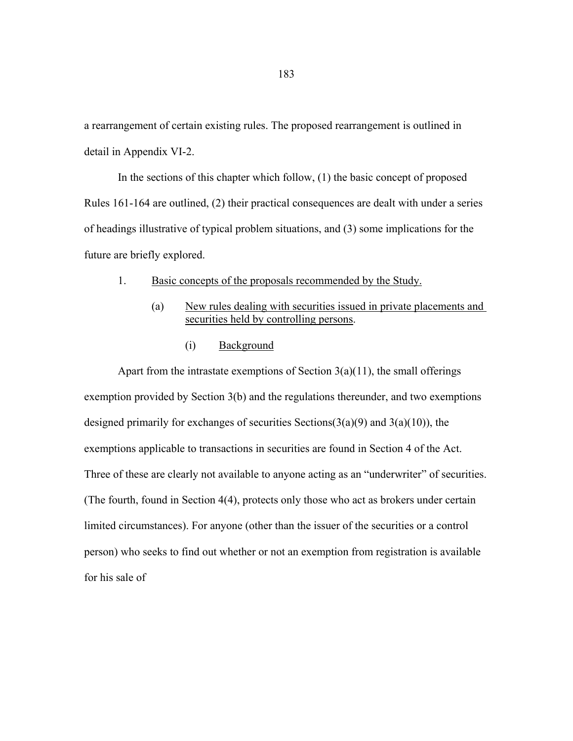a rearrangement of certain existing rules. The proposed rearrangement is outlined in detail in Appendix VI-2.

 In the sections of this chapter which follow, (1) the basic concept of proposed Rules 161-164 are outlined, (2) their practical consequences are dealt with under a series of headings illustrative of typical problem situations, and (3) some implications for the future are briefly explored.

- 1. Basic concepts of the proposals recommended by the Study.
	- (a) New rules dealing with securities issued in private placements and securities held by controlling persons.
		- (i) Background

Apart from the intrastate exemptions of Section  $3(a)(11)$ , the small offerings exemption provided by Section 3(b) and the regulations thereunder, and two exemptions designed primarily for exchanges of securities Sections( $3(a)(9)$ ) and  $3(a)(10)$ ), the exemptions applicable to transactions in securities are found in Section 4 of the Act. Three of these are clearly not available to anyone acting as an "underwriter" of securities. (The fourth, found in Section 4(4), protects only those who act as brokers under certain limited circumstances). For anyone (other than the issuer of the securities or a control person) who seeks to find out whether or not an exemption from registration is available for his sale of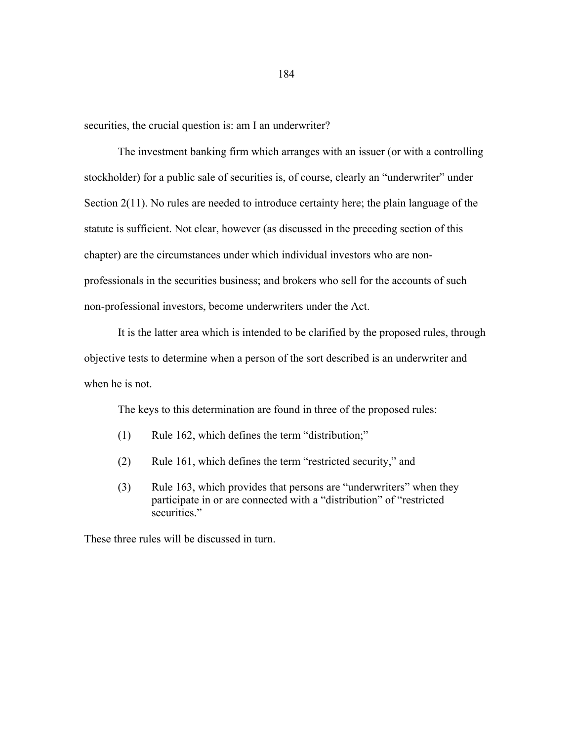securities, the crucial question is: am I an underwriter?

 The investment banking firm which arranges with an issuer (or with a controlling stockholder) for a public sale of securities is, of course, clearly an "underwriter" under Section 2(11). No rules are needed to introduce certainty here; the plain language of the statute is sufficient. Not clear, however (as discussed in the preceding section of this chapter) are the circumstances under which individual investors who are nonprofessionals in the securities business; and brokers who sell for the accounts of such non-professional investors, become underwriters under the Act.

 It is the latter area which is intended to be clarified by the proposed rules, through objective tests to determine when a person of the sort described is an underwriter and when he is not.

The keys to this determination are found in three of the proposed rules:

- (1) Rule 162, which defines the term "distribution;"
- (2) Rule 161, which defines the term "restricted security," and
- (3) Rule 163, which provides that persons are "underwriters" when they participate in or are connected with a "distribution" of "restricted securities."

These three rules will be discussed in turn.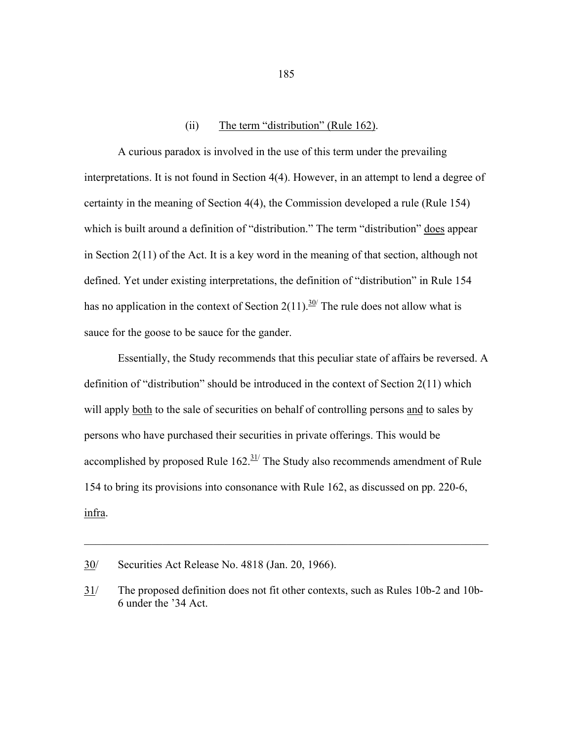### (ii) The term "distribution" (Rule 162).

 A curious paradox is involved in the use of this term under the prevailing interpretations. It is not found in Section 4(4). However, in an attempt to lend a degree of certainty in the meaning of Section 4(4), the Commission developed a rule (Rule 154) which is built around a definition of "distribution." The term "distribution" does appear in Section 2(11) of the Act. It is a key word in the meaning of that section, although not defined. Yet under existing interpretations, the definition of "distribution" in Rule 154 has no application in the context of Section 2(11).<sup>30/</sup> The rule does not allow what is sauce for the goose to be sauce for the gander.

 Essentially, the Study recommends that this peculiar state of affairs be reversed. A definition of "distribution" should be introduced in the context of Section 2(11) which will apply both to the sale of securities on behalf of controlling persons and to sales by persons who have purchased their securities in private offerings. This would be accomplished by proposed Rule  $162.$ <sup>31/</sup> The Study also recommends amendment of Rule 154 to bring its provisions into consonance with Rule 162, as discussed on pp. 220-6, infra.

 $\mathcal{L}_\text{max}$  , and the contribution of the contribution of the contribution of the contribution of the contribution of the contribution of the contribution of the contribution of the contribution of the contribution of t

185

<sup>30/</sup> Securities Act Release No. 4818 (Jan. 20, 1966).

<sup>31/</sup> The proposed definition does not fit other contexts, such as Rules 10b-2 and 10b- 6 under the '34 Act.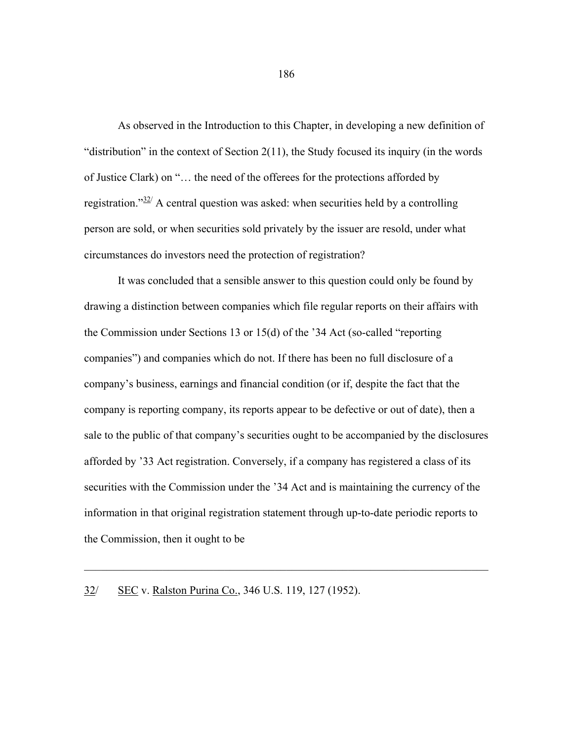As observed in the Introduction to this Chapter, in developing a new definition of "distribution" in the context of Section 2(11), the Study focused its inquiry (in the words of Justice Clark) on "… the need of the offerees for the protections afforded by registration." $32/$  A central question was asked: when securities held by a controlling person are sold, or when securities sold privately by the issuer are resold, under what circumstances do investors need the protection of registration?

 It was concluded that a sensible answer to this question could only be found by drawing a distinction between companies which file regular reports on their affairs with the Commission under Sections 13 or 15(d) of the '34 Act (so-called "reporting companies") and companies which do not. If there has been no full disclosure of a company's business, earnings and financial condition (or if, despite the fact that the company is reporting company, its reports appear to be defective or out of date), then a sale to the public of that company's securities ought to be accompanied by the disclosures afforded by '33 Act registration. Conversely, if a company has registered a class of its securities with the Commission under the '34 Act and is maintaining the currency of the information in that original registration statement through up-to-date periodic reports to the Commission, then it ought to be

 $\mathcal{L}_\text{max} = \mathcal{L}_\text{max} = \mathcal{L}_\text{max} = \mathcal{L}_\text{max} = \mathcal{L}_\text{max} = \mathcal{L}_\text{max} = \mathcal{L}_\text{max} = \mathcal{L}_\text{max} = \mathcal{L}_\text{max} = \mathcal{L}_\text{max} = \mathcal{L}_\text{max} = \mathcal{L}_\text{max} = \mathcal{L}_\text{max} = \mathcal{L}_\text{max} = \mathcal{L}_\text{max} = \mathcal{L}_\text{max} = \mathcal{L}_\text{max} = \mathcal{L}_\text{max} = \mathcal{$ 

## 32/ SEC v. Ralston Purina Co., 346 U.S. 119, 127 (1952).

186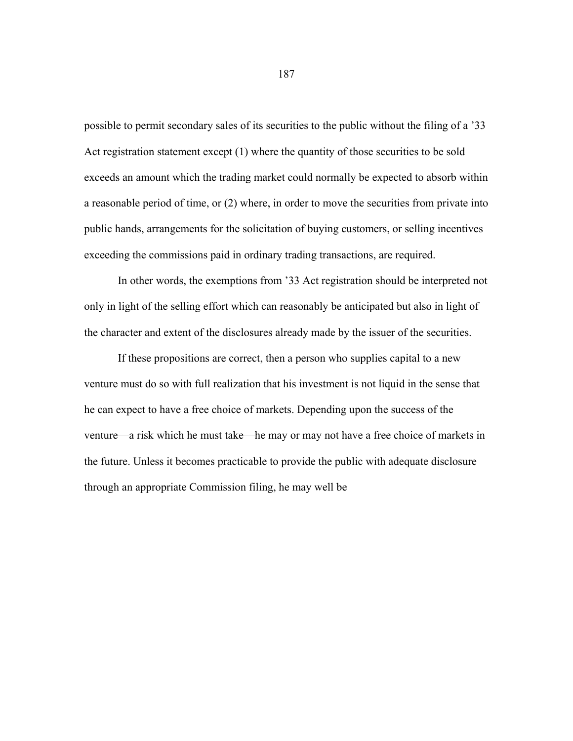possible to permit secondary sales of its securities to the public without the filing of a '33 Act registration statement except (1) where the quantity of those securities to be sold exceeds an amount which the trading market could normally be expected to absorb within a reasonable period of time, or (2) where, in order to move the securities from private into public hands, arrangements for the solicitation of buying customers, or selling incentives exceeding the commissions paid in ordinary trading transactions, are required.

 In other words, the exemptions from '33 Act registration should be interpreted not only in light of the selling effort which can reasonably be anticipated but also in light of the character and extent of the disclosures already made by the issuer of the securities.

 If these propositions are correct, then a person who supplies capital to a new venture must do so with full realization that his investment is not liquid in the sense that he can expect to have a free choice of markets. Depending upon the success of the venture—a risk which he must take—he may or may not have a free choice of markets in the future. Unless it becomes practicable to provide the public with adequate disclosure through an appropriate Commission filing, he may well be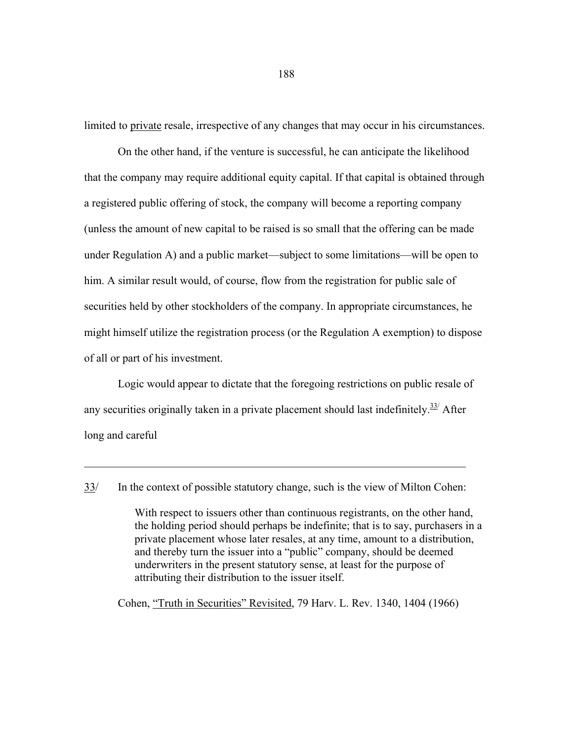limited to private resale, irrespective of any changes that may occur in his circumstances.

 On the other hand, if the venture is successful, he can anticipate the likelihood that the company may require additional equity capital. If that capital is obtained through a registered public offering of stock, the company will become a reporting company (unless the amount of new capital to be raised is so small that the offering can be made under Regulation A) and a public market—subject to some limitations—will be open to him. A similar result would, of course, flow from the registration for public sale of securities held by other stockholders of the company. In appropriate circumstances, he might himself utilize the registration process (or the Regulation A exemption) to dispose of all or part of his investment.

 Logic would appear to dictate that the foregoing restrictions on public resale of any securities originally taken in a private placement should last indefinitely. $33/$  After long and careful

 $\mathcal{L}_\mathcal{L} = \mathcal{L}_\mathcal{L} = \mathcal{L}_\mathcal{L} = \mathcal{L}_\mathcal{L} = \mathcal{L}_\mathcal{L} = \mathcal{L}_\mathcal{L} = \mathcal{L}_\mathcal{L} = \mathcal{L}_\mathcal{L} = \mathcal{L}_\mathcal{L} = \mathcal{L}_\mathcal{L} = \mathcal{L}_\mathcal{L} = \mathcal{L}_\mathcal{L} = \mathcal{L}_\mathcal{L} = \mathcal{L}_\mathcal{L} = \mathcal{L}_\mathcal{L} = \mathcal{L}_\mathcal{L} = \mathcal{L}_\mathcal{L}$ 

With respect to issuers other than continuous registrants, on the other hand, the holding period should perhaps be indefinite; that is to say, purchasers in a private placement whose later resales, at any time, amount to a distribution, and thereby turn the issuer into a "public" company, should be deemed underwriters in the present statutory sense, at least for the purpose of attributing their distribution to the issuer itself.

Cohen, "Truth in Securities" Revisited, 79 Harv. L. Rev. 1340, 1404 (1966)

188

<sup>33/</sup> In the context of possible statutory change, such is the view of Milton Cohen: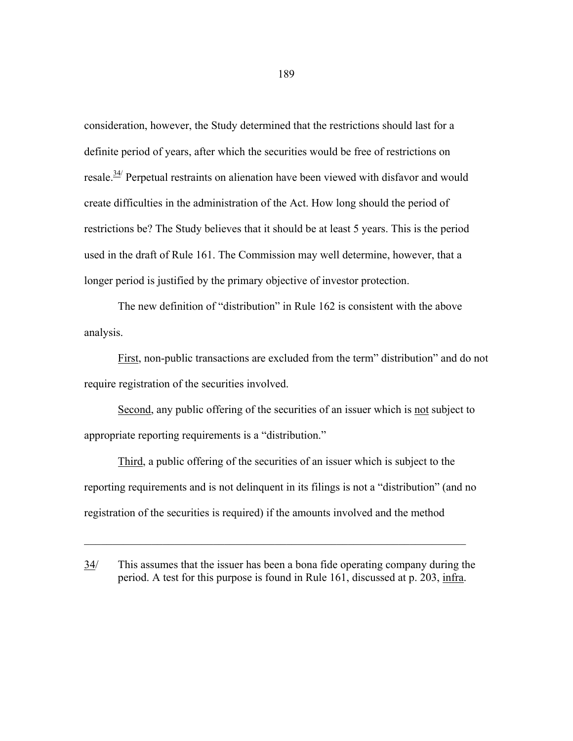consideration, however, the Study determined that the restrictions should last for a definite period of years, after which the securities would be free of restrictions on resale.<sup>34/</sup> Perpetual restraints on alienation have been viewed with disfavor and would create difficulties in the administration of the Act. How long should the period of restrictions be? The Study believes that it should be at least 5 years. This is the period used in the draft of Rule 161. The Commission may well determine, however, that a longer period is justified by the primary objective of investor protection.

 The new definition of "distribution" in Rule 162 is consistent with the above analysis.

First, non-public transactions are excluded from the term" distribution" and do not require registration of the securities involved.

Second, any public offering of the securities of an issuer which is not subject to appropriate reporting requirements is a "distribution."

Third, a public offering of the securities of an issuer which is subject to the reporting requirements and is not delinquent in its filings is not a "distribution" (and no registration of the securities is required) if the amounts involved and the method

 $\_$  , and the set of the set of the set of the set of the set of the set of the set of the set of the set of the set of the set of the set of the set of the set of the set of the set of the set of the set of the set of th

<sup>34/</sup> This assumes that the issuer has been a bona fide operating company during the period. A test for this purpose is found in Rule 161, discussed at p. 203, infra.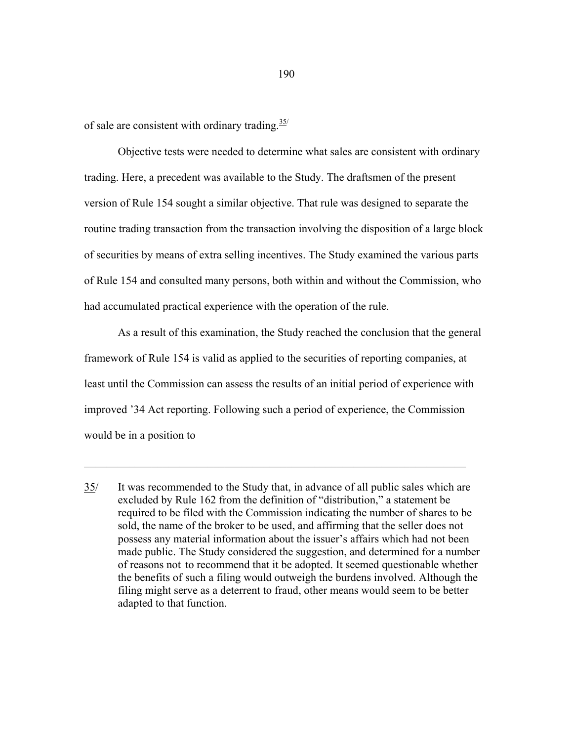of sale are consistent with ordinary trading.  $\frac{35}{2}$ 

 Objective tests were needed to determine what sales are consistent with ordinary trading. Here, a precedent was available to the Study. The draftsmen of the present version of Rule 154 sought a similar objective. That rule was designed to separate the routine trading transaction from the transaction involving the disposition of a large block of securities by means of extra selling incentives. The Study examined the various parts of Rule 154 and consulted many persons, both within and without the Commission, who had accumulated practical experience with the operation of the rule.

 As a result of this examination, the Study reached the conclusion that the general framework of Rule 154 is valid as applied to the securities of reporting companies, at least until the Commission can assess the results of an initial period of experience with improved '34 Act reporting. Following such a period of experience, the Commission would be in a position to

 $\mathcal{L}_\mathcal{L} = \mathcal{L}_\mathcal{L} = \mathcal{L}_\mathcal{L} = \mathcal{L}_\mathcal{L} = \mathcal{L}_\mathcal{L} = \mathcal{L}_\mathcal{L} = \mathcal{L}_\mathcal{L} = \mathcal{L}_\mathcal{L} = \mathcal{L}_\mathcal{L} = \mathcal{L}_\mathcal{L} = \mathcal{L}_\mathcal{L} = \mathcal{L}_\mathcal{L} = \mathcal{L}_\mathcal{L} = \mathcal{L}_\mathcal{L} = \mathcal{L}_\mathcal{L} = \mathcal{L}_\mathcal{L} = \mathcal{L}_\mathcal{L}$ 

<sup>35/</sup> It was recommended to the Study that, in advance of all public sales which are excluded by Rule 162 from the definition of "distribution," a statement be required to be filed with the Commission indicating the number of shares to be sold, the name of the broker to be used, and affirming that the seller does not possess any material information about the issuer's affairs which had not been made public. The Study considered the suggestion, and determined for a number of reasons not to recommend that it be adopted. It seemed questionable whether the benefits of such a filing would outweigh the burdens involved. Although the filing might serve as a deterrent to fraud, other means would seem to be better adapted to that function.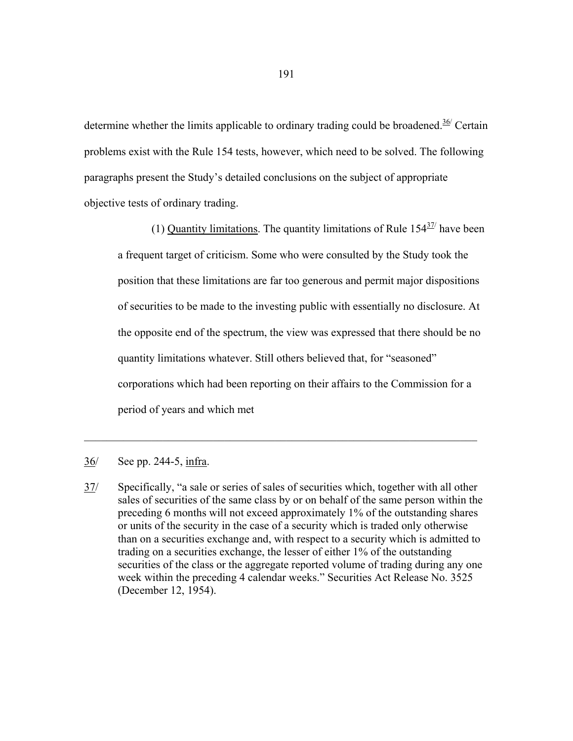determine whether the limits applicable to ordinary trading could be broadened.<sup>36/</sup> Certain problems exist with the Rule 154 tests, however, which need to be solved. The following paragraphs present the Study's detailed conclusions on the subject of appropriate objective tests of ordinary trading.

(1) Quantity limitations. The quantity limitations of Rule  $154\frac{37}{10}$  have been a frequent target of criticism. Some who were consulted by the Study took the position that these limitations are far too generous and permit major dispositions of securities to be made to the investing public with essentially no disclosure. At the opposite end of the spectrum, the view was expressed that there should be no quantity limitations whatever. Still others believed that, for "seasoned" corporations which had been reporting on their affairs to the Commission for a period of years and which met

# 36/ See pp. 244-5, infra.

37/ Specifically, "a sale or series of sales of securities which, together with all other sales of securities of the same class by or on behalf of the same person within the preceding 6 months will not exceed approximately 1% of the outstanding shares or units of the security in the case of a security which is traded only otherwise than on a securities exchange and, with respect to a security which is admitted to trading on a securities exchange, the lesser of either 1% of the outstanding securities of the class or the aggregate reported volume of trading during any one week within the preceding 4 calendar weeks." Securities Act Release No. 3525 (December 12, 1954).

 $\mathcal{L}_\text{max} = \mathcal{L}_\text{max} = \mathcal{L}_\text{max} = \mathcal{L}_\text{max} = \mathcal{L}_\text{max} = \mathcal{L}_\text{max} = \mathcal{L}_\text{max} = \mathcal{L}_\text{max} = \mathcal{L}_\text{max} = \mathcal{L}_\text{max} = \mathcal{L}_\text{max} = \mathcal{L}_\text{max} = \mathcal{L}_\text{max} = \mathcal{L}_\text{max} = \mathcal{L}_\text{max} = \mathcal{L}_\text{max} = \mathcal{L}_\text{max} = \mathcal{L}_\text{max} = \mathcal{$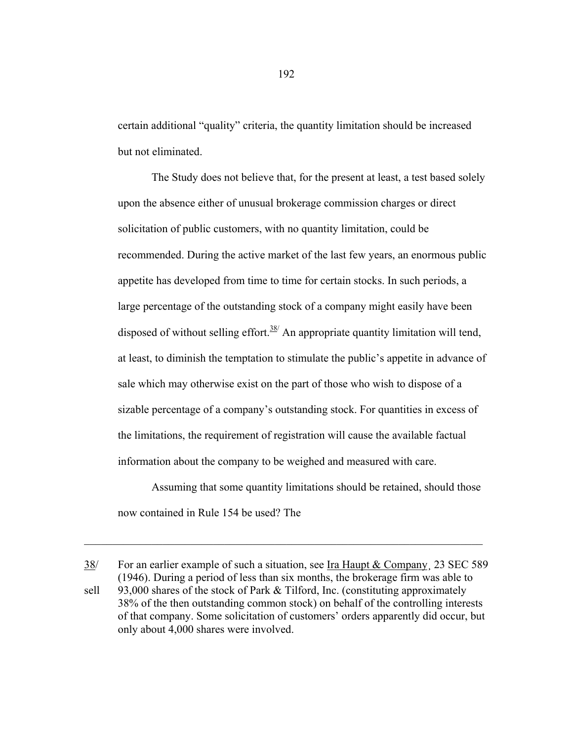certain additional "quality" criteria, the quantity limitation should be increased but not eliminated.

 The Study does not believe that, for the present at least, a test based solely upon the absence either of unusual brokerage commission charges or direct solicitation of public customers, with no quantity limitation, could be recommended. During the active market of the last few years, an enormous public appetite has developed from time to time for certain stocks. In such periods, a large percentage of the outstanding stock of a company might easily have been disposed of without selling effort. $38/$  An appropriate quantity limitation will tend, at least, to diminish the temptation to stimulate the public's appetite in advance of sale which may otherwise exist on the part of those who wish to dispose of a sizable percentage of a company's outstanding stock. For quantities in excess of the limitations, the requirement of registration will cause the available factual information about the company to be weighed and measured with care.

 Assuming that some quantity limitations should be retained, should those now contained in Rule 154 be used? The

38/ For an earlier example of such a situation, see Ira Haupt & Company¸ 23 SEC 589 (1946). During a period of less than six months, the brokerage firm was able to sell 93,000 shares of the stock of Park & Tilford, Inc. (constituting approximately 38% of the then outstanding common stock) on behalf of the controlling interests of that company. Some solicitation of customers' orders apparently did occur, but only about 4,000 shares were involved.

 $\_$  , and the contribution of the contribution of  $\mathcal{L}_\mathcal{A}$  , and the contribution of  $\mathcal{L}_\mathcal{A}$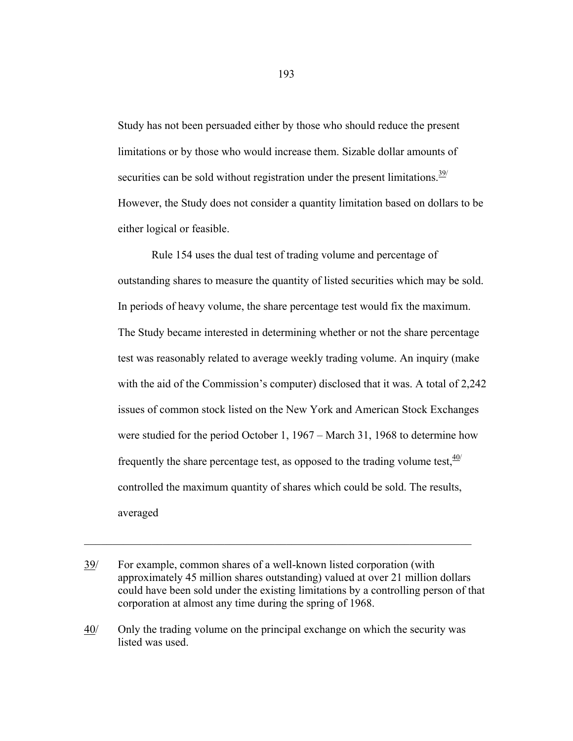Study has not been persuaded either by those who should reduce the present limitations or by those who would increase them. Sizable dollar amounts of securities can be sold without registration under the present limitations.<sup>39/</sup> However, the Study does not consider a quantity limitation based on dollars to be either logical or feasible.

 Rule 154 uses the dual test of trading volume and percentage of outstanding shares to measure the quantity of listed securities which may be sold. In periods of heavy volume, the share percentage test would fix the maximum. The Study became interested in determining whether or not the share percentage test was reasonably related to average weekly trading volume. An inquiry (make with the aid of the Commission's computer) disclosed that it was. A total of 2,242 issues of common stock listed on the New York and American Stock Exchanges were studied for the period October 1, 1967 – March 31, 1968 to determine how frequently the share percentage test, as opposed to the trading volume test,  $40/$ controlled the maximum quantity of shares which could be sold. The results, averaged

 $\_$  , and the contribution of the contribution of  $\mathcal{L}_\mathcal{A}$  , and the contribution of  $\mathcal{L}_\mathcal{A}$ 

<sup>39/</sup> For example, common shares of a well-known listed corporation (with approximately 45 million shares outstanding) valued at over 21 million dollars could have been sold under the existing limitations by a controlling person of that corporation at almost any time during the spring of 1968.

<sup>40/</sup> Only the trading volume on the principal exchange on which the security was listed was used.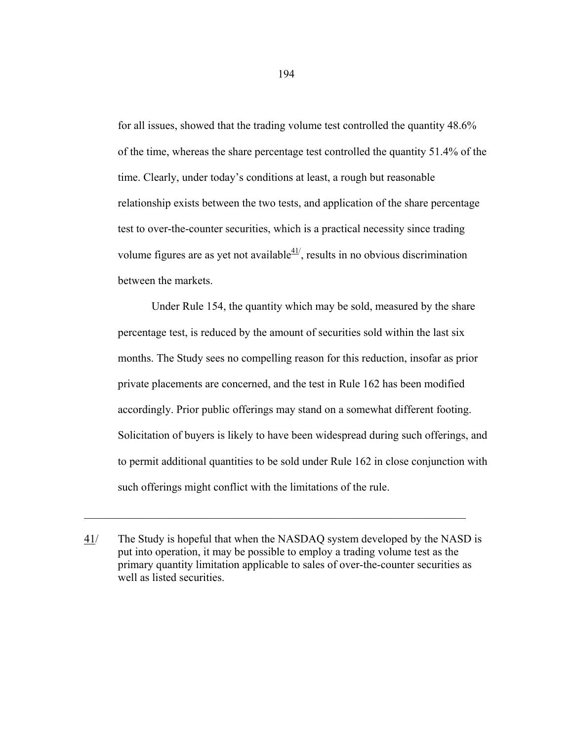for all issues, showed that the trading volume test controlled the quantity 48.6% of the time, whereas the share percentage test controlled the quantity 51.4% of the time. Clearly, under today's conditions at least, a rough but reasonable relationship exists between the two tests, and application of the share percentage test to over-the-counter securities, which is a practical necessity since trading volume figures are as yet not available $41/2$ , results in no obvious discrimination between the markets.

 Under Rule 154, the quantity which may be sold, measured by the share percentage test, is reduced by the amount of securities sold within the last six months. The Study sees no compelling reason for this reduction, insofar as prior private placements are concerned, and the test in Rule 162 has been modified accordingly. Prior public offerings may stand on a somewhat different footing. Solicitation of buyers is likely to have been widespread during such offerings, and to permit additional quantities to be sold under Rule 162 in close conjunction with such offerings might conflict with the limitations of the rule.

 $\_$  , and the set of the set of the set of the set of the set of the set of the set of the set of the set of the set of the set of the set of the set of the set of the set of the set of the set of the set of the set of th

<sup>41/</sup> The Study is hopeful that when the NASDAQ system developed by the NASD is put into operation, it may be possible to employ a trading volume test as the primary quantity limitation applicable to sales of over-the-counter securities as well as listed securities.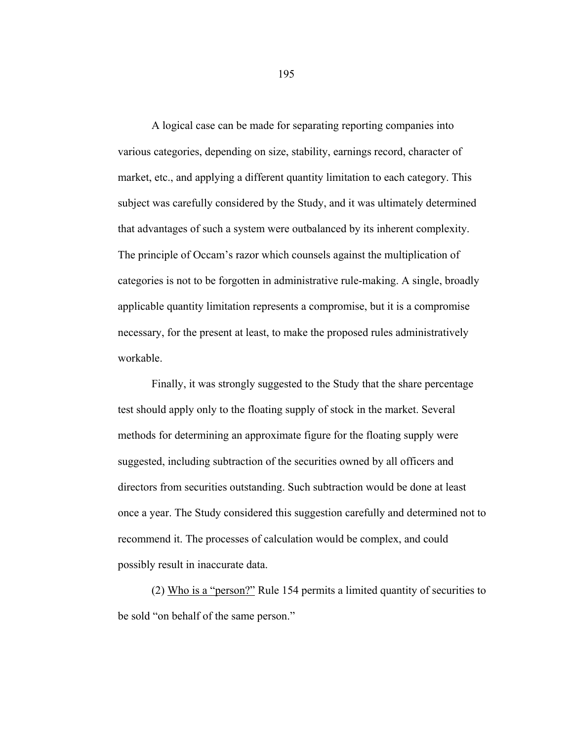A logical case can be made for separating reporting companies into various categories, depending on size, stability, earnings record, character of market, etc., and applying a different quantity limitation to each category. This subject was carefully considered by the Study, and it was ultimately determined that advantages of such a system were outbalanced by its inherent complexity. The principle of Occam's razor which counsels against the multiplication of categories is not to be forgotten in administrative rule-making. A single, broadly applicable quantity limitation represents a compromise, but it is a compromise necessary, for the present at least, to make the proposed rules administratively workable.

 Finally, it was strongly suggested to the Study that the share percentage test should apply only to the floating supply of stock in the market. Several methods for determining an approximate figure for the floating supply were suggested, including subtraction of the securities owned by all officers and directors from securities outstanding. Such subtraction would be done at least once a year. The Study considered this suggestion carefully and determined not to recommend it. The processes of calculation would be complex, and could possibly result in inaccurate data.

 (2) Who is a "person?" Rule 154 permits a limited quantity of securities to be sold "on behalf of the same person."

195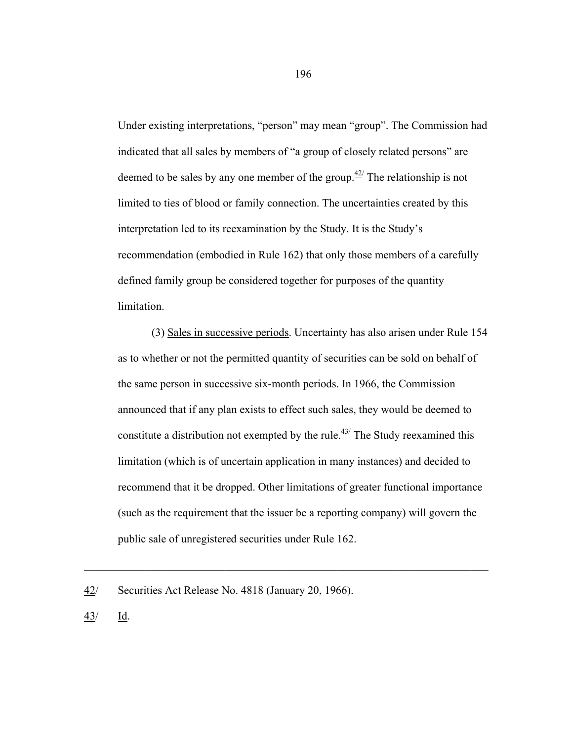Under existing interpretations, "person" may mean "group". The Commission had indicated that all sales by members of "a group of closely related persons" are deemed to be sales by any one member of the group.<sup> $42$ </sup> The relationship is not limited to ties of blood or family connection. The uncertainties created by this interpretation led to its reexamination by the Study. It is the Study's recommendation (embodied in Rule 162) that only those members of a carefully defined family group be considered together for purposes of the quantity limitation.

 (3) Sales in successive periods. Uncertainty has also arisen under Rule 154 as to whether or not the permitted quantity of securities can be sold on behalf of the same person in successive six-month periods. In 1966, the Commission announced that if any plan exists to effect such sales, they would be deemed to constitute a distribution not exempted by the rule.<sup> $43/$ </sup> The Study reexamined this limitation (which is of uncertain application in many instances) and decided to recommend that it be dropped. Other limitations of greater functional importance (such as the requirement that the issuer be a reporting company) will govern the public sale of unregistered securities under Rule 162.

 $\mathcal{L}_\text{max} = \mathcal{L}_\text{max} = \mathcal{L}_\text{max} = \mathcal{L}_\text{max} = \mathcal{L}_\text{max} = \mathcal{L}_\text{max} = \mathcal{L}_\text{max} = \mathcal{L}_\text{max} = \mathcal{L}_\text{max} = \mathcal{L}_\text{max} = \mathcal{L}_\text{max} = \mathcal{L}_\text{max} = \mathcal{L}_\text{max} = \mathcal{L}_\text{max} = \mathcal{L}_\text{max} = \mathcal{L}_\text{max} = \mathcal{L}_\text{max} = \mathcal{L}_\text{max} = \mathcal{$ 

43/ Id.

<sup>42/</sup> Securities Act Release No. 4818 (January 20, 1966).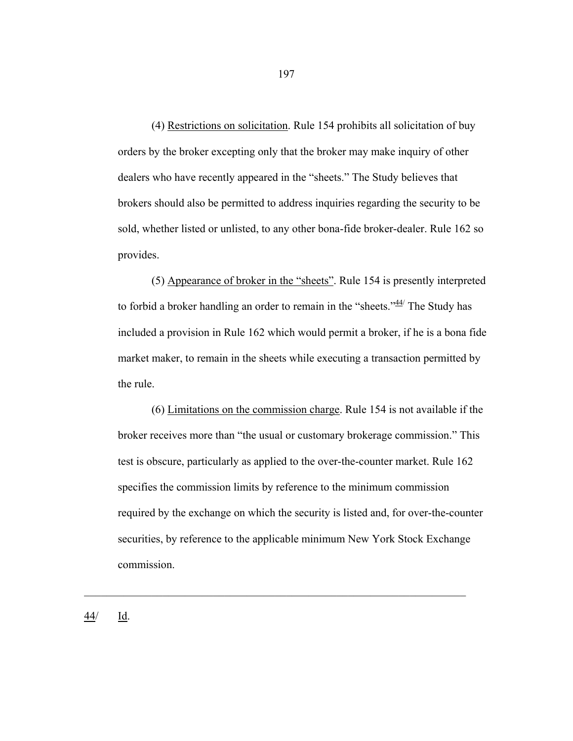(4) Restrictions on solicitation. Rule 154 prohibits all solicitation of buy orders by the broker excepting only that the broker may make inquiry of other dealers who have recently appeared in the "sheets." The Study believes that brokers should also be permitted to address inquiries regarding the security to be sold, whether listed or unlisted, to any other bona-fide broker-dealer. Rule 162 so provides.

 (5) Appearance of broker in the "sheets". Rule 154 is presently interpreted to forbid a broker handling an order to remain in the "sheets." $44/$  The Study has included a provision in Rule 162 which would permit a broker, if he is a bona fide market maker, to remain in the sheets while executing a transaction permitted by the rule.

 (6) Limitations on the commission charge. Rule 154 is not available if the broker receives more than "the usual or customary brokerage commission." This test is obscure, particularly as applied to the over-the-counter market. Rule 162 specifies the commission limits by reference to the minimum commission required by the exchange on which the security is listed and, for over-the-counter securities, by reference to the applicable minimum New York Stock Exchange commission.

 $\_$  , and the set of the set of the set of the set of the set of the set of the set of the set of the set of the set of the set of the set of the set of the set of the set of the set of the set of the set of the set of th

197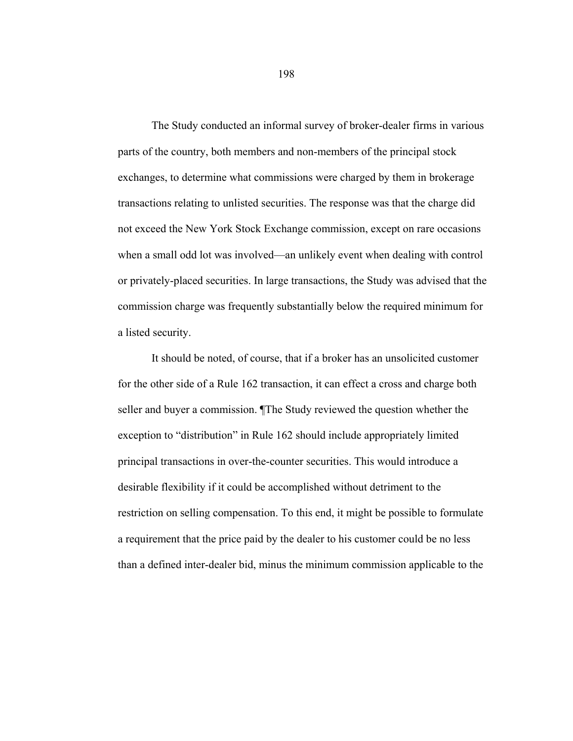The Study conducted an informal survey of broker-dealer firms in various parts of the country, both members and non-members of the principal stock exchanges, to determine what commissions were charged by them in brokerage transactions relating to unlisted securities. The response was that the charge did not exceed the New York Stock Exchange commission, except on rare occasions when a small odd lot was involved—an unlikely event when dealing with control or privately-placed securities. In large transactions, the Study was advised that the commission charge was frequently substantially below the required minimum for a listed security.

 It should be noted, of course, that if a broker has an unsolicited customer for the other side of a Rule 162 transaction, it can effect a cross and charge both seller and buyer a commission. ¶The Study reviewed the question whether the exception to "distribution" in Rule 162 should include appropriately limited principal transactions in over-the-counter securities. This would introduce a desirable flexibility if it could be accomplished without detriment to the restriction on selling compensation. To this end, it might be possible to formulate a requirement that the price paid by the dealer to his customer could be no less than a defined inter-dealer bid, minus the minimum commission applicable to the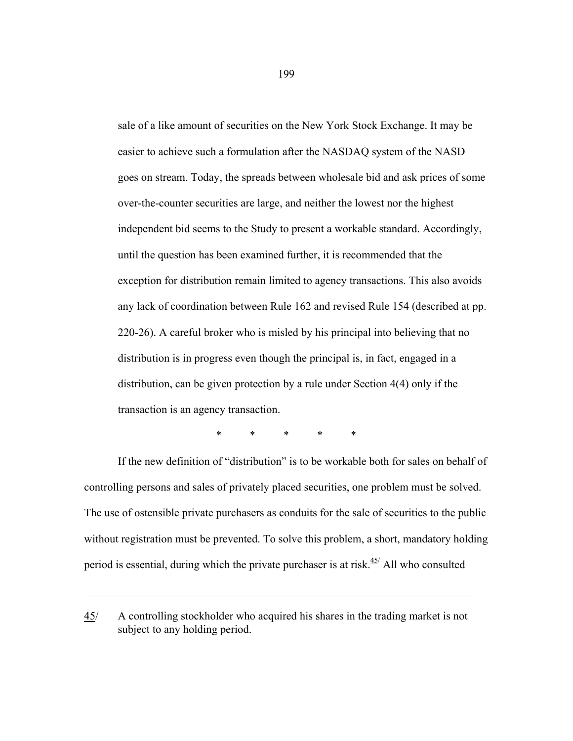sale of a like amount of securities on the New York Stock Exchange. It may be easier to achieve such a formulation after the NASDAQ system of the NASD goes on stream. Today, the spreads between wholesale bid and ask prices of some over-the-counter securities are large, and neither the lowest nor the highest independent bid seems to the Study to present a workable standard. Accordingly, until the question has been examined further, it is recommended that the exception for distribution remain limited to agency transactions. This also avoids any lack of coordination between Rule 162 and revised Rule 154 (described at pp. 220-26). A careful broker who is misled by his principal into believing that no distribution is in progress even though the principal is, in fact, engaged in a distribution, can be given protection by a rule under Section 4(4) only if the transaction is an agency transaction.

\* \* \* \* \*

 If the new definition of "distribution" is to be workable both for sales on behalf of controlling persons and sales of privately placed securities, one problem must be solved. The use of ostensible private purchasers as conduits for the sale of securities to the public without registration must be prevented. To solve this problem, a short, mandatory holding period is essential, during which the private purchaser is at risk. $45/$  All who consulted

 $\_$  , and the contribution of the contribution of  $\mathcal{L}_\mathcal{A}$  , and the contribution of  $\mathcal{L}_\mathcal{A}$ 

<sup>45/</sup> A controlling stockholder who acquired his shares in the trading market is not subject to any holding period.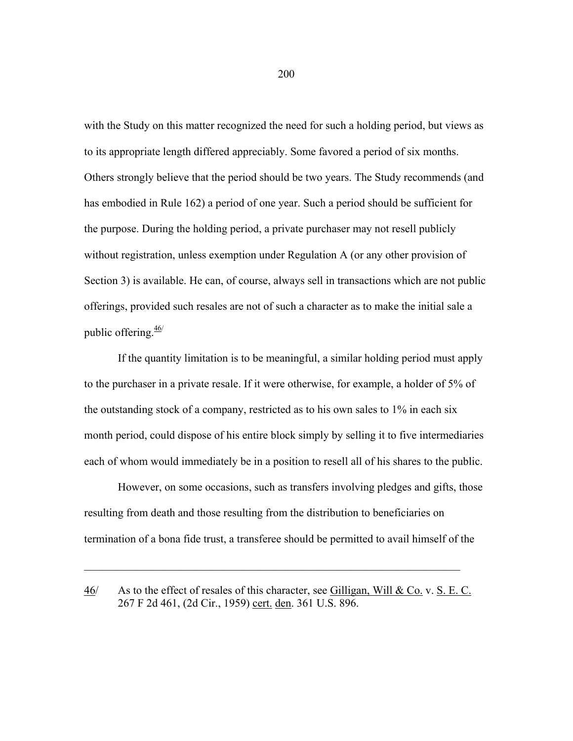with the Study on this matter recognized the need for such a holding period, but views as to its appropriate length differed appreciably. Some favored a period of six months. Others strongly believe that the period should be two years. The Study recommends (and has embodied in Rule 162) a period of one year. Such a period should be sufficient for the purpose. During the holding period, a private purchaser may not resell publicly without registration, unless exemption under Regulation A (or any other provision of Section 3) is available. He can, of course, always sell in transactions which are not public offerings, provided such resales are not of such a character as to make the initial sale a public offering.46/

 If the quantity limitation is to be meaningful, a similar holding period must apply to the purchaser in a private resale. If it were otherwise, for example, a holder of 5% of the outstanding stock of a company, restricted as to his own sales to 1% in each six month period, could dispose of his entire block simply by selling it to five intermediaries each of whom would immediately be in a position to resell all of his shares to the public.

 However, on some occasions, such as transfers involving pledges and gifts, those resulting from death and those resulting from the distribution to beneficiaries on termination of a bona fide trust, a transferee should be permitted to avail himself of the

 $\mathcal{L}_\text{max} = \mathcal{L}_\text{max} = \mathcal{L}_\text{max} = \mathcal{L}_\text{max} = \mathcal{L}_\text{max} = \mathcal{L}_\text{max} = \mathcal{L}_\text{max} = \mathcal{L}_\text{max} = \mathcal{L}_\text{max} = \mathcal{L}_\text{max} = \mathcal{L}_\text{max} = \mathcal{L}_\text{max} = \mathcal{L}_\text{max} = \mathcal{L}_\text{max} = \mathcal{L}_\text{max} = \mathcal{L}_\text{max} = \mathcal{L}_\text{max} = \mathcal{L}_\text{max} = \mathcal{$ 

 $46$  As to the effect of resales of this character, see Gilligan, Will & Co. v. S. E. C. 267 F 2d 461, (2d Cir., 1959) cert. den. 361 U.S. 896.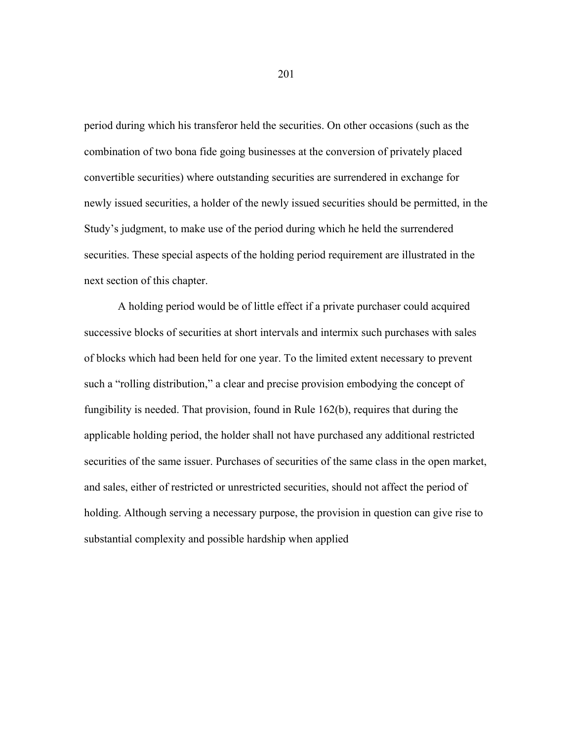period during which his transferor held the securities. On other occasions (such as the combination of two bona fide going businesses at the conversion of privately placed convertible securities) where outstanding securities are surrendered in exchange for newly issued securities, a holder of the newly issued securities should be permitted, in the Study's judgment, to make use of the period during which he held the surrendered securities. These special aspects of the holding period requirement are illustrated in the next section of this chapter.

 A holding period would be of little effect if a private purchaser could acquired successive blocks of securities at short intervals and intermix such purchases with sales of blocks which had been held for one year. To the limited extent necessary to prevent such a "rolling distribution," a clear and precise provision embodying the concept of fungibility is needed. That provision, found in Rule 162(b), requires that during the applicable holding period, the holder shall not have purchased any additional restricted securities of the same issuer. Purchases of securities of the same class in the open market, and sales, either of restricted or unrestricted securities, should not affect the period of holding. Although serving a necessary purpose, the provision in question can give rise to substantial complexity and possible hardship when applied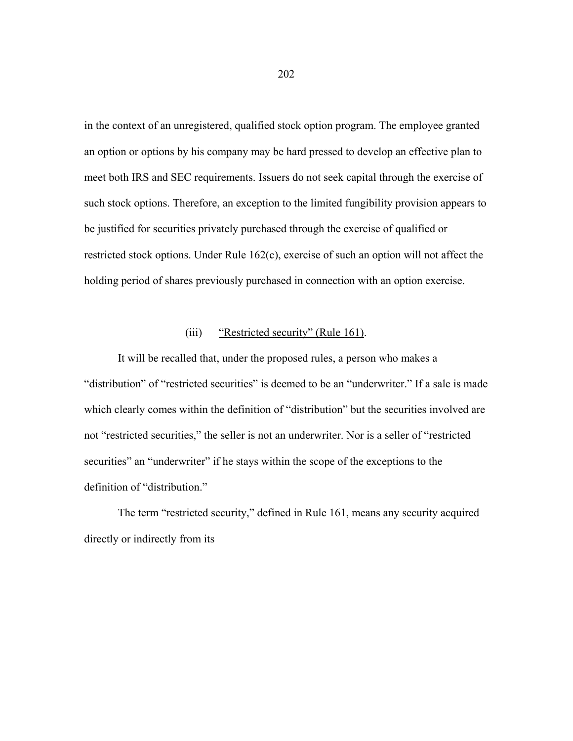in the context of an unregistered, qualified stock option program. The employee granted an option or options by his company may be hard pressed to develop an effective plan to meet both IRS and SEC requirements. Issuers do not seek capital through the exercise of such stock options. Therefore, an exception to the limited fungibility provision appears to be justified for securities privately purchased through the exercise of qualified or restricted stock options. Under Rule 162(c), exercise of such an option will not affect the holding period of shares previously purchased in connection with an option exercise.

## (iii) "Restricted security" (Rule 161).

 It will be recalled that, under the proposed rules, a person who makes a "distribution" of "restricted securities" is deemed to be an "underwriter." If a sale is made which clearly comes within the definition of "distribution" but the securities involved are not "restricted securities," the seller is not an underwriter. Nor is a seller of "restricted securities" an "underwriter" if he stays within the scope of the exceptions to the definition of "distribution."

 The term "restricted security," defined in Rule 161, means any security acquired directly or indirectly from its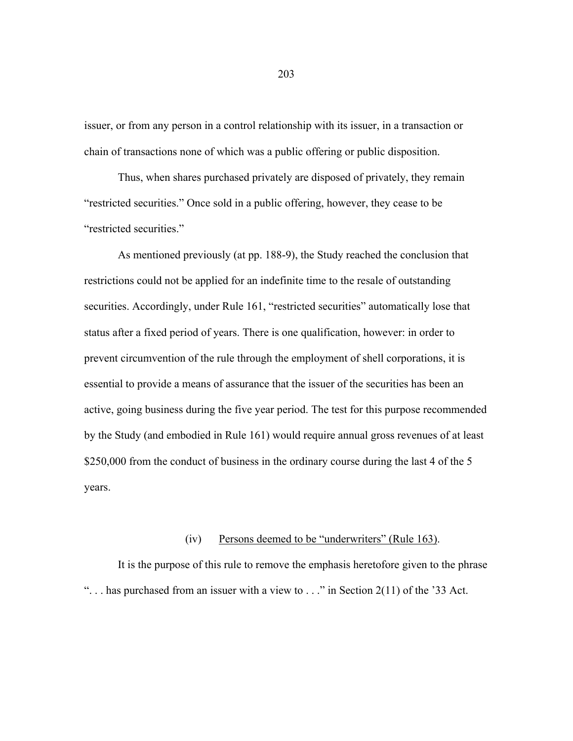issuer, or from any person in a control relationship with its issuer, in a transaction or chain of transactions none of which was a public offering or public disposition.

 Thus, when shares purchased privately are disposed of privately, they remain "restricted securities." Once sold in a public offering, however, they cease to be "restricted securities."

 As mentioned previously (at pp. 188-9), the Study reached the conclusion that restrictions could not be applied for an indefinite time to the resale of outstanding securities. Accordingly, under Rule 161, "restricted securities" automatically lose that status after a fixed period of years. There is one qualification, however: in order to prevent circumvention of the rule through the employment of shell corporations, it is essential to provide a means of assurance that the issuer of the securities has been an active, going business during the five year period. The test for this purpose recommended by the Study (and embodied in Rule 161) would require annual gross revenues of at least \$250,000 from the conduct of business in the ordinary course during the last 4 of the 5 years.

### (iv) Persons deemed to be "underwriters" (Rule 163).

 It is the purpose of this rule to remove the emphasis heretofore given to the phrase "... has purchased from an issuer with a view to ..." in Section 2(11) of the '33 Act.

203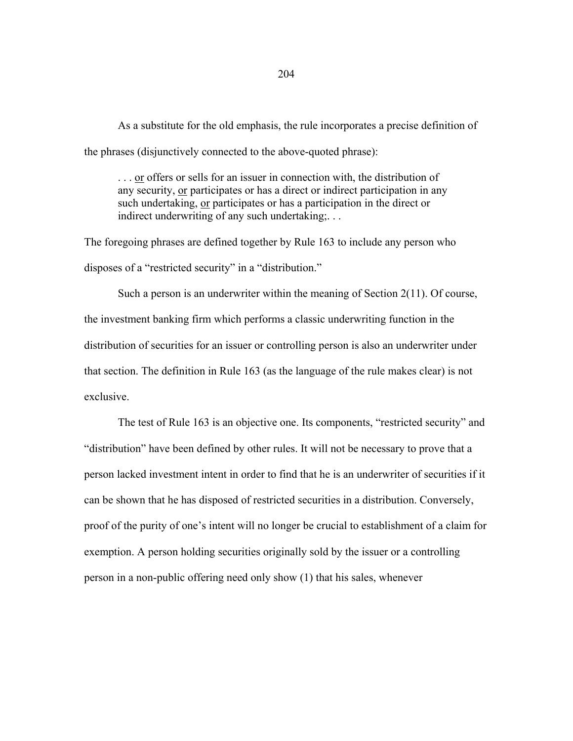As a substitute for the old emphasis, the rule incorporates a precise definition of the phrases (disjunctively connected to the above-quoted phrase):

. . . or offers or sells for an issuer in connection with, the distribution of any security, or participates or has a direct or indirect participation in any such undertaking, or participates or has a participation in the direct or indirect underwriting of any such undertaking;...

The foregoing phrases are defined together by Rule 163 to include any person who disposes of a "restricted security" in a "distribution."

 Such a person is an underwriter within the meaning of Section 2(11). Of course, the investment banking firm which performs a classic underwriting function in the distribution of securities for an issuer or controlling person is also an underwriter under that section. The definition in Rule 163 (as the language of the rule makes clear) is not exclusive.

 The test of Rule 163 is an objective one. Its components, "restricted security" and "distribution" have been defined by other rules. It will not be necessary to prove that a person lacked investment intent in order to find that he is an underwriter of securities if it can be shown that he has disposed of restricted securities in a distribution. Conversely, proof of the purity of one's intent will no longer be crucial to establishment of a claim for exemption. A person holding securities originally sold by the issuer or a controlling person in a non-public offering need only show (1) that his sales, whenever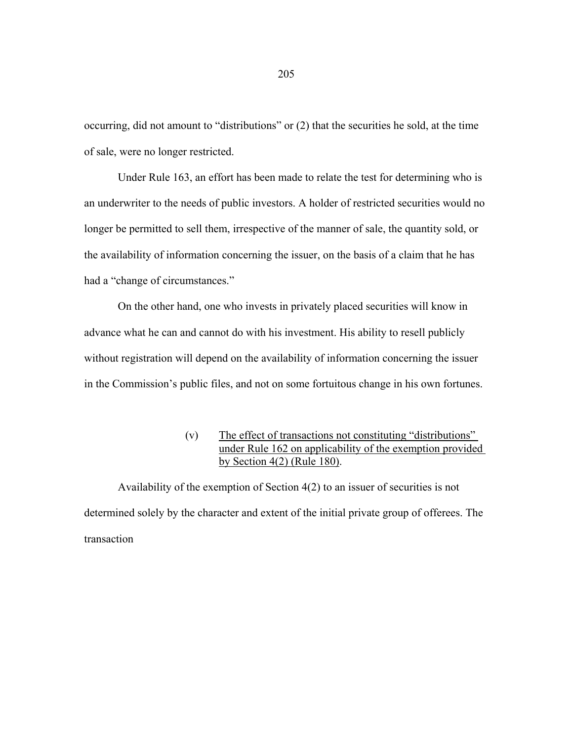occurring, did not amount to "distributions" or (2) that the securities he sold, at the time of sale, were no longer restricted.

 Under Rule 163, an effort has been made to relate the test for determining who is an underwriter to the needs of public investors. A holder of restricted securities would no longer be permitted to sell them, irrespective of the manner of sale, the quantity sold, or the availability of information concerning the issuer, on the basis of a claim that he has had a "change of circumstances."

 On the other hand, one who invests in privately placed securities will know in advance what he can and cannot do with his investment. His ability to resell publicly without registration will depend on the availability of information concerning the issuer in the Commission's public files, and not on some fortuitous change in his own fortunes.

# (v) The effect of transactions not constituting "distributions" under Rule 162 on applicability of the exemption provided by Section 4(2) (Rule 180).

Availability of the exemption of Section 4(2) to an issuer of securities is not determined solely by the character and extent of the initial private group of offerees. The transaction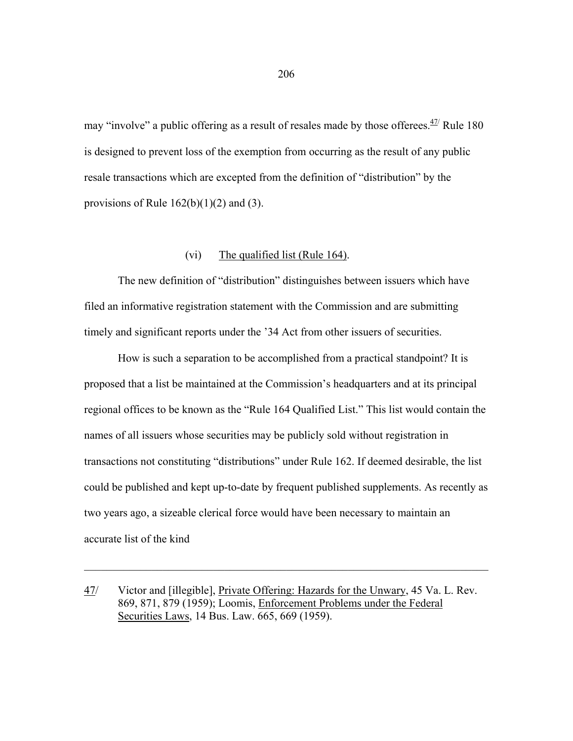may "involve" a public offering as a result of resales made by those offerees. $\frac{47}{1}$  Rule 180 is designed to prevent loss of the exemption from occurring as the result of any public resale transactions which are excepted from the definition of "distribution" by the provisions of Rule  $162(b)(1)(2)$  and (3).

# (vi) The qualified list (Rule 164).

 The new definition of "distribution" distinguishes between issuers which have filed an informative registration statement with the Commission and are submitting timely and significant reports under the '34 Act from other issuers of securities.

 How is such a separation to be accomplished from a practical standpoint? It is proposed that a list be maintained at the Commission's headquarters and at its principal regional offices to be known as the "Rule 164 Qualified List." This list would contain the names of all issuers whose securities may be publicly sold without registration in transactions not constituting "distributions" under Rule 162. If deemed desirable, the list could be published and kept up-to-date by frequent published supplements. As recently as two years ago, a sizeable clerical force would have been necessary to maintain an accurate list of the kind

47/ Victor and [illegible], Private Offering: Hazards for the Unwary, 45 Va. L. Rev. 869, 871, 879 (1959); Loomis, Enforcement Problems under the Federal Securities Laws, 14 Bus. Law. 665, 669 (1959).

 $\mathcal{L}_\text{max} = \mathcal{L}_\text{max} = \mathcal{L}_\text{max} = \mathcal{L}_\text{max} = \mathcal{L}_\text{max} = \mathcal{L}_\text{max} = \mathcal{L}_\text{max} = \mathcal{L}_\text{max} = \mathcal{L}_\text{max} = \mathcal{L}_\text{max} = \mathcal{L}_\text{max} = \mathcal{L}_\text{max} = \mathcal{L}_\text{max} = \mathcal{L}_\text{max} = \mathcal{L}_\text{max} = \mathcal{L}_\text{max} = \mathcal{L}_\text{max} = \mathcal{L}_\text{max} = \mathcal{$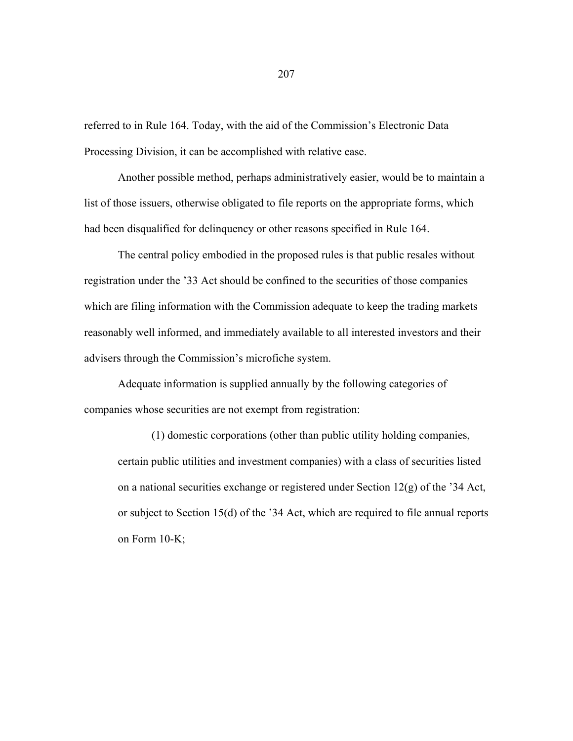referred to in Rule 164. Today, with the aid of the Commission's Electronic Data Processing Division, it can be accomplished with relative ease.

 Another possible method, perhaps administratively easier, would be to maintain a list of those issuers, otherwise obligated to file reports on the appropriate forms, which had been disqualified for delinquency or other reasons specified in Rule 164.

 The central policy embodied in the proposed rules is that public resales without registration under the '33 Act should be confined to the securities of those companies which are filing information with the Commission adequate to keep the trading markets reasonably well informed, and immediately available to all interested investors and their advisers through the Commission's microfiche system.

 Adequate information is supplied annually by the following categories of companies whose securities are not exempt from registration:

 (1) domestic corporations (other than public utility holding companies, certain public utilities and investment companies) with a class of securities listed on a national securities exchange or registered under Section 12(g) of the '34 Act, or subject to Section 15(d) of the '34 Act, which are required to file annual reports on Form 10-K;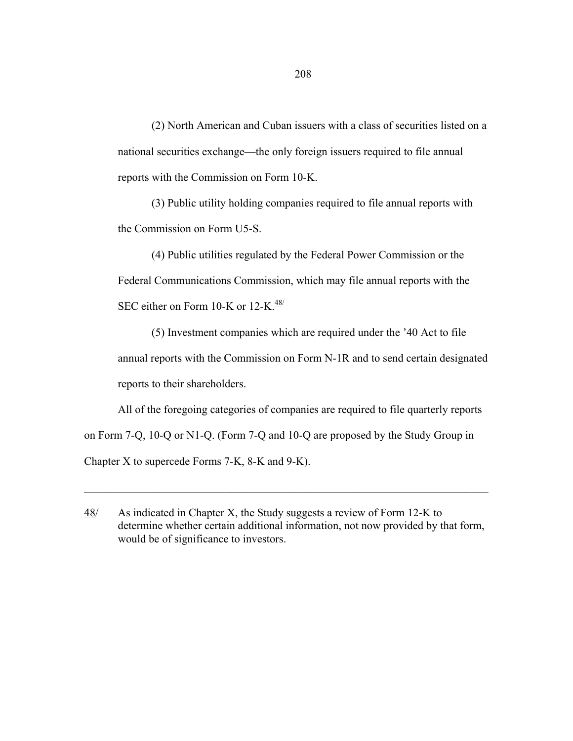(2) North American and Cuban issuers with a class of securities listed on a national securities exchange—the only foreign issuers required to file annual reports with the Commission on Form 10-K.

 (3) Public utility holding companies required to file annual reports with the Commission on Form U5-S.

 (4) Public utilities regulated by the Federal Power Commission or the Federal Communications Commission, which may file annual reports with the SEC either on Form 10-K or 12-K. $\frac{48}{1}$ 

 (5) Investment companies which are required under the '40 Act to file annual reports with the Commission on Form N-1R and to send certain designated reports to their shareholders.

 All of the foregoing categories of companies are required to file quarterly reports on Form 7-Q, 10-Q or N1-Q. (Form 7-Q and 10-Q are proposed by the Study Group in Chapter X to supercede Forms 7-K, 8-K and 9-K).

 $\_$  , and the contribution of the contribution of  $\mathcal{L}_\mathcal{A}$  , and the contribution of  $\mathcal{L}_\mathcal{A}$ 

<sup>48/</sup> As indicated in Chapter X, the Study suggests a review of Form 12-K to determine whether certain additional information, not now provided by that form, would be of significance to investors.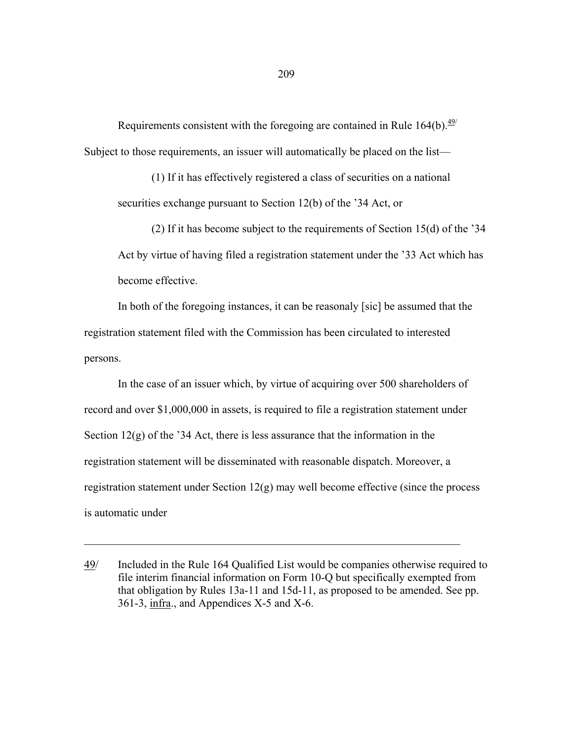Requirements consistent with the foregoing are contained in Rule  $164(b)$ .<sup>49/</sup> Subject to those requirements, an issuer will automatically be placed on the list—

 (1) If it has effectively registered a class of securities on a national securities exchange pursuant to Section 12(b) of the '34 Act, or

 (2) If it has become subject to the requirements of Section 15(d) of the '34 Act by virtue of having filed a registration statement under the '33 Act which has become effective.

 In both of the foregoing instances, it can be reasonaly [sic] be assumed that the registration statement filed with the Commission has been circulated to interested persons.

 In the case of an issuer which, by virtue of acquiring over 500 shareholders of record and over \$1,000,000 in assets, is required to file a registration statement under Section 12(g) of the '34 Act, there is less assurance that the information in the registration statement will be disseminated with reasonable dispatch. Moreover, a registration statement under Section  $12(g)$  may well become effective (since the process is automatic under

 $\_$  , and the set of the set of the set of the set of the set of the set of the set of the set of the set of the set of the set of the set of the set of the set of the set of the set of the set of the set of the set of th

<sup>49/</sup> Included in the Rule 164 Qualified List would be companies otherwise required to file interim financial information on Form 10-Q but specifically exempted from that obligation by Rules 13a-11 and 15d-11, as proposed to be amended. See pp. 361-3, infra., and Appendices X-5 and X-6.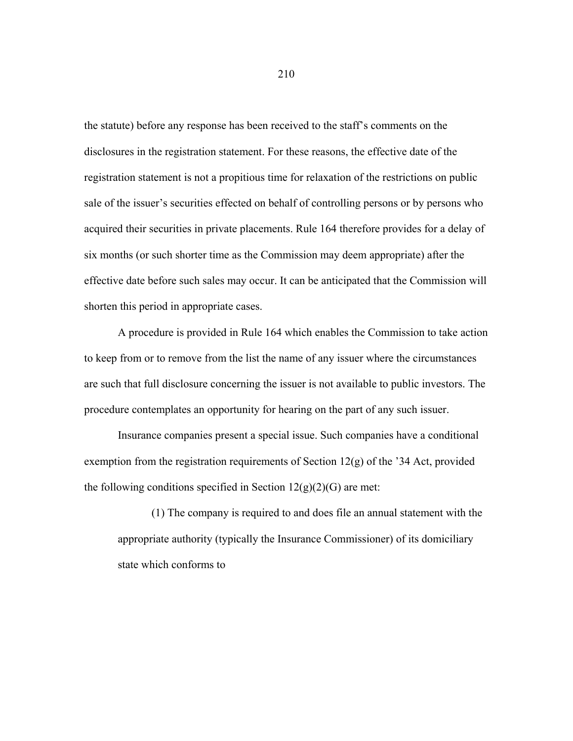the statute) before any response has been received to the staff's comments on the disclosures in the registration statement. For these reasons, the effective date of the registration statement is not a propitious time for relaxation of the restrictions on public sale of the issuer's securities effected on behalf of controlling persons or by persons who acquired their securities in private placements. Rule 164 therefore provides for a delay of six months (or such shorter time as the Commission may deem appropriate) after the effective date before such sales may occur. It can be anticipated that the Commission will shorten this period in appropriate cases.

 A procedure is provided in Rule 164 which enables the Commission to take action to keep from or to remove from the list the name of any issuer where the circumstances are such that full disclosure concerning the issuer is not available to public investors. The procedure contemplates an opportunity for hearing on the part of any such issuer.

 Insurance companies present a special issue. Such companies have a conditional exemption from the registration requirements of Section 12(g) of the '34 Act, provided the following conditions specified in Section  $12(g)(2)(G)$  are met:

 (1) The company is required to and does file an annual statement with the appropriate authority (typically the Insurance Commissioner) of its domiciliary state which conforms to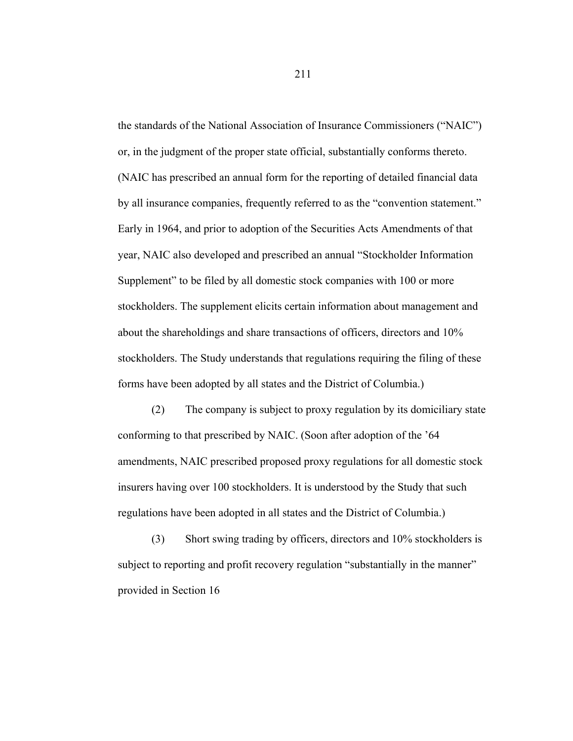the standards of the National Association of Insurance Commissioners ("NAIC") or, in the judgment of the proper state official, substantially conforms thereto. (NAIC has prescribed an annual form for the reporting of detailed financial data by all insurance companies, frequently referred to as the "convention statement." Early in 1964, and prior to adoption of the Securities Acts Amendments of that year, NAIC also developed and prescribed an annual "Stockholder Information Supplement" to be filed by all domestic stock companies with 100 or more stockholders. The supplement elicits certain information about management and about the shareholdings and share transactions of officers, directors and 10% stockholders. The Study understands that regulations requiring the filing of these forms have been adopted by all states and the District of Columbia.)

 (2) The company is subject to proxy regulation by its domiciliary state conforming to that prescribed by NAIC. (Soon after adoption of the '64 amendments, NAIC prescribed proposed proxy regulations for all domestic stock insurers having over 100 stockholders. It is understood by the Study that such regulations have been adopted in all states and the District of Columbia.)

 (3) Short swing trading by officers, directors and 10% stockholders is subject to reporting and profit recovery regulation "substantially in the manner" provided in Section 16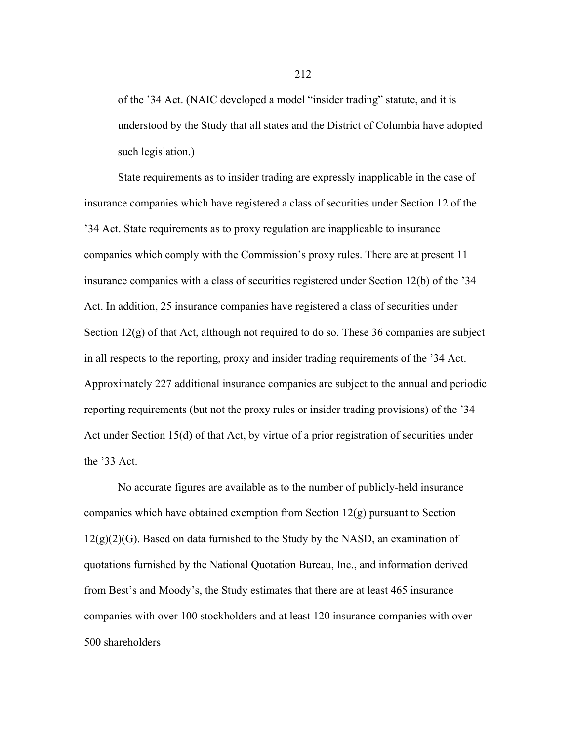of the '34 Act. (NAIC developed a model "insider trading" statute, and it is understood by the Study that all states and the District of Columbia have adopted such legislation.)

 State requirements as to insider trading are expressly inapplicable in the case of insurance companies which have registered a class of securities under Section 12 of the '34 Act. State requirements as to proxy regulation are inapplicable to insurance companies which comply with the Commission's proxy rules. There are at present 11 insurance companies with a class of securities registered under Section 12(b) of the '34 Act. In addition, 25 insurance companies have registered a class of securities under Section  $12(g)$  of that Act, although not required to do so. These 36 companies are subject in all respects to the reporting, proxy and insider trading requirements of the '34 Act. Approximately 227 additional insurance companies are subject to the annual and periodic reporting requirements (but not the proxy rules or insider trading provisions) of the '34 Act under Section 15(d) of that Act, by virtue of a prior registration of securities under the '33 Act.

 No accurate figures are available as to the number of publicly-held insurance companies which have obtained exemption from Section 12(g) pursuant to Section  $12(g)(2)(G)$ . Based on data furnished to the Study by the NASD, an examination of quotations furnished by the National Quotation Bureau, Inc., and information derived from Best's and Moody's, the Study estimates that there are at least 465 insurance companies with over 100 stockholders and at least 120 insurance companies with over 500 shareholders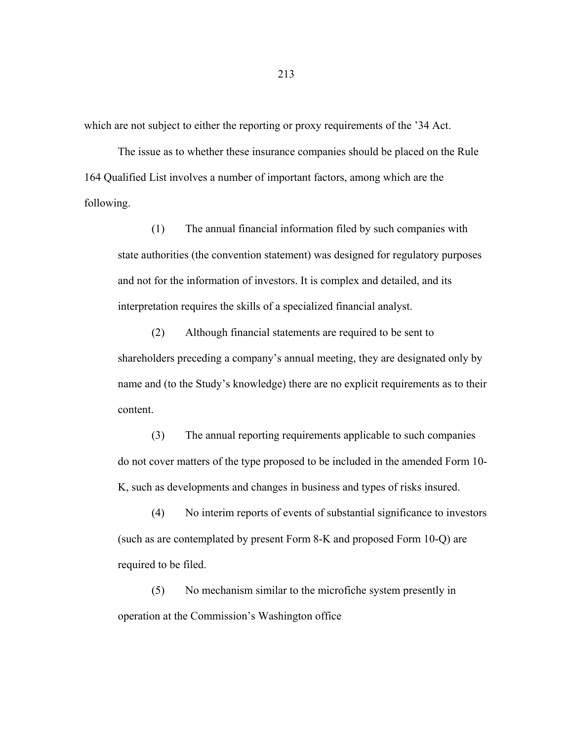which are not subject to either the reporting or proxy requirements of the '34 Act.

 The issue as to whether these insurance companies should be placed on the Rule 164 Qualified List involves a number of important factors, among which are the following.

 (1) The annual financial information filed by such companies with state authorities (the convention statement) was designed for regulatory purposes and not for the information of investors. It is complex and detailed, and its interpretation requires the skills of a specialized financial analyst.

 (2) Although financial statements are required to be sent to shareholders preceding a company's annual meeting, they are designated only by name and (to the Study's knowledge) there are no explicit requirements as to their content.

 (3) The annual reporting requirements applicable to such companies do not cover matters of the type proposed to be included in the amended Form 10- K, such as developments and changes in business and types of risks insured.

 (4) No interim reports of events of substantial significance to investors (such as are contemplated by present Form 8-K and proposed Form 10-Q) are required to be filed.

 (5) No mechanism similar to the microfiche system presently in operation at the Commission's Washington office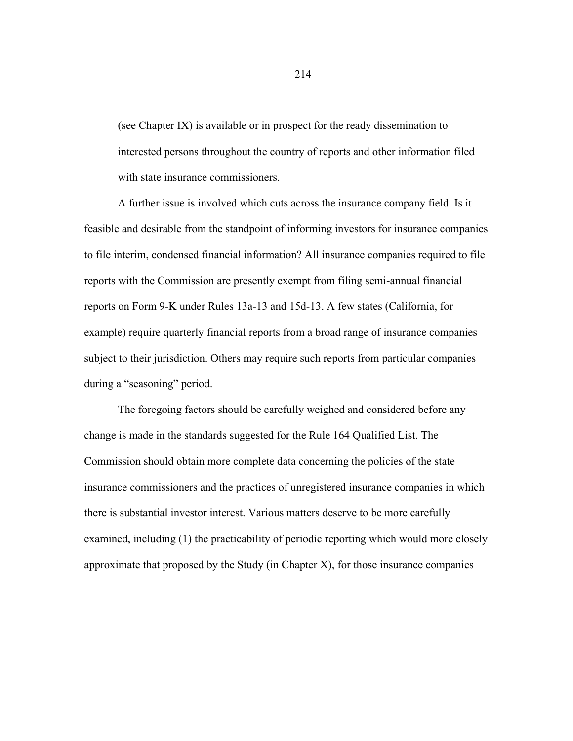(see Chapter IX) is available or in prospect for the ready dissemination to interested persons throughout the country of reports and other information filed with state insurance commissioners.

 A further issue is involved which cuts across the insurance company field. Is it feasible and desirable from the standpoint of informing investors for insurance companies to file interim, condensed financial information? All insurance companies required to file reports with the Commission are presently exempt from filing semi-annual financial reports on Form 9-K under Rules 13a-13 and 15d-13. A few states (California, for example) require quarterly financial reports from a broad range of insurance companies subject to their jurisdiction. Others may require such reports from particular companies during a "seasoning" period.

 The foregoing factors should be carefully weighed and considered before any change is made in the standards suggested for the Rule 164 Qualified List. The Commission should obtain more complete data concerning the policies of the state insurance commissioners and the practices of unregistered insurance companies in which there is substantial investor interest. Various matters deserve to be more carefully examined, including (1) the practicability of periodic reporting which would more closely approximate that proposed by the Study (in Chapter X), for those insurance companies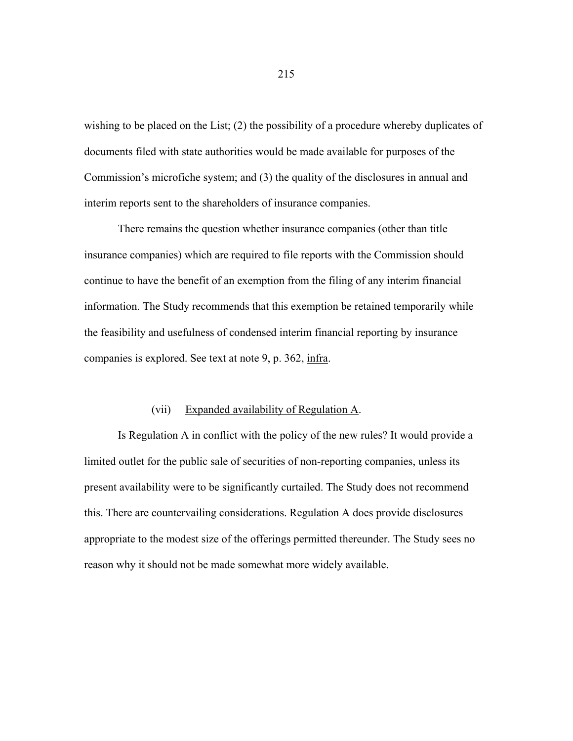wishing to be placed on the List; (2) the possibility of a procedure whereby duplicates of documents filed with state authorities would be made available for purposes of the Commission's microfiche system; and (3) the quality of the disclosures in annual and interim reports sent to the shareholders of insurance companies.

 There remains the question whether insurance companies (other than title insurance companies) which are required to file reports with the Commission should continue to have the benefit of an exemption from the filing of any interim financial information. The Study recommends that this exemption be retained temporarily while the feasibility and usefulness of condensed interim financial reporting by insurance companies is explored. See text at note 9, p. 362, infra.

### (vii) Expanded availability of Regulation A.

 Is Regulation A in conflict with the policy of the new rules? It would provide a limited outlet for the public sale of securities of non-reporting companies, unless its present availability were to be significantly curtailed. The Study does not recommend this. There are countervailing considerations. Regulation A does provide disclosures appropriate to the modest size of the offerings permitted thereunder. The Study sees no reason why it should not be made somewhat more widely available.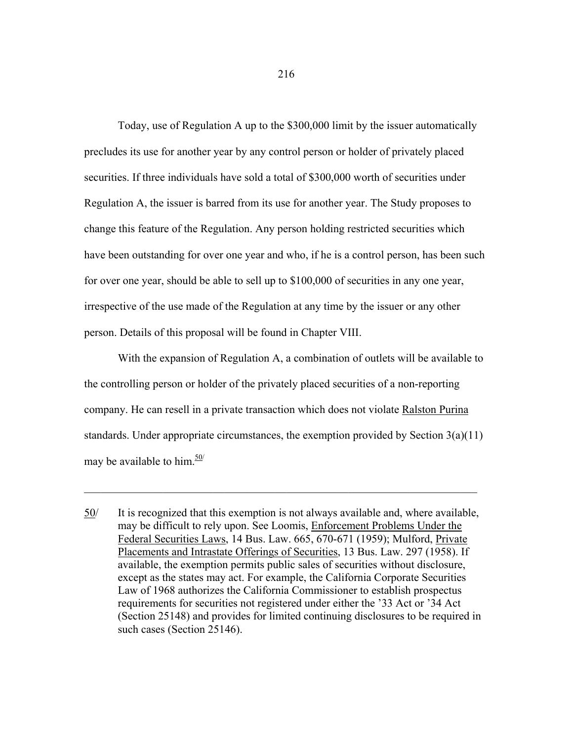Today, use of Regulation A up to the \$300,000 limit by the issuer automatically precludes its use for another year by any control person or holder of privately placed securities. If three individuals have sold a total of \$300,000 worth of securities under Regulation A, the issuer is barred from its use for another year. The Study proposes to change this feature of the Regulation. Any person holding restricted securities which have been outstanding for over one year and who, if he is a control person, has been such for over one year, should be able to sell up to \$100,000 of securities in any one year, irrespective of the use made of the Regulation at any time by the issuer or any other person. Details of this proposal will be found in Chapter VIII.

 With the expansion of Regulation A, a combination of outlets will be available to the controlling person or holder of the privately placed securities of a non-reporting company. He can resell in a private transaction which does not violate Ralston Purina standards. Under appropriate circumstances, the exemption provided by Section  $3(a)(11)$ may be available to him. $\frac{50}{ }$ 

 $\_$  , and the contribution of the contribution of  $\mathcal{L}_\mathcal{A}$  , and the contribution of  $\mathcal{L}_\mathcal{A}$ 

<sup>50/</sup> It is recognized that this exemption is not always available and, where available, may be difficult to rely upon. See Loomis, Enforcement Problems Under the Federal Securities Laws, 14 Bus. Law. 665, 670-671 (1959); Mulford, Private Placements and Intrastate Offerings of Securities, 13 Bus. Law. 297 (1958). If available, the exemption permits public sales of securities without disclosure, except as the states may act. For example, the California Corporate Securities Law of 1968 authorizes the California Commissioner to establish prospectus requirements for securities not registered under either the '33 Act or '34 Act (Section 25148) and provides for limited continuing disclosures to be required in such cases (Section 25146).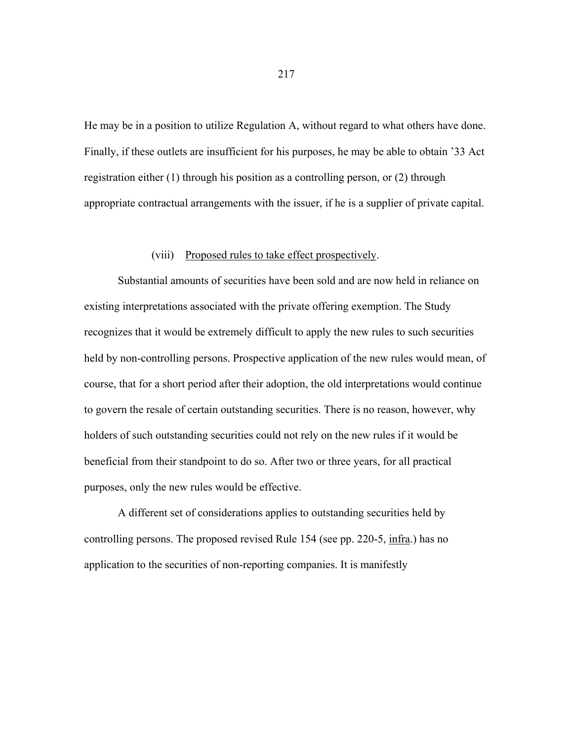He may be in a position to utilize Regulation A, without regard to what others have done. Finally, if these outlets are insufficient for his purposes, he may be able to obtain '33 Act registration either (1) through his position as a controlling person, or (2) through appropriate contractual arrangements with the issuer, if he is a supplier of private capital.

### (viii) Proposed rules to take effect prospectively.

 Substantial amounts of securities have been sold and are now held in reliance on existing interpretations associated with the private offering exemption. The Study recognizes that it would be extremely difficult to apply the new rules to such securities held by non-controlling persons. Prospective application of the new rules would mean, of course, that for a short period after their adoption, the old interpretations would continue to govern the resale of certain outstanding securities. There is no reason, however, why holders of such outstanding securities could not rely on the new rules if it would be beneficial from their standpoint to do so. After two or three years, for all practical purposes, only the new rules would be effective.

 A different set of considerations applies to outstanding securities held by controlling persons. The proposed revised Rule 154 (see pp. 220-5, infra.) has no application to the securities of non-reporting companies. It is manifestly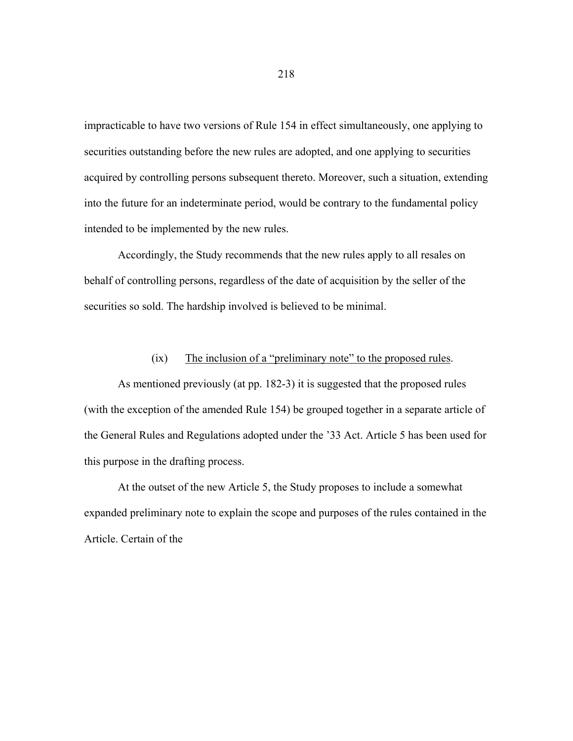impracticable to have two versions of Rule 154 in effect simultaneously, one applying to securities outstanding before the new rules are adopted, and one applying to securities acquired by controlling persons subsequent thereto. Moreover, such a situation, extending into the future for an indeterminate period, would be contrary to the fundamental policy intended to be implemented by the new rules.

 Accordingly, the Study recommends that the new rules apply to all resales on behalf of controlling persons, regardless of the date of acquisition by the seller of the securities so sold. The hardship involved is believed to be minimal.

## (ix) The inclusion of a "preliminary note" to the proposed rules.

 As mentioned previously (at pp. 182-3) it is suggested that the proposed rules (with the exception of the amended Rule 154) be grouped together in a separate article of the General Rules and Regulations adopted under the '33 Act. Article 5 has been used for this purpose in the drafting process.

 At the outset of the new Article 5, the Study proposes to include a somewhat expanded preliminary note to explain the scope and purposes of the rules contained in the Article. Certain of the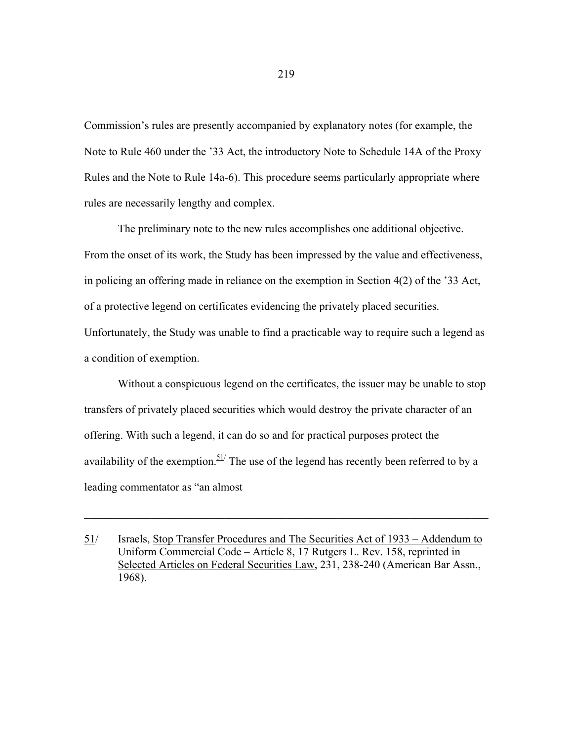Commission's rules are presently accompanied by explanatory notes (for example, the Note to Rule 460 under the '33 Act, the introductory Note to Schedule 14A of the Proxy Rules and the Note to Rule 14a-6). This procedure seems particularly appropriate where rules are necessarily lengthy and complex.

 The preliminary note to the new rules accomplishes one additional objective. From the onset of its work, the Study has been impressed by the value and effectiveness, in policing an offering made in reliance on the exemption in Section 4(2) of the '33 Act, of a protective legend on certificates evidencing the privately placed securities. Unfortunately, the Study was unable to find a practicable way to require such a legend as a condition of exemption.

 Without a conspicuous legend on the certificates, the issuer may be unable to stop transfers of privately placed securities which would destroy the private character of an offering. With such a legend, it can do so and for practical purposes protect the availability of the exemption.  $51/$  The use of the legend has recently been referred to by a leading commentator as "an almost

 $\_$  , and the contribution of the contribution of  $\mathcal{L}_\mathcal{A}$  , and the contribution of  $\mathcal{L}_\mathcal{A}$ 

<sup>51/</sup> Israels, Stop Transfer Procedures and The Securities Act of 1933 – Addendum to Uniform Commercial Code – Article 8, 17 Rutgers L. Rev. 158, reprinted in Selected Articles on Federal Securities Law, 231, 238-240 (American Bar Assn., 1968).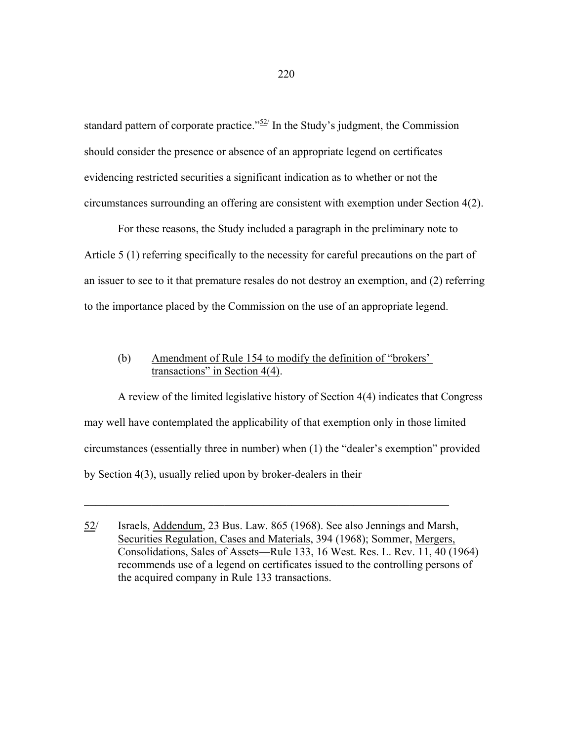standard pattern of corporate practice.<sup>" $52$ </sup> In the Study's judgment, the Commission should consider the presence or absence of an appropriate legend on certificates evidencing restricted securities a significant indication as to whether or not the circumstances surrounding an offering are consistent with exemption under Section 4(2).

 For these reasons, the Study included a paragraph in the preliminary note to Article 5 (1) referring specifically to the necessity for careful precautions on the part of an issuer to see to it that premature resales do not destroy an exemption, and (2) referring to the importance placed by the Commission on the use of an appropriate legend.

# (b) Amendment of Rule 154 to modify the definition of "brokers' transactions" in Section 4(4).

 A review of the limited legislative history of Section 4(4) indicates that Congress may well have contemplated the applicability of that exemption only in those limited circumstances (essentially three in number) when (1) the "dealer's exemption" provided by Section 4(3), usually relied upon by broker-dealers in their

 $\mathcal{L}_\text{max} = \frac{1}{2} \sum_{i=1}^n \mathcal{L}_\text{max}(\mathbf{z}_i - \mathbf{z}_i)$ 

<sup>52/</sup> Israels, Addendum, 23 Bus. Law. 865 (1968). See also Jennings and Marsh, Securities Regulation, Cases and Materials, 394 (1968); Sommer, Mergers, Consolidations, Sales of Assets—Rule 133, 16 West. Res. L. Rev. 11, 40 (1964) recommends use of a legend on certificates issued to the controlling persons of the acquired company in Rule 133 transactions.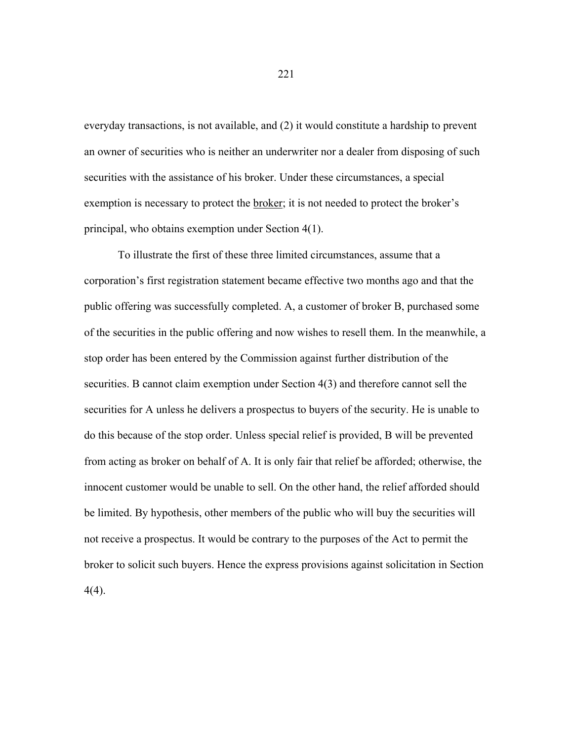everyday transactions, is not available, and (2) it would constitute a hardship to prevent an owner of securities who is neither an underwriter nor a dealer from disposing of such securities with the assistance of his broker. Under these circumstances, a special exemption is necessary to protect the broker; it is not needed to protect the broker's principal, who obtains exemption under Section 4(1).

 To illustrate the first of these three limited circumstances, assume that a corporation's first registration statement became effective two months ago and that the public offering was successfully completed. A, a customer of broker B, purchased some of the securities in the public offering and now wishes to resell them. In the meanwhile, a stop order has been entered by the Commission against further distribution of the securities. B cannot claim exemption under Section 4(3) and therefore cannot sell the securities for A unless he delivers a prospectus to buyers of the security. He is unable to do this because of the stop order. Unless special relief is provided, B will be prevented from acting as broker on behalf of A. It is only fair that relief be afforded; otherwise, the innocent customer would be unable to sell. On the other hand, the relief afforded should be limited. By hypothesis, other members of the public who will buy the securities will not receive a prospectus. It would be contrary to the purposes of the Act to permit the broker to solicit such buyers. Hence the express provisions against solicitation in Section 4(4).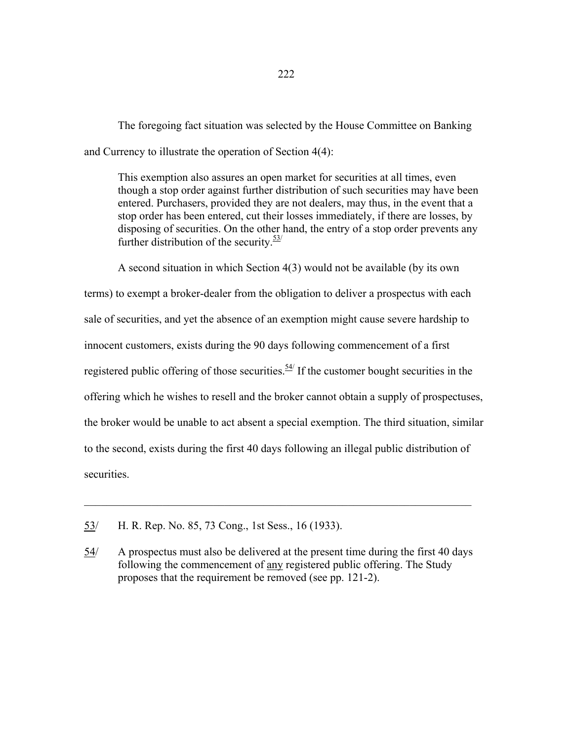The foregoing fact situation was selected by the House Committee on Banking and Currency to illustrate the operation of Section 4(4):

This exemption also assures an open market for securities at all times, even though a stop order against further distribution of such securities may have been entered. Purchasers, provided they are not dealers, may thus, in the event that a stop order has been entered, cut their losses immediately, if there are losses, by disposing of securities. On the other hand, the entry of a stop order prevents any further distribution of the security. $\frac{53}{1}$ 

A second situation in which Section 4(3) would not be available (by its own terms) to exempt a broker-dealer from the obligation to deliver a prospectus with each sale of securities, and yet the absence of an exemption might cause severe hardship to innocent customers, exists during the 90 days following commencement of a first registered public offering of those securities.<sup>54/</sup> If the customer bought securities in the offering which he wishes to resell and the broker cannot obtain a supply of prospectuses, the broker would be unable to act absent a special exemption. The third situation, similar to the second, exists during the first 40 days following an illegal public distribution of securities.

 $\mathcal{L}_\text{max} = \frac{1}{2} \sum_{i=1}^n \mathcal{L}_\text{max}(\mathbf{z}_i - \mathbf{z}_i)$ 

<sup>53/</sup> H. R. Rep. No. 85, 73 Cong., 1st Sess., 16 (1933).

<sup>54/</sup> A prospectus must also be delivered at the present time during the first 40 days following the commencement of any registered public offering. The Study proposes that the requirement be removed (see pp. 121-2).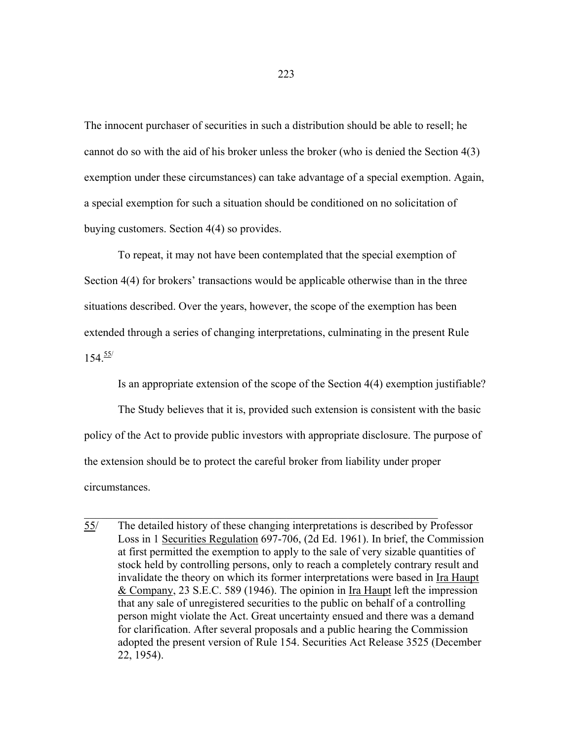The innocent purchaser of securities in such a distribution should be able to resell; he cannot do so with the aid of his broker unless the broker (who is denied the Section 4(3) exemption under these circumstances) can take advantage of a special exemption. Again, a special exemption for such a situation should be conditioned on no solicitation of buying customers. Section 4(4) so provides.

 To repeat, it may not have been contemplated that the special exemption of Section 4(4) for brokers' transactions would be applicable otherwise than in the three situations described. Over the years, however, the scope of the exemption has been extended through a series of changing interpretations, culminating in the present Rule  $154.55/$ 

Is an appropriate extension of the scope of the Section 4(4) exemption justifiable?

 The Study believes that it is, provided such extension is consistent with the basic policy of the Act to provide public investors with appropriate disclosure. The purpose of the extension should be to protect the careful broker from liability under proper circumstances.

 $\mathcal{L}_\text{max}$  , and the contribution of the contribution of the contribution of the contribution of the contribution of the contribution of the contribution of the contribution of the contribution of the contribution of t

<sup>55/</sup> The detailed history of these changing interpretations is described by Professor Loss in 1 Securities Regulation 697-706, (2d Ed. 1961). In brief, the Commission at first permitted the exemption to apply to the sale of very sizable quantities of stock held by controlling persons, only to reach a completely contrary result and invalidate the theory on which its former interpretations were based in Ira Haupt & Company, 23 S.E.C. 589 (1946). The opinion in Ira Haupt left the impression that any sale of unregistered securities to the public on behalf of a controlling person might violate the Act. Great uncertainty ensued and there was a demand for clarification. After several proposals and a public hearing the Commission adopted the present version of Rule 154. Securities Act Release 3525 (December 22, 1954).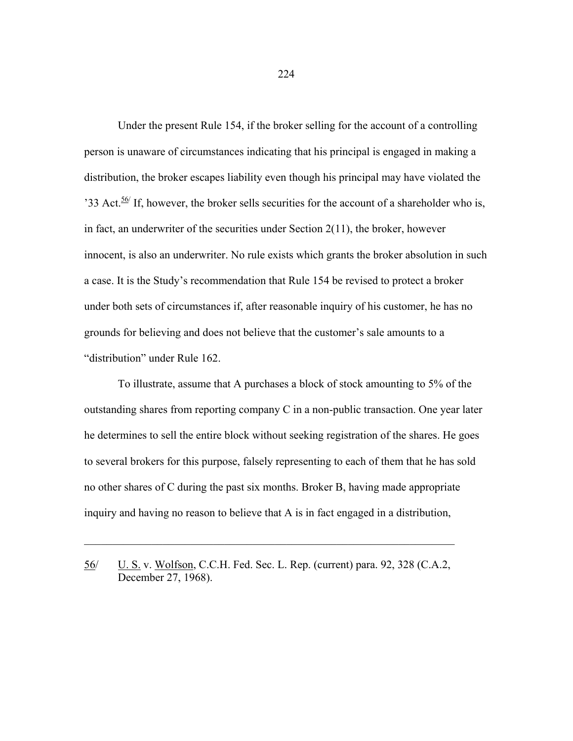Under the present Rule 154, if the broker selling for the account of a controlling person is unaware of circumstances indicating that his principal is engaged in making a distribution, the broker escapes liability even though his principal may have violated the '33 Act.<sup>56/</sup> If, however, the broker sells securities for the account of a shareholder who is, in fact, an underwriter of the securities under Section 2(11), the broker, however innocent, is also an underwriter. No rule exists which grants the broker absolution in such a case. It is the Study's recommendation that Rule 154 be revised to protect a broker under both sets of circumstances if, after reasonable inquiry of his customer, he has no grounds for believing and does not believe that the customer's sale amounts to a "distribution" under Rule 162.

 To illustrate, assume that A purchases a block of stock amounting to 5% of the outstanding shares from reporting company C in a non-public transaction. One year later he determines to sell the entire block without seeking registration of the shares. He goes to several brokers for this purpose, falsely representing to each of them that he has sold no other shares of C during the past six months. Broker B, having made appropriate inquiry and having no reason to believe that A is in fact engaged in a distribution,

 $\mathcal{L}_\mathcal{L} = \mathcal{L}_\mathcal{L} = \mathcal{L}_\mathcal{L} = \mathcal{L}_\mathcal{L} = \mathcal{L}_\mathcal{L} = \mathcal{L}_\mathcal{L} = \mathcal{L}_\mathcal{L} = \mathcal{L}_\mathcal{L} = \mathcal{L}_\mathcal{L} = \mathcal{L}_\mathcal{L} = \mathcal{L}_\mathcal{L} = \mathcal{L}_\mathcal{L} = \mathcal{L}_\mathcal{L} = \mathcal{L}_\mathcal{L} = \mathcal{L}_\mathcal{L} = \mathcal{L}_\mathcal{L} = \mathcal{L}_\mathcal{L}$ 

<sup>56/</sup> U. S. v. Wolfson, C.C.H. Fed. Sec. L. Rep. (current) para. 92, 328 (C.A.2, December 27, 1968).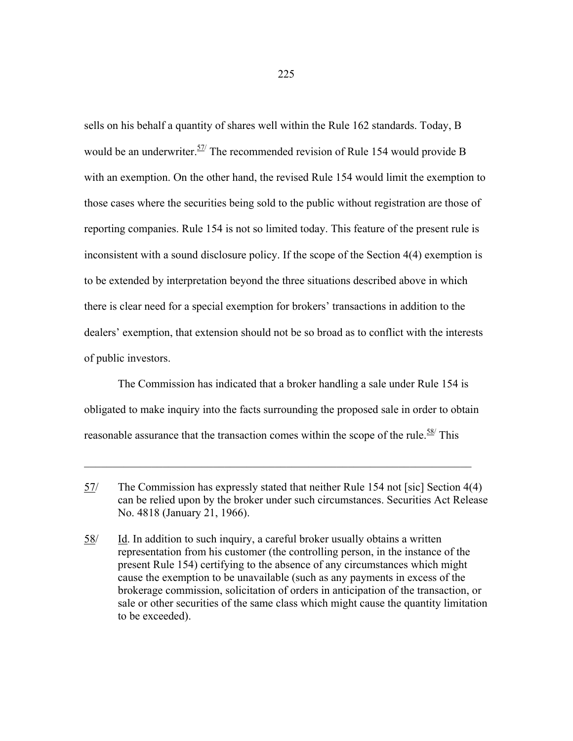sells on his behalf a quantity of shares well within the Rule 162 standards. Today, B would be an underwriter.<sup>57/</sup> The recommended revision of Rule 154 would provide B with an exemption. On the other hand, the revised Rule 154 would limit the exemption to those cases where the securities being sold to the public without registration are those of reporting companies. Rule 154 is not so limited today. This feature of the present rule is inconsistent with a sound disclosure policy. If the scope of the Section 4(4) exemption is to be extended by interpretation beyond the three situations described above in which there is clear need for a special exemption for brokers' transactions in addition to the dealers' exemption, that extension should not be so broad as to conflict with the interests of public investors.

 The Commission has indicated that a broker handling a sale under Rule 154 is obligated to make inquiry into the facts surrounding the proposed sale in order to obtain reasonable assurance that the transaction comes within the scope of the rule.  $\frac{58}{1}$  This

 $\_$  , and the contribution of the contribution of  $\mathcal{L}_\mathcal{A}$  , and the contribution of  $\mathcal{L}_\mathcal{A}$ 

<sup>57/</sup> The Commission has expressly stated that neither Rule 154 not [sic] Section 4(4) can be relied upon by the broker under such circumstances. Securities Act Release No. 4818 (January 21, 1966).

 $58$ / Id. In addition to such inquiry, a careful broker usually obtains a written representation from his customer (the controlling person, in the instance of the present Rule 154) certifying to the absence of any circumstances which might cause the exemption to be unavailable (such as any payments in excess of the brokerage commission, solicitation of orders in anticipation of the transaction, or sale or other securities of the same class which might cause the quantity limitation to be exceeded).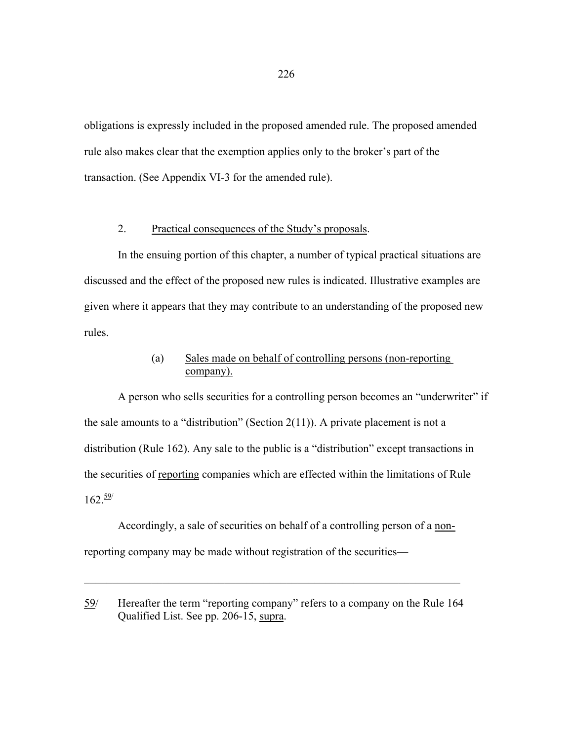obligations is expressly included in the proposed amended rule. The proposed amended rule also makes clear that the exemption applies only to the broker's part of the transaction. (See Appendix VI-3 for the amended rule).

## 2. Practical consequences of the Study's proposals.

 In the ensuing portion of this chapter, a number of typical practical situations are discussed and the effect of the proposed new rules is indicated. Illustrative examples are given where it appears that they may contribute to an understanding of the proposed new rules.

# (a) Sales made on behalf of controlling persons (non-reporting company).

A person who sells securities for a controlling person becomes an "underwriter" if the sale amounts to a "distribution" (Section  $2(11)$ ). A private placement is not a distribution (Rule 162). Any sale to the public is a "distribution" except transactions in the securities of reporting companies which are effected within the limitations of Rule  $162.59$ 

 Accordingly, a sale of securities on behalf of a controlling person of a nonreporting company may be made without registration of the securities—

 $\mathcal{L}_\mathcal{L} = \{ \mathcal{L}_\mathcal{L} = \{ \mathcal{L}_\mathcal{L} = \{ \mathcal{L}_\mathcal{L} = \{ \mathcal{L}_\mathcal{L} = \{ \mathcal{L}_\mathcal{L} = \{ \mathcal{L}_\mathcal{L} = \{ \mathcal{L}_\mathcal{L} = \{ \mathcal{L}_\mathcal{L} = \{ \mathcal{L}_\mathcal{L} = \{ \mathcal{L}_\mathcal{L} = \{ \mathcal{L}_\mathcal{L} = \{ \mathcal{L}_\mathcal{L} = \{ \mathcal{L}_\mathcal{L} = \{ \mathcal{L}_\mathcal{$ 

<sup>59/</sup> Hereafter the term "reporting company" refers to a company on the Rule 164 Qualified List. See pp. 206-15, supra.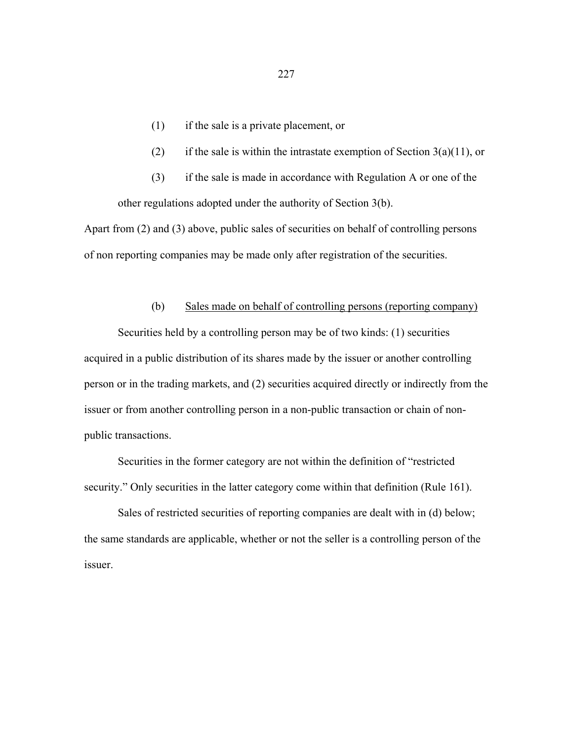- (1) if the sale is a private placement, or
- (2) if the sale is within the intrastate exemption of Section  $3(a)(11)$ , or
- (3) if the sale is made in accordance with Regulation A or one of the other regulations adopted under the authority of Section 3(b).

Apart from (2) and (3) above, public sales of securities on behalf of controlling persons of non reporting companies may be made only after registration of the securities.

### (b) Sales made on behalf of controlling persons (reporting company)

 Securities held by a controlling person may be of two kinds: (1) securities acquired in a public distribution of its shares made by the issuer or another controlling person or in the trading markets, and (2) securities acquired directly or indirectly from the issuer or from another controlling person in a non-public transaction or chain of nonpublic transactions.

 Securities in the former category are not within the definition of "restricted security." Only securities in the latter category come within that definition (Rule 161).

 Sales of restricted securities of reporting companies are dealt with in (d) below; the same standards are applicable, whether or not the seller is a controlling person of the issuer.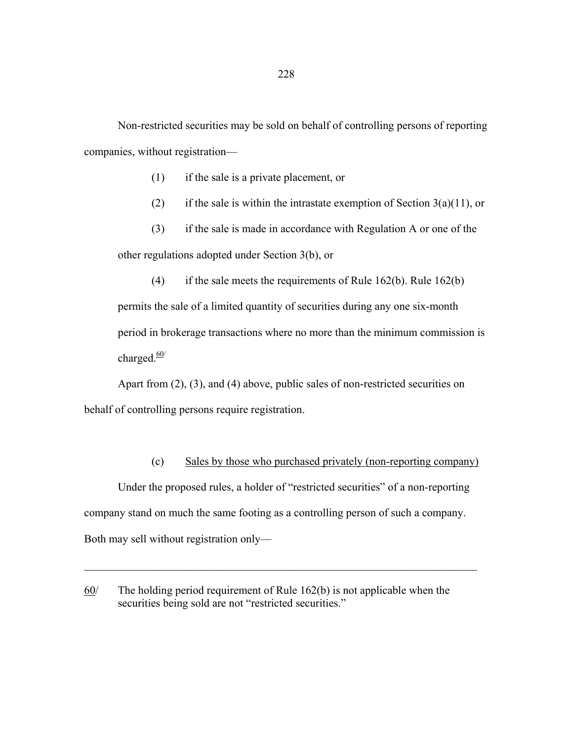Non-restricted securities may be sold on behalf of controlling persons of reporting companies, without registration—

(1) if the sale is a private placement, or

(2) if the sale is within the intrastate exemption of Section  $3(a)(11)$ , or

 (3) if the sale is made in accordance with Regulation A or one of the other regulations adopted under Section 3(b), or

(4) if the sale meets the requirements of Rule  $162(b)$ . Rule  $162(b)$ permits the sale of a limited quantity of securities during any one six-month period in brokerage transactions where no more than the minimum commission is charged. $\frac{60}{ }$ 

 Apart from (2), (3), and (4) above, public sales of non-restricted securities on behalf of controlling persons require registration.

## (c) Sales by those who purchased privately (non-reporting company)

 Under the proposed rules, a holder of "restricted securities" of a non-reporting company stand on much the same footing as a controlling person of such a company. Both may sell without registration only—

 $\mathcal{L}_\text{max} = \mathcal{L}_\text{max} = \mathcal{L}_\text{max} = \mathcal{L}_\text{max} = \mathcal{L}_\text{max} = \mathcal{L}_\text{max} = \mathcal{L}_\text{max} = \mathcal{L}_\text{max} = \mathcal{L}_\text{max} = \mathcal{L}_\text{max} = \mathcal{L}_\text{max} = \mathcal{L}_\text{max} = \mathcal{L}_\text{max} = \mathcal{L}_\text{max} = \mathcal{L}_\text{max} = \mathcal{L}_\text{max} = \mathcal{L}_\text{max} = \mathcal{L}_\text{max} = \mathcal{$ 

 $60/$  The holding period requirement of Rule 162(b) is not applicable when the securities being sold are not "restricted securities."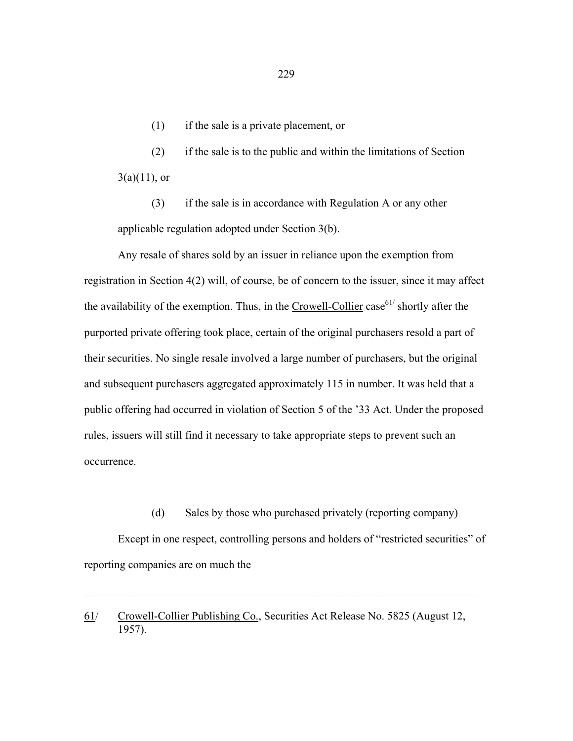(1) if the sale is a private placement, or

 (2) if the sale is to the public and within the limitations of Section  $3(a)(11)$ , or

 (3) if the sale is in accordance with Regulation A or any other applicable regulation adopted under Section 3(b).

 Any resale of shares sold by an issuer in reliance upon the exemption from registration in Section 4(2) will, of course, be of concern to the issuer, since it may affect the availability of the exemption. Thus, in the Crowell-Collier case  $61/$  shortly after the purported private offering took place, certain of the original purchasers resold a part of their securities. No single resale involved a large number of purchasers, but the original and subsequent purchasers aggregated approximately 115 in number. It was held that a public offering had occurred in violation of Section 5 of the '33 Act. Under the proposed rules, issuers will still find it necessary to take appropriate steps to prevent such an occurrence.

### (d) Sales by those who purchased privately (reporting company)

 Except in one respect, controlling persons and holders of "restricted securities" of reporting companies are on much the

 $\mathcal{L}_\mathcal{L} = \mathcal{L}_\mathcal{L} = \mathcal{L}_\mathcal{L} = \mathcal{L}_\mathcal{L} = \mathcal{L}_\mathcal{L} = \mathcal{L}_\mathcal{L} = \mathcal{L}_\mathcal{L} = \mathcal{L}_\mathcal{L} = \mathcal{L}_\mathcal{L} = \mathcal{L}_\mathcal{L} = \mathcal{L}_\mathcal{L} = \mathcal{L}_\mathcal{L} = \mathcal{L}_\mathcal{L} = \mathcal{L}_\mathcal{L} = \mathcal{L}_\mathcal{L} = \mathcal{L}_\mathcal{L} = \mathcal{L}_\mathcal{L}$ 

61/ Crowell-Collier Publishing Co., Securities Act Release No. 5825 (August 12, 1957).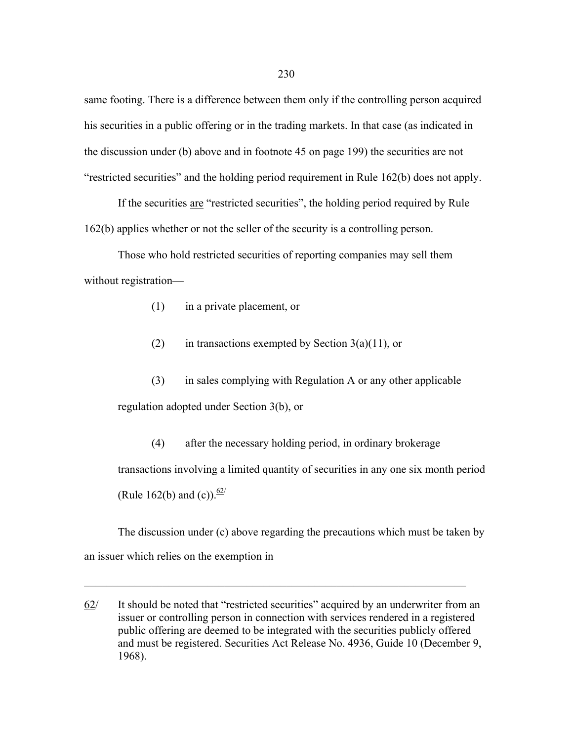same footing. There is a difference between them only if the controlling person acquired his securities in a public offering or in the trading markets. In that case (as indicated in the discussion under (b) above and in footnote 45 on page 199) the securities are not "restricted securities" and the holding period requirement in Rule 162(b) does not apply.

 If the securities are "restricted securities", the holding period required by Rule 162(b) applies whether or not the seller of the security is a controlling person.

 Those who hold restricted securities of reporting companies may sell them without registration—

- (1) in a private placement, or
- (2) in transactions exempted by Section  $3(a)(11)$ , or

 (3) in sales complying with Regulation A or any other applicable regulation adopted under Section 3(b), or

 (4) after the necessary holding period, in ordinary brokerage transactions involving a limited quantity of securities in any one six month period (Rule 162(b) and (c)).  $\frac{62}{ }$ 

 The discussion under (c) above regarding the precautions which must be taken by an issuer which relies on the exemption in

 $\mathcal{L}_\mathcal{L} = \mathcal{L}_\mathcal{L} = \mathcal{L}_\mathcal{L} = \mathcal{L}_\mathcal{L} = \mathcal{L}_\mathcal{L} = \mathcal{L}_\mathcal{L} = \mathcal{L}_\mathcal{L} = \mathcal{L}_\mathcal{L} = \mathcal{L}_\mathcal{L} = \mathcal{L}_\mathcal{L} = \mathcal{L}_\mathcal{L} = \mathcal{L}_\mathcal{L} = \mathcal{L}_\mathcal{L} = \mathcal{L}_\mathcal{L} = \mathcal{L}_\mathcal{L} = \mathcal{L}_\mathcal{L} = \mathcal{L}_\mathcal{L}$ 

<sup>62/</sup> It should be noted that "restricted securities" acquired by an underwriter from an issuer or controlling person in connection with services rendered in a registered public offering are deemed to be integrated with the securities publicly offered and must be registered. Securities Act Release No. 4936, Guide 10 (December 9, 1968).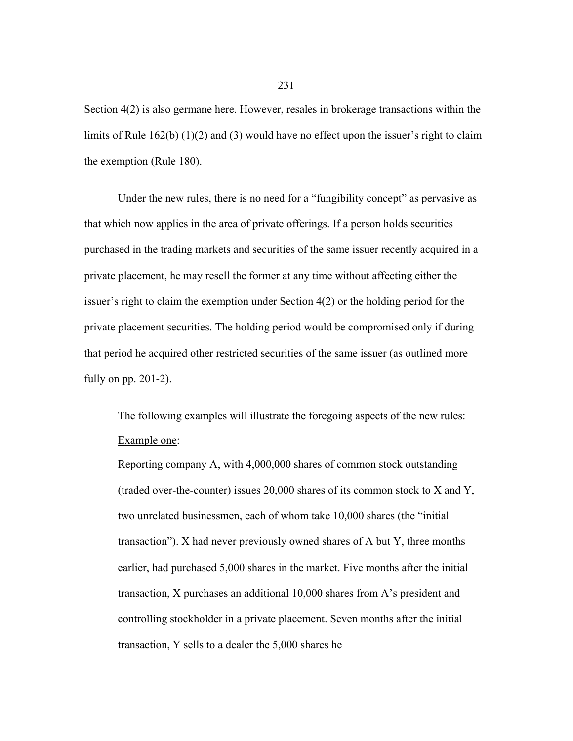Section 4(2) is also germane here. However, resales in brokerage transactions within the limits of Rule 162(b) (1)(2) and (3) would have no effect upon the issuer's right to claim the exemption (Rule 180).

 Under the new rules, there is no need for a "fungibility concept" as pervasive as that which now applies in the area of private offerings. If a person holds securities purchased in the trading markets and securities of the same issuer recently acquired in a private placement, he may resell the former at any time without affecting either the issuer's right to claim the exemption under Section 4(2) or the holding period for the private placement securities. The holding period would be compromised only if during that period he acquired other restricted securities of the same issuer (as outlined more fully on pp. 201-2).

 The following examples will illustrate the foregoing aspects of the new rules: Example one:

Reporting company A, with 4,000,000 shares of common stock outstanding (traded over-the-counter) issues 20,000 shares of its common stock to X and Y, two unrelated businessmen, each of whom take 10,000 shares (the "initial transaction"). X had never previously owned shares of A but Y, three months earlier, had purchased 5,000 shares in the market. Five months after the initial transaction, X purchases an additional 10,000 shares from A's president and controlling stockholder in a private placement. Seven months after the initial transaction, Y sells to a dealer the 5,000 shares he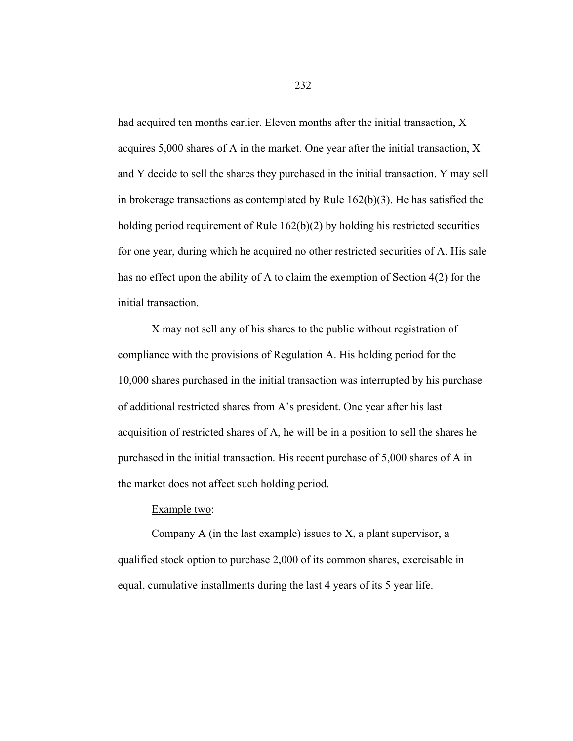had acquired ten months earlier. Eleven months after the initial transaction, X acquires 5,000 shares of A in the market. One year after the initial transaction, X and Y decide to sell the shares they purchased in the initial transaction. Y may sell in brokerage transactions as contemplated by Rule 162(b)(3). He has satisfied the holding period requirement of Rule 162(b)(2) by holding his restricted securities for one year, during which he acquired no other restricted securities of A. His sale has no effect upon the ability of A to claim the exemption of Section 4(2) for the initial transaction.

 X may not sell any of his shares to the public without registration of compliance with the provisions of Regulation A. His holding period for the 10,000 shares purchased in the initial transaction was interrupted by his purchase of additional restricted shares from A's president. One year after his last acquisition of restricted shares of A, he will be in a position to sell the shares he purchased in the initial transaction. His recent purchase of 5,000 shares of A in the market does not affect such holding period.

### Example two:

Company A (in the last example) issues to  $X$ , a plant supervisor, a qualified stock option to purchase 2,000 of its common shares, exercisable in equal, cumulative installments during the last 4 years of its 5 year life.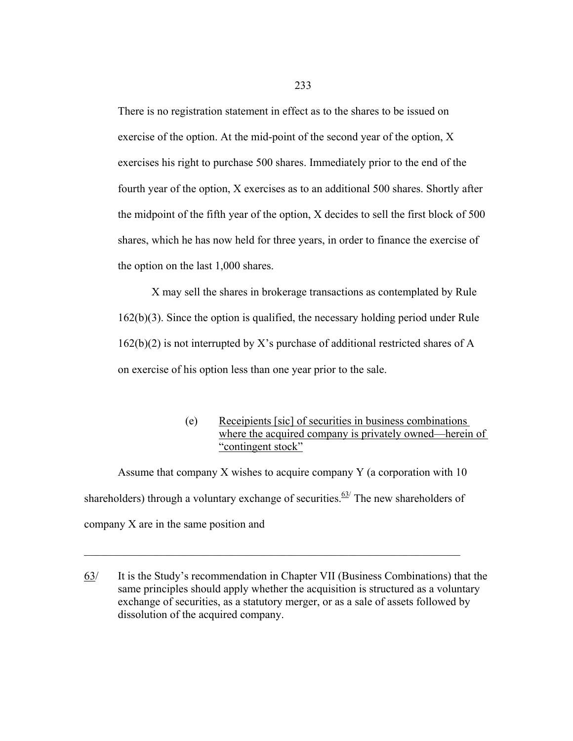There is no registration statement in effect as to the shares to be issued on exercise of the option. At the mid-point of the second year of the option, X exercises his right to purchase 500 shares. Immediately prior to the end of the fourth year of the option, X exercises as to an additional 500 shares. Shortly after the midpoint of the fifth year of the option, X decides to sell the first block of 500 shares, which he has now held for three years, in order to finance the exercise of the option on the last 1,000 shares.

 X may sell the shares in brokerage transactions as contemplated by Rule 162(b)(3). Since the option is qualified, the necessary holding period under Rule 162(b)(2) is not interrupted by X's purchase of additional restricted shares of A on exercise of his option less than one year prior to the sale.

> (e) Receipients [sic] of securities in business combinations where the acquired company is privately owned—herein of "contingent stock"

 Assume that company X wishes to acquire company Y (a corporation with 10 shareholders) through a voluntary exchange of securities.<sup>63/</sup> The new shareholders of company X are in the same position and

 $\mathcal{L}_\mathcal{L} = \{ \mathcal{L}_\mathcal{L} = \{ \mathcal{L}_\mathcal{L} = \{ \mathcal{L}_\mathcal{L} = \{ \mathcal{L}_\mathcal{L} = \{ \mathcal{L}_\mathcal{L} = \{ \mathcal{L}_\mathcal{L} = \{ \mathcal{L}_\mathcal{L} = \{ \mathcal{L}_\mathcal{L} = \{ \mathcal{L}_\mathcal{L} = \{ \mathcal{L}_\mathcal{L} = \{ \mathcal{L}_\mathcal{L} = \{ \mathcal{L}_\mathcal{L} = \{ \mathcal{L}_\mathcal{L} = \{ \mathcal{L}_\mathcal{$ 

<sup>63/</sup> It is the Study's recommendation in Chapter VII (Business Combinations) that the same principles should apply whether the acquisition is structured as a voluntary exchange of securities, as a statutory merger, or as a sale of assets followed by dissolution of the acquired company.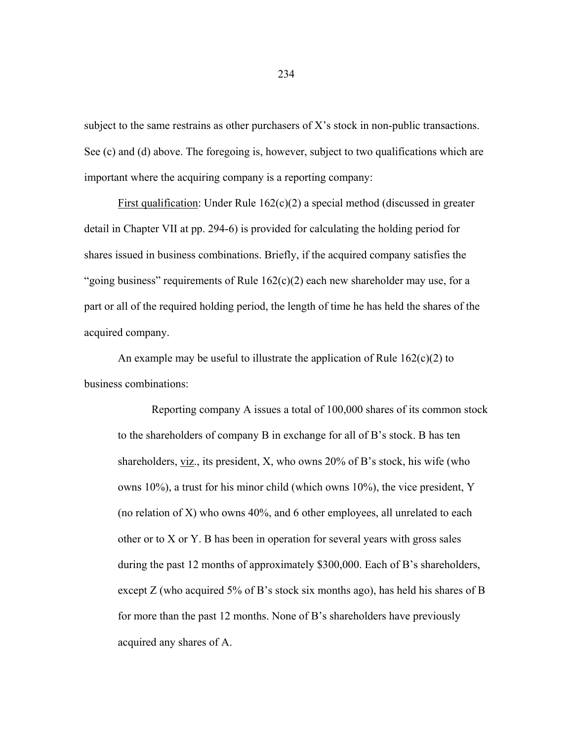subject to the same restrains as other purchasers of X's stock in non-public transactions. See (c) and (d) above. The foregoing is, however, subject to two qualifications which are important where the acquiring company is a reporting company:

First qualification: Under Rule  $162(c)(2)$  a special method (discussed in greater detail in Chapter VII at pp. 294-6) is provided for calculating the holding period for shares issued in business combinations. Briefly, if the acquired company satisfies the "going business" requirements of Rule  $162(c)(2)$  each new shareholder may use, for a part or all of the required holding period, the length of time he has held the shares of the acquired company.

An example may be useful to illustrate the application of Rule  $162(c)(2)$  to business combinations:

 Reporting company A issues a total of 100,000 shares of its common stock to the shareholders of company B in exchange for all of B's stock. B has ten shareholders, viz., its president, X, who owns 20% of B's stock, his wife (who owns 10%), a trust for his minor child (which owns 10%), the vice president, Y (no relation of X) who owns 40%, and 6 other employees, all unrelated to each other or to X or Y. B has been in operation for several years with gross sales during the past 12 months of approximately \$300,000. Each of B's shareholders, except Z (who acquired 5% of B's stock six months ago), has held his shares of B for more than the past 12 months. None of B's shareholders have previously acquired any shares of A.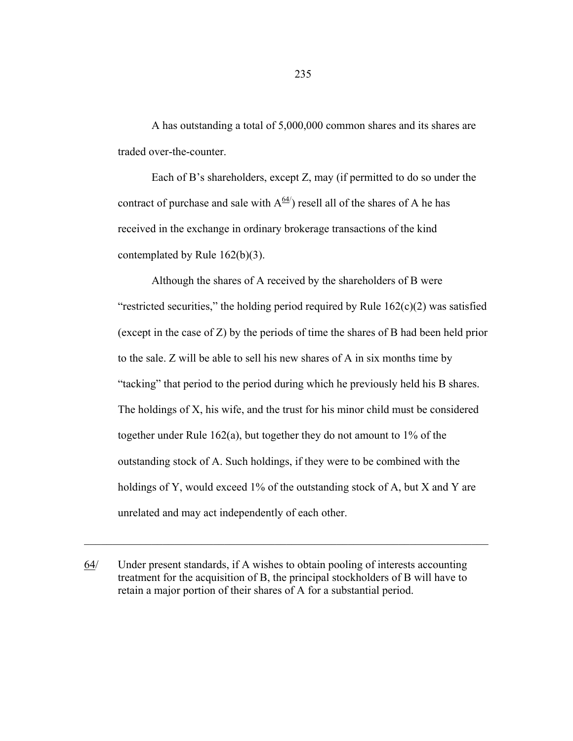A has outstanding a total of 5,000,000 common shares and its shares are traded over-the-counter.

 Each of B's shareholders, except Z, may (if permitted to do so under the contract of purchase and sale with  $A^{64/2}$  resell all of the shares of A he has received in the exchange in ordinary brokerage transactions of the kind contemplated by Rule 162(b)(3).

 Although the shares of A received by the shareholders of B were "restricted securities," the holding period required by Rule  $162(c)(2)$  was satisfied (except in the case of Z) by the periods of time the shares of B had been held prior to the sale. Z will be able to sell his new shares of A in six months time by "tacking" that period to the period during which he previously held his B shares. The holdings of X, his wife, and the trust for his minor child must be considered together under Rule 162(a), but together they do not amount to 1% of the outstanding stock of A. Such holdings, if they were to be combined with the holdings of Y, would exceed 1% of the outstanding stock of A, but X and Y are unrelated and may act independently of each other.

64/ Under present standards, if A wishes to obtain pooling of interests accounting treatment for the acquisition of B, the principal stockholders of B will have to retain a major portion of their shares of A for a substantial period.

 $\mathcal{L}_\text{max}$  , and the contribution of the contribution of the contribution of the contribution of the contribution of the contribution of the contribution of the contribution of the contribution of the contribution of t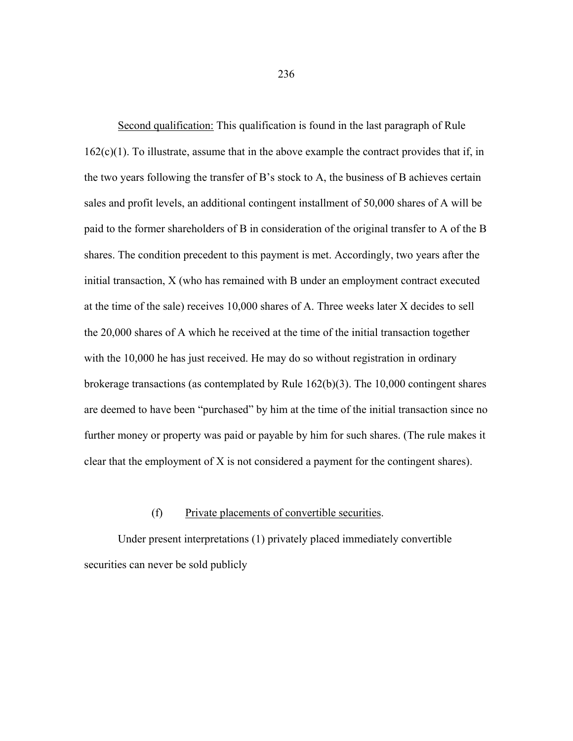Second qualification: This qualification is found in the last paragraph of Rule  $162(c)(1)$ . To illustrate, assume that in the above example the contract provides that if, in the two years following the transfer of B's stock to A, the business of B achieves certain sales and profit levels, an additional contingent installment of 50,000 shares of A will be paid to the former shareholders of B in consideration of the original transfer to A of the B shares. The condition precedent to this payment is met. Accordingly, two years after the initial transaction, X (who has remained with B under an employment contract executed at the time of the sale) receives 10,000 shares of A. Three weeks later X decides to sell the 20,000 shares of A which he received at the time of the initial transaction together with the 10,000 he has just received. He may do so without registration in ordinary brokerage transactions (as contemplated by Rule 162(b)(3). The 10,000 contingent shares are deemed to have been "purchased" by him at the time of the initial transaction since no further money or property was paid or payable by him for such shares. (The rule makes it clear that the employment of X is not considered a payment for the contingent shares).

### (f) Private placements of convertible securities.

 Under present interpretations (1) privately placed immediately convertible securities can never be sold publicly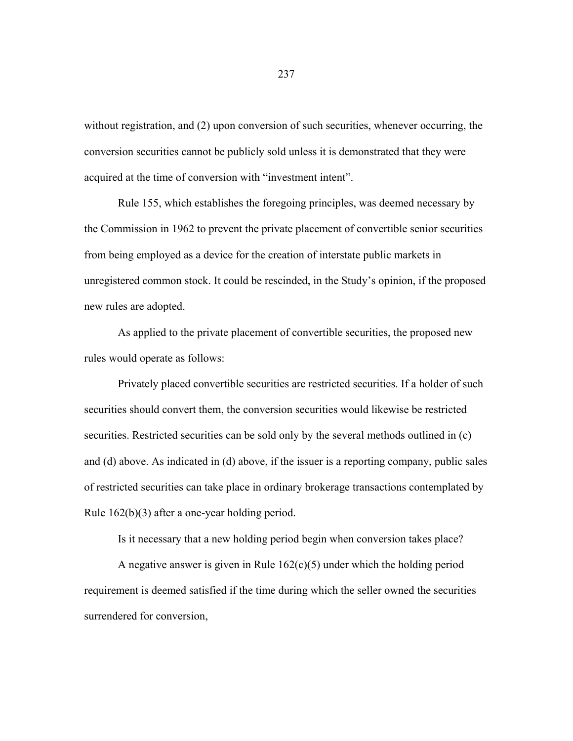without registration, and (2) upon conversion of such securities, whenever occurring, the conversion securities cannot be publicly sold unless it is demonstrated that they were acquired at the time of conversion with "investment intent".

 Rule 155, which establishes the foregoing principles, was deemed necessary by the Commission in 1962 to prevent the private placement of convertible senior securities from being employed as a device for the creation of interstate public markets in unregistered common stock. It could be rescinded, in the Study's opinion, if the proposed new rules are adopted.

 As applied to the private placement of convertible securities, the proposed new rules would operate as follows:

 Privately placed convertible securities are restricted securities. If a holder of such securities should convert them, the conversion securities would likewise be restricted securities. Restricted securities can be sold only by the several methods outlined in (c) and (d) above. As indicated in (d) above, if the issuer is a reporting company, public sales of restricted securities can take place in ordinary brokerage transactions contemplated by Rule 162(b)(3) after a one-year holding period.

Is it necessary that a new holding period begin when conversion takes place?

A negative answer is given in Rule  $162(c)(5)$  under which the holding period requirement is deemed satisfied if the time during which the seller owned the securities surrendered for conversion,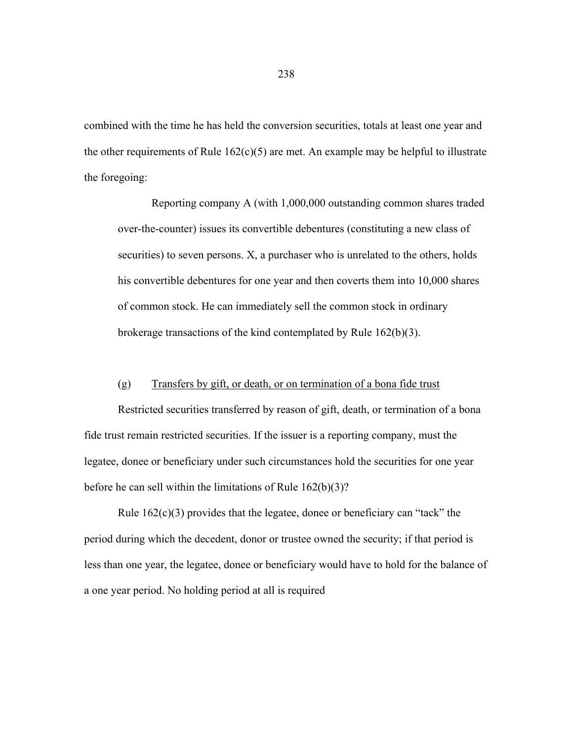combined with the time he has held the conversion securities, totals at least one year and the other requirements of Rule  $162(c)(5)$  are met. An example may be helpful to illustrate the foregoing:

 Reporting company A (with 1,000,000 outstanding common shares traded over-the-counter) issues its convertible debentures (constituting a new class of securities) to seven persons. X, a purchaser who is unrelated to the others, holds his convertible debentures for one year and then coverts them into 10,000 shares of common stock. He can immediately sell the common stock in ordinary brokerage transactions of the kind contemplated by Rule 162(b)(3).

### (g) Transfers by gift, or death, or on termination of a bona fide trust

 Restricted securities transferred by reason of gift, death, or termination of a bona fide trust remain restricted securities. If the issuer is a reporting company, must the legatee, donee or beneficiary under such circumstances hold the securities for one year before he can sell within the limitations of Rule 162(b)(3)?

 Rule 162(c)(3) provides that the legatee, donee or beneficiary can "tack" the period during which the decedent, donor or trustee owned the security; if that period is less than one year, the legatee, donee or beneficiary would have to hold for the balance of a one year period. No holding period at all is required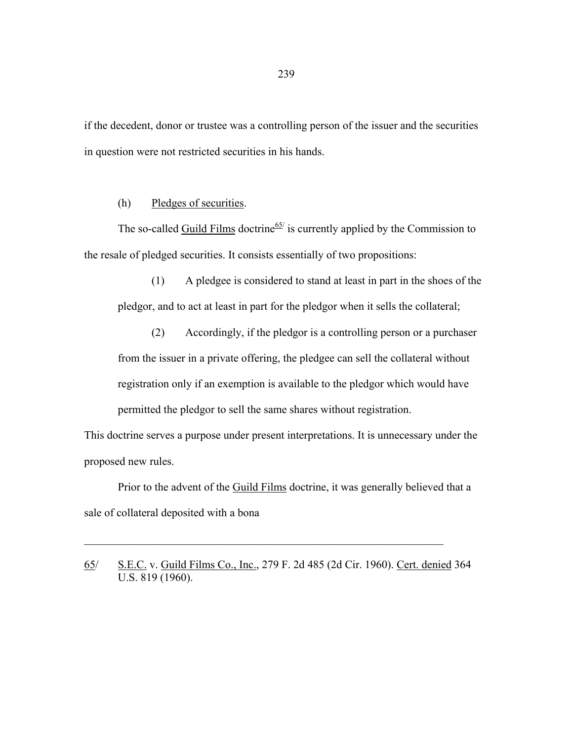if the decedent, donor or trustee was a controlling person of the issuer and the securities in question were not restricted securities in his hands.

(h) Pledges of securities.

The so-called  $\frac{Guild \text{ Films}}{2}$  doctrine<sup>65/</sup> is currently applied by the Commission to the resale of pledged securities. It consists essentially of two propositions:

 (1) A pledgee is considered to stand at least in part in the shoes of the pledgor, and to act at least in part for the pledgor when it sells the collateral;

 (2) Accordingly, if the pledgor is a controlling person or a purchaser from the issuer in a private offering, the pledgee can sell the collateral without registration only if an exemption is available to the pledgor which would have permitted the pledgor to sell the same shares without registration.

This doctrine serves a purpose under present interpretations. It is unnecessary under the proposed new rules.

 Prior to the advent of the Guild Films doctrine, it was generally believed that a sale of collateral deposited with a bona

65/ S.E.C. v. Guild Films Co., Inc., 279 F. 2d 485 (2d Cir. 1960). Cert. denied 364 U.S. 819 (1960).

 $\mathcal{L}_\text{max}$  , and the contribution of the contribution of the contribution of the contribution of the contribution of the contribution of the contribution of the contribution of the contribution of the contribution of t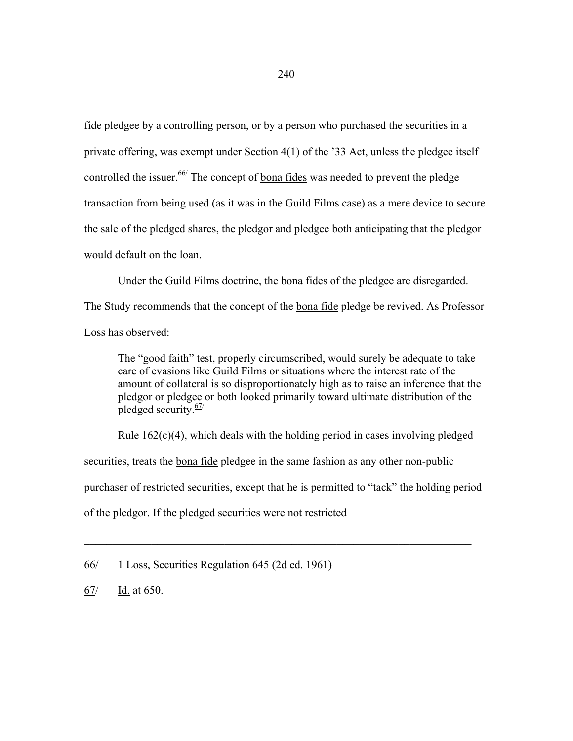fide pledgee by a controlling person, or by a person who purchased the securities in a private offering, was exempt under Section 4(1) of the '33 Act, unless the pledgee itself controlled the issuer.<sup>66/</sup> The concept of <u>bona fides</u> was needed to prevent the pledge transaction from being used (as it was in the Guild Films case) as a mere device to secure the sale of the pledged shares, the pledgor and pledgee both anticipating that the pledgor would default on the loan.

 Under the Guild Films doctrine, the bona fides of the pledgee are disregarded. The Study recommends that the concept of the bona fide pledge be revived. As Professor

Loss has observed:

The "good faith" test, properly circumscribed, would surely be adequate to take care of evasions like Guild Films or situations where the interest rate of the amount of collateral is so disproportionately high as to raise an inference that the pledgor or pledgee or both looked primarily toward ultimate distribution of the pledged security. $\frac{67}{ }$ 

 Rule 162(c)(4), which deals with the holding period in cases involving pledged securities, treats the <u>bona fide</u> pledgee in the same fashion as any other non-public purchaser of restricted securities, except that he is permitted to "tack" the holding period of the pledgor. If the pledged securities were not restricted

 $\mathcal{L}_\mathcal{L} = \mathcal{L}_\mathcal{L} = \mathcal{L}_\mathcal{L} = \mathcal{L}_\mathcal{L} = \mathcal{L}_\mathcal{L} = \mathcal{L}_\mathcal{L} = \mathcal{L}_\mathcal{L} = \mathcal{L}_\mathcal{L} = \mathcal{L}_\mathcal{L} = \mathcal{L}_\mathcal{L} = \mathcal{L}_\mathcal{L} = \mathcal{L}_\mathcal{L} = \mathcal{L}_\mathcal{L} = \mathcal{L}_\mathcal{L} = \mathcal{L}_\mathcal{L} = \mathcal{L}_\mathcal{L} = \mathcal{L}_\mathcal{L}$ 

<sup>66/ 1</sup> Loss, Securities Regulation 645 (2d ed. 1961)

<sup>67/</sup> Id. at 650.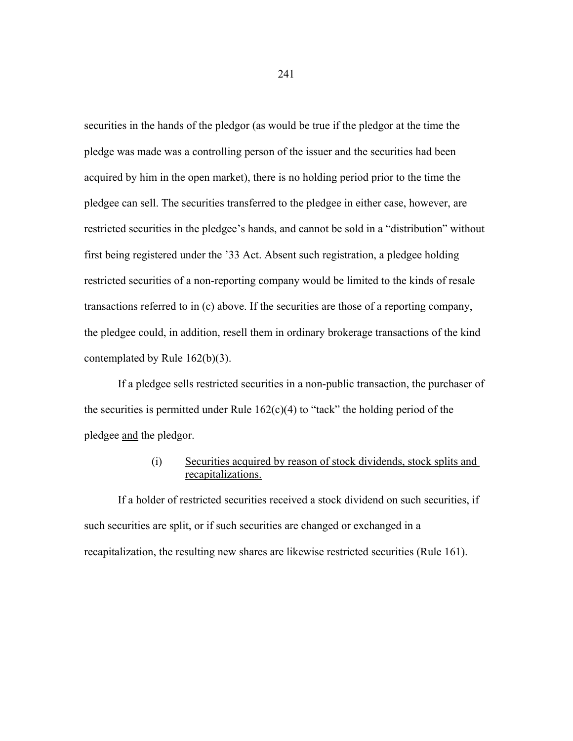securities in the hands of the pledgor (as would be true if the pledgor at the time the pledge was made was a controlling person of the issuer and the securities had been acquired by him in the open market), there is no holding period prior to the time the pledgee can sell. The securities transferred to the pledgee in either case, however, are restricted securities in the pledgee's hands, and cannot be sold in a "distribution" without first being registered under the '33 Act. Absent such registration, a pledgee holding restricted securities of a non-reporting company would be limited to the kinds of resale transactions referred to in (c) above. If the securities are those of a reporting company, the pledgee could, in addition, resell them in ordinary brokerage transactions of the kind contemplated by Rule 162(b)(3).

 If a pledgee sells restricted securities in a non-public transaction, the purchaser of the securities is permitted under Rule  $162(c)(4)$  to "tack" the holding period of the pledgee and the pledgor.

# (i) Securities acquired by reason of stock dividends, stock splits and recapitalizations.

If a holder of restricted securities received a stock dividend on such securities, if such securities are split, or if such securities are changed or exchanged in a recapitalization, the resulting new shares are likewise restricted securities (Rule 161).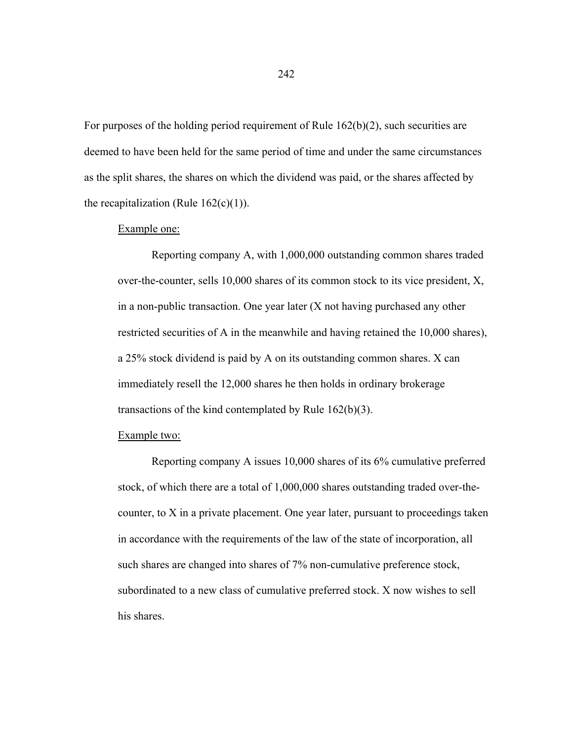For purposes of the holding period requirement of Rule 162(b)(2), such securities are deemed to have been held for the same period of time and under the same circumstances as the split shares, the shares on which the dividend was paid, or the shares affected by the recapitalization (Rule  $162(c)(1)$ ).

#### Example one:

 Reporting company A, with 1,000,000 outstanding common shares traded over-the-counter, sells 10,000 shares of its common stock to its vice president, X, in a non-public transaction. One year later (X not having purchased any other restricted securities of A in the meanwhile and having retained the 10,000 shares), a 25% stock dividend is paid by A on its outstanding common shares. X can immediately resell the 12,000 shares he then holds in ordinary brokerage transactions of the kind contemplated by Rule 162(b)(3).

### Example two:

 Reporting company A issues 10,000 shares of its 6% cumulative preferred stock, of which there are a total of 1,000,000 shares outstanding traded over-thecounter, to X in a private placement. One year later, pursuant to proceedings taken in accordance with the requirements of the law of the state of incorporation, all such shares are changed into shares of 7% non-cumulative preference stock, subordinated to a new class of cumulative preferred stock. X now wishes to sell his shares.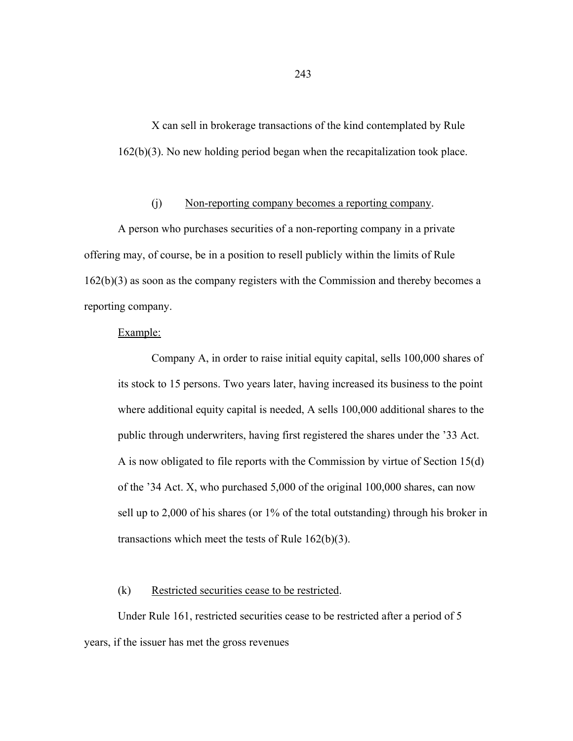X can sell in brokerage transactions of the kind contemplated by Rule 162(b)(3). No new holding period began when the recapitalization took place.

## (j) Non-reporting company becomes a reporting company.

 A person who purchases securities of a non-reporting company in a private offering may, of course, be in a position to resell publicly within the limits of Rule 162(b)(3) as soon as the company registers with the Commission and thereby becomes a reporting company.

#### Example:

 Company A, in order to raise initial equity capital, sells 100,000 shares of its stock to 15 persons. Two years later, having increased its business to the point where additional equity capital is needed, A sells 100,000 additional shares to the public through underwriters, having first registered the shares under the '33 Act. A is now obligated to file reports with the Commission by virtue of Section 15(d) of the '34 Act. X, who purchased 5,000 of the original 100,000 shares, can now sell up to 2,000 of his shares (or 1% of the total outstanding) through his broker in transactions which meet the tests of Rule 162(b)(3).

## (k) Restricted securities cease to be restricted.

 Under Rule 161, restricted securities cease to be restricted after a period of 5 years, if the issuer has met the gross revenues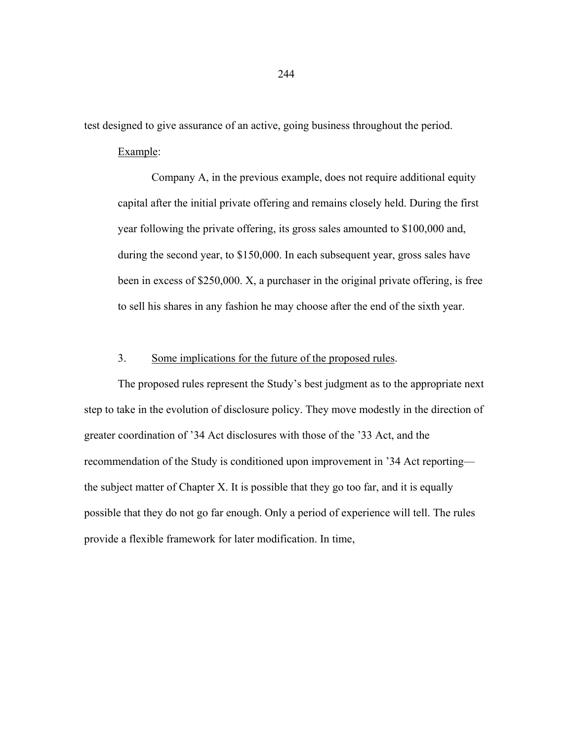test designed to give assurance of an active, going business throughout the period.

## Example:

 Company A, in the previous example, does not require additional equity capital after the initial private offering and remains closely held. During the first year following the private offering, its gross sales amounted to \$100,000 and, during the second year, to \$150,000. In each subsequent year, gross sales have been in excess of \$250,000. X, a purchaser in the original private offering, is free to sell his shares in any fashion he may choose after the end of the sixth year.

### 3. Some implications for the future of the proposed rules.

 The proposed rules represent the Study's best judgment as to the appropriate next step to take in the evolution of disclosure policy. They move modestly in the direction of greater coordination of '34 Act disclosures with those of the '33 Act, and the recommendation of the Study is conditioned upon improvement in '34 Act reporting the subject matter of Chapter X. It is possible that they go too far, and it is equally possible that they do not go far enough. Only a period of experience will tell. The rules provide a flexible framework for later modification. In time,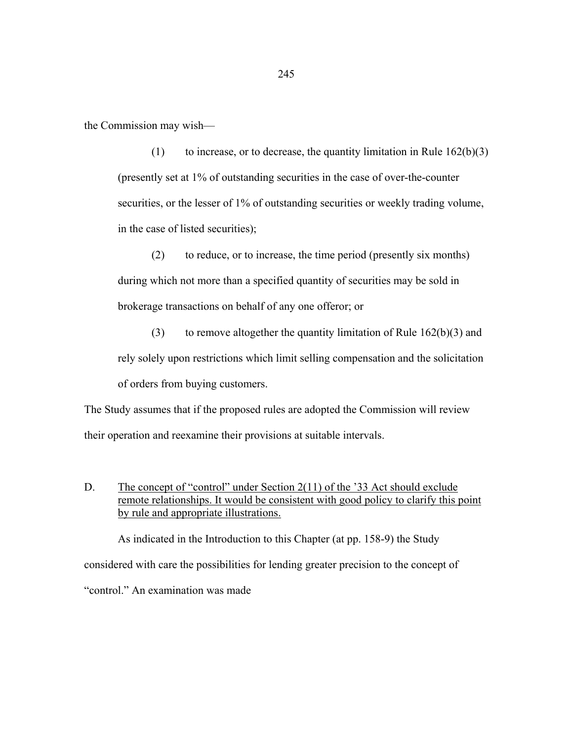the Commission may wish—

(1) to increase, or to decrease, the quantity limitation in Rule  $162(b)(3)$ (presently set at 1% of outstanding securities in the case of over-the-counter securities, or the lesser of 1% of outstanding securities or weekly trading volume, in the case of listed securities);

 (2) to reduce, or to increase, the time period (presently six months) during which not more than a specified quantity of securities may be sold in brokerage transactions on behalf of any one offeror; or

(3) to remove altogether the quantity limitation of Rule  $162(b)(3)$  and rely solely upon restrictions which limit selling compensation and the solicitation of orders from buying customers.

The Study assumes that if the proposed rules are adopted the Commission will review their operation and reexamine their provisions at suitable intervals.

D. The concept of "control" under Section 2(11) of the '33 Act should exclude remote relationships. It would be consistent with good policy to clarify this point by rule and appropriate illustrations.

As indicated in the Introduction to this Chapter (at pp. 158-9) the Study considered with care the possibilities for lending greater precision to the concept of "control." An examination was made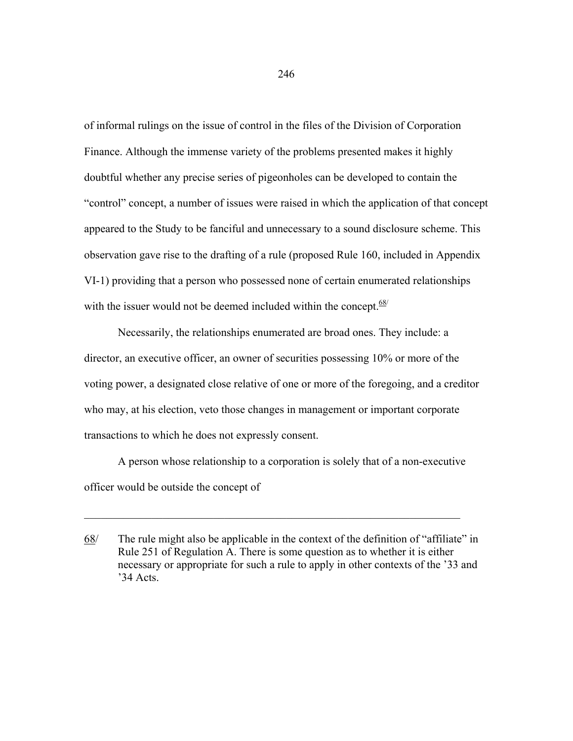of informal rulings on the issue of control in the files of the Division of Corporation Finance. Although the immense variety of the problems presented makes it highly doubtful whether any precise series of pigeonholes can be developed to contain the "control" concept, a number of issues were raised in which the application of that concept appeared to the Study to be fanciful and unnecessary to a sound disclosure scheme. This observation gave rise to the drafting of a rule (proposed Rule 160, included in Appendix VI-1) providing that a person who possessed none of certain enumerated relationships with the issuer would not be deemed included within the concept.  $68/$ 

 Necessarily, the relationships enumerated are broad ones. They include: a director, an executive officer, an owner of securities possessing 10% or more of the voting power, a designated close relative of one or more of the foregoing, and a creditor who may, at his election, veto those changes in management or important corporate transactions to which he does not expressly consent.

 A person whose relationship to a corporation is solely that of a non-executive officer would be outside the concept of

 $\_$  , and the set of the set of the set of the set of the set of the set of the set of the set of the set of the set of the set of the set of the set of the set of the set of the set of the set of the set of the set of th

<sup>68/</sup> The rule might also be applicable in the context of the definition of "affiliate" in Rule 251 of Regulation A. There is some question as to whether it is either necessary or appropriate for such a rule to apply in other contexts of the '33 and '34 Acts.